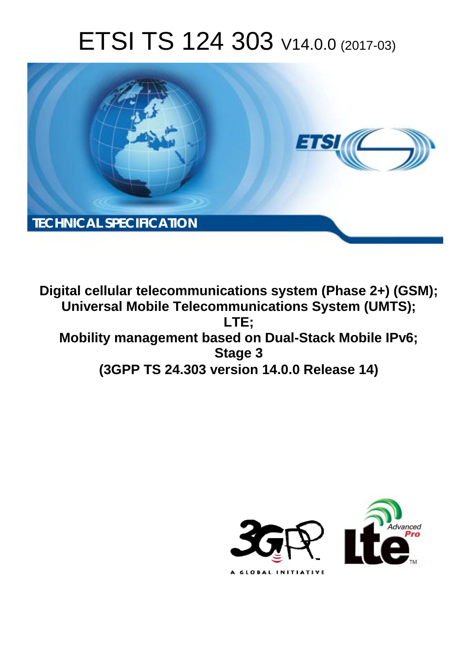# ETSI TS 124 303 V14.0.0 (2017-03)



**Digital cellular telecommunications system (Phase 2+) (GSM); Universal Mobile Telecommunications System (UMTS); LTE; Mobility management based on Dual-Stack Mobile IPv6; Stage 3 (3GPP TS 24.303 version 14.0.0 Release 14)** 

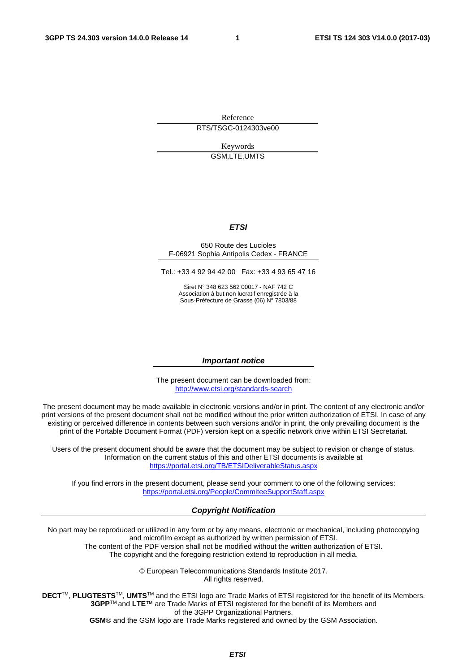Reference RTS/TSGC-0124303ve00

> Keywords GSM,LTE,UMTS

#### *ETSI*

#### 650 Route des Lucioles F-06921 Sophia Antipolis Cedex - FRANCE

Tel.: +33 4 92 94 42 00 Fax: +33 4 93 65 47 16

Siret N° 348 623 562 00017 - NAF 742 C Association à but non lucratif enregistrée à la Sous-Préfecture de Grasse (06) N° 7803/88

#### *Important notice*

The present document can be downloaded from: <http://www.etsi.org/standards-search>

The present document may be made available in electronic versions and/or in print. The content of any electronic and/or print versions of the present document shall not be modified without the prior written authorization of ETSI. In case of any existing or perceived difference in contents between such versions and/or in print, the only prevailing document is the print of the Portable Document Format (PDF) version kept on a specific network drive within ETSI Secretariat.

Users of the present document should be aware that the document may be subject to revision or change of status. Information on the current status of this and other ETSI documents is available at <https://portal.etsi.org/TB/ETSIDeliverableStatus.aspx>

If you find errors in the present document, please send your comment to one of the following services: <https://portal.etsi.org/People/CommiteeSupportStaff.aspx>

#### *Copyright Notification*

No part may be reproduced or utilized in any form or by any means, electronic or mechanical, including photocopying and microfilm except as authorized by written permission of ETSI.

The content of the PDF version shall not be modified without the written authorization of ETSI. The copyright and the foregoing restriction extend to reproduction in all media.

> © European Telecommunications Standards Institute 2017. All rights reserved.

**DECT**TM, **PLUGTESTS**TM, **UMTS**TM and the ETSI logo are Trade Marks of ETSI registered for the benefit of its Members. **3GPP**TM and **LTE**™ are Trade Marks of ETSI registered for the benefit of its Members and of the 3GPP Organizational Partners.

**GSM**® and the GSM logo are Trade Marks registered and owned by the GSM Association.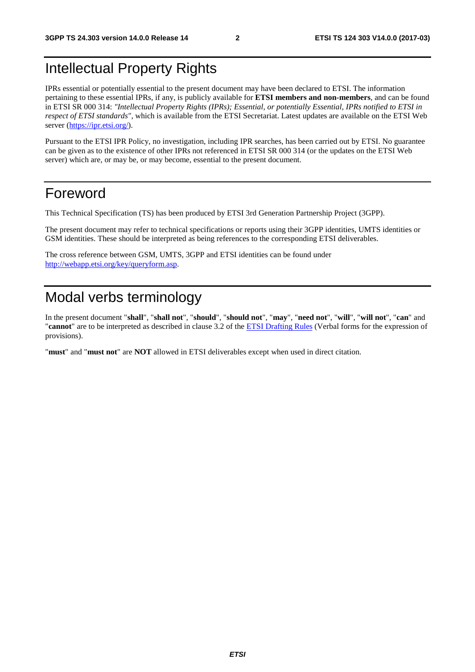# Intellectual Property Rights

IPRs essential or potentially essential to the present document may have been declared to ETSI. The information pertaining to these essential IPRs, if any, is publicly available for **ETSI members and non-members**, and can be found in ETSI SR 000 314: *"Intellectual Property Rights (IPRs); Essential, or potentially Essential, IPRs notified to ETSI in respect of ETSI standards"*, which is available from the ETSI Secretariat. Latest updates are available on the ETSI Web server ([https://ipr.etsi.org/\)](https://ipr.etsi.org/).

Pursuant to the ETSI IPR Policy, no investigation, including IPR searches, has been carried out by ETSI. No guarantee can be given as to the existence of other IPRs not referenced in ETSI SR 000 314 (or the updates on the ETSI Web server) which are, or may be, or may become, essential to the present document.

### Foreword

This Technical Specification (TS) has been produced by ETSI 3rd Generation Partnership Project (3GPP).

The present document may refer to technical specifications or reports using their 3GPP identities, UMTS identities or GSM identities. These should be interpreted as being references to the corresponding ETSI deliverables.

The cross reference between GSM, UMTS, 3GPP and ETSI identities can be found under [http://webapp.etsi.org/key/queryform.asp.](http://webapp.etsi.org/key/queryform.asp)

# Modal verbs terminology

In the present document "**shall**", "**shall not**", "**should**", "**should not**", "**may**", "**need not**", "**will**", "**will not**", "**can**" and "**cannot**" are to be interpreted as described in clause 3.2 of the [ETSI Drafting Rules](https://portal.etsi.org/Services/editHelp!/Howtostart/ETSIDraftingRules.aspx) (Verbal forms for the expression of provisions).

"**must**" and "**must not**" are **NOT** allowed in ETSI deliverables except when used in direct citation.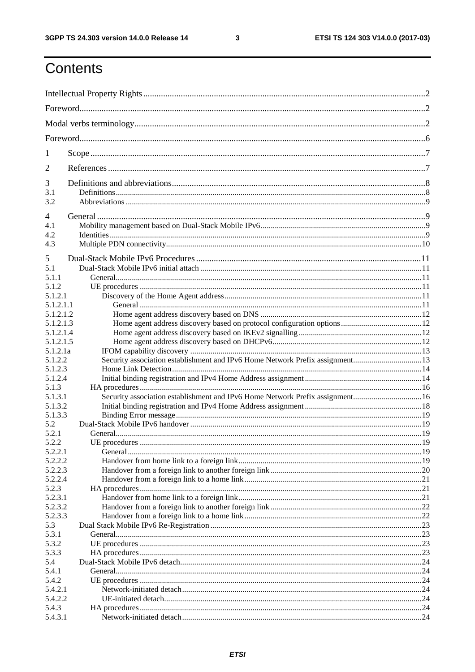$\mathbf{3}$ 

# Contents

| 1                                                |                                                                               |  |
|--------------------------------------------------|-------------------------------------------------------------------------------|--|
| 2                                                |                                                                               |  |
| 3<br>3.1<br>3.2                                  |                                                                               |  |
| $\overline{4}$<br>4.1<br>4.2<br>4.3              |                                                                               |  |
| 5<br>5.1<br>5.1.1<br>5.1.2<br>5.1.2.1            |                                                                               |  |
| 5.1.2.1.1<br>5.1.2.1.2<br>5.1.2.1.3<br>5.1.2.1.4 |                                                                               |  |
| 5.1.2.1.5<br>5.1.2.1a<br>5.1.2.2<br>5.1.2.3      | Security association establishment and IPv6 Home Network Prefix assignment13  |  |
| 5.1.2.4<br>5.1.3<br>5.1.3.1                      | Security association establishment and IPv6 Home Network Prefix assignment 16 |  |
| 5.1.3.2<br>5.1.3.3<br>5.2<br>5.2.1               |                                                                               |  |
| 5.2.2<br>5.2.2.1<br>5.2.2.2                      | UE procedures                                                                 |  |
| 5.2.2.3<br>5.2.2.4<br>5.2.3<br>5.2.3.1           |                                                                               |  |
| 5.2.3.2<br>5.2.3.3<br>5.3                        |                                                                               |  |
| 5.3.1<br>5.3.2<br>5.3.3<br>5.4                   |                                                                               |  |
| 5.4.1<br>5.4.2<br>5.4.2.1                        |                                                                               |  |
| 5.4.2.2<br>5.4.3<br>5.4.3.1                      |                                                                               |  |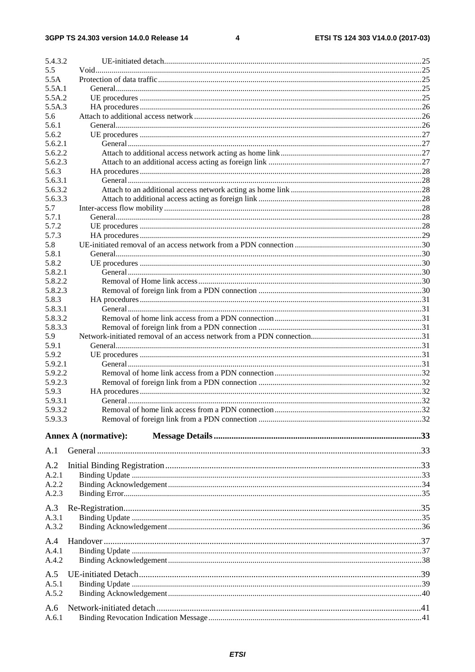$\overline{\mathbf{4}}$ 

| 5.4.3.2            |                             |  |
|--------------------|-----------------------------|--|
| 5.5                |                             |  |
| 5.5A               |                             |  |
| 5.5A.1             |                             |  |
| 5.5A.2             |                             |  |
| 5.5A.3             |                             |  |
| 5.6                |                             |  |
| 5.6.1              |                             |  |
| 5.6.2              |                             |  |
| 5.6.2.1            |                             |  |
| 5.6.2.2            |                             |  |
| 5.6.2.3            |                             |  |
| 5.6.3              |                             |  |
| 5.6.3.1            |                             |  |
| 5.6.3.2            |                             |  |
| 5.6.3.3            |                             |  |
| 5.7                |                             |  |
| 5.7.1              |                             |  |
| 5.7.2              |                             |  |
| 5.7.3              |                             |  |
| 5.8                |                             |  |
| 5.8.1              |                             |  |
| 5.8.2              |                             |  |
| 5.8.2.1            |                             |  |
| 5.8.2.2            |                             |  |
| 5.8.2.3            |                             |  |
| 5.8.3              |                             |  |
| 5.8.3.1            |                             |  |
| 5.8.3.2            |                             |  |
| 5.8.3.3            |                             |  |
| 5.9                |                             |  |
| 5.9.1              |                             |  |
| 5.9.2<br>5.9.2.1   |                             |  |
|                    |                             |  |
| 5.9.2.2            |                             |  |
| 5.9.2.3            |                             |  |
| 5.9.3              |                             |  |
| 5.9.3.1            |                             |  |
| 5.9.3.2<br>5.9.3.3 |                             |  |
|                    |                             |  |
|                    | <b>Annex A (normative):</b> |  |
| A.1                |                             |  |
|                    |                             |  |
| A.2                |                             |  |
| A.2.1              |                             |  |
| A.2.2              |                             |  |
| A.2.3              |                             |  |
| A.3                |                             |  |
| A.3.1              |                             |  |
| A.3.2              |                             |  |
|                    |                             |  |
| A.4                |                             |  |
| A.4.1              |                             |  |
| A.4.2              |                             |  |
| A.5                |                             |  |
| A.5.1              |                             |  |
| A.5.2              |                             |  |
|                    |                             |  |
| A.6                |                             |  |
| A.6.1              |                             |  |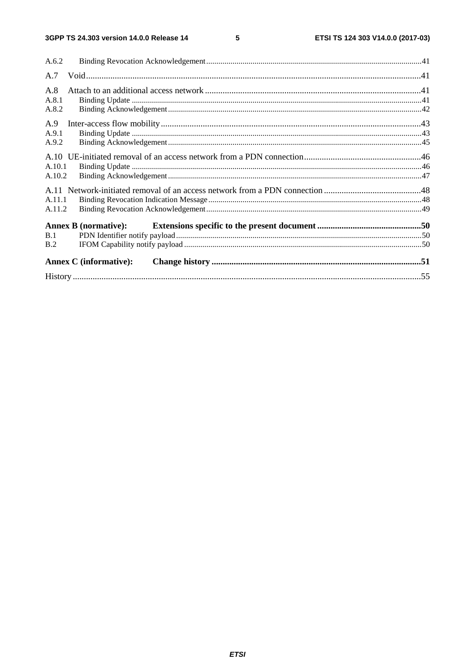$5\phantom{a}$ 

| A.6.2  |                               |  |
|--------|-------------------------------|--|
| A.7    |                               |  |
| A.8    |                               |  |
| A.8.1  |                               |  |
| A.8.2  |                               |  |
| A.9    |                               |  |
| A.9.1  |                               |  |
| A.9.2  |                               |  |
|        |                               |  |
| A.10.1 |                               |  |
| A.10.2 |                               |  |
|        |                               |  |
| A.11.1 |                               |  |
| A.11.2 |                               |  |
|        | <b>Annex B</b> (normative):   |  |
| B.1    |                               |  |
| B.2    |                               |  |
|        | <b>Annex C</b> (informative): |  |
|        |                               |  |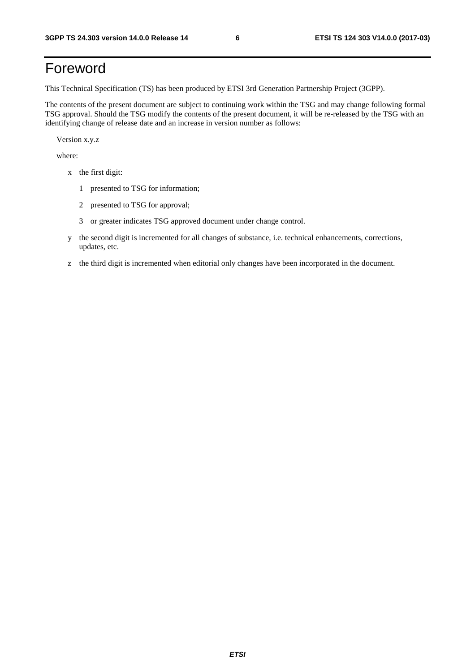# Foreword

This Technical Specification (TS) has been produced by ETSI 3rd Generation Partnership Project (3GPP).

The contents of the present document are subject to continuing work within the TSG and may change following formal TSG approval. Should the TSG modify the contents of the present document, it will be re-released by the TSG with an identifying change of release date and an increase in version number as follows:

Version x.y.z

where:

- x the first digit:
	- 1 presented to TSG for information;
	- 2 presented to TSG for approval;
	- 3 or greater indicates TSG approved document under change control.
- y the second digit is incremented for all changes of substance, i.e. technical enhancements, corrections, updates, etc.
- z the third digit is incremented when editorial only changes have been incorporated in the document.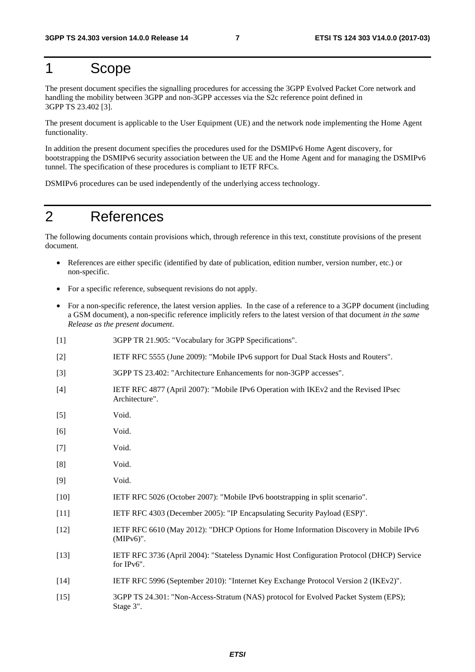### 1 Scope

The present document specifies the signalling procedures for accessing the 3GPP Evolved Packet Core network and handling the mobility between 3GPP and non-3GPP accesses via the S2c reference point defined in 3GPP TS 23.402 [3].

The present document is applicable to the User Equipment (UE) and the network node implementing the Home Agent functionality.

In addition the present document specifies the procedures used for the DSMIPv6 Home Agent discovery, for bootstrapping the DSMIPv6 security association between the UE and the Home Agent and for managing the DSMIPv6 tunnel. The specification of these procedures is compliant to IETF RFCs.

DSMIPv6 procedures can be used independently of the underlying access technology.

### 2 References

The following documents contain provisions which, through reference in this text, constitute provisions of the present document.

- References are either specific (identified by date of publication, edition number, version number, etc.) or non-specific.
- For a specific reference, subsequent revisions do not apply.
- For a non-specific reference, the latest version applies. In the case of a reference to a 3GPP document (including a GSM document), a non-specific reference implicitly refers to the latest version of that document *in the same Release as the present document*.
- [1] 3GPP TR 21.905: "Vocabulary for 3GPP Specifications".
- [2] IETF RFC 5555 (June 2009): "Mobile IPv6 support for Dual Stack Hosts and Routers".
- [3] 3GPP TS 23.402: "Architecture Enhancements for non-3GPP accesses".
- [4] IETF RFC 4877 (April 2007): "Mobile IPv6 Operation with IKEv2 and the Revised IPsec Architecture".
- [5] Void.
- [6] Void.
- [7] Void.
- [8] Void.
- [9] Void.
- [10] IETF RFC 5026 (October 2007): "Mobile IPv6 bootstrapping in split scenario".
- [11] IETF RFC 4303 (December 2005): "IP Encapsulating Security Payload (ESP)".
- [12] IETF RFC 6610 (May 2012): "DHCP Options for Home Information Discovery in Mobile IPv6 (MIPv6)".
- [13] IETF RFC 3736 (April 2004): "Stateless Dynamic Host Configuration Protocol (DHCP) Service for IPv6".
- [14] IETF RFC 5996 (September 2010): "Internet Key Exchange Protocol Version 2 (IKEv2)".
- [15] 3GPP TS 24.301: "Non-Access-Stratum (NAS) protocol for Evolved Packet System (EPS); Stage 3".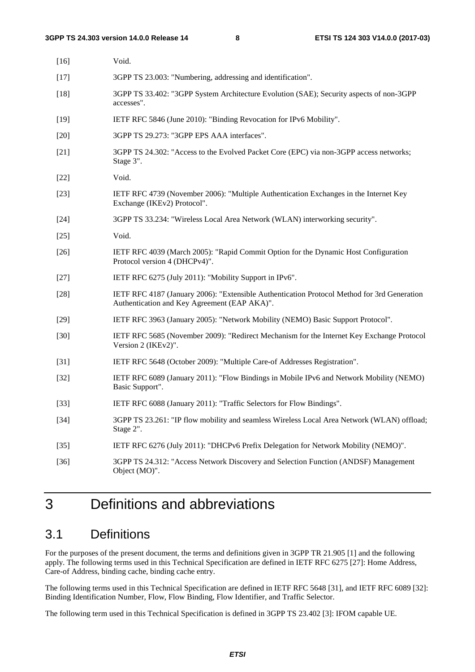| $[16]$ | Void.                                                                                                                                       |
|--------|---------------------------------------------------------------------------------------------------------------------------------------------|
| $[17]$ | 3GPP TS 23.003: "Numbering, addressing and identification".                                                                                 |
| $[18]$ | 3GPP TS 33.402: "3GPP System Architecture Evolution (SAE); Security aspects of non-3GPP<br>accesses".                                       |
| $[19]$ | IETF RFC 5846 (June 2010): "Binding Revocation for IPv6 Mobility".                                                                          |
| $[20]$ | 3GPP TS 29.273: "3GPP EPS AAA interfaces".                                                                                                  |
| $[21]$ | 3GPP TS 24.302: "Access to the Evolved Packet Core (EPC) via non-3GPP access networks;<br>Stage 3".                                         |
| $[22]$ | Void.                                                                                                                                       |
| $[23]$ | IETF RFC 4739 (November 2006): "Multiple Authentication Exchanges in the Internet Key<br>Exchange (IKEv2) Protocol".                        |
| $[24]$ | 3GPP TS 33.234: "Wireless Local Area Network (WLAN) interworking security".                                                                 |
| $[25]$ | Void.                                                                                                                                       |
| $[26]$ | IETF RFC 4039 (March 2005): "Rapid Commit Option for the Dynamic Host Configuration<br>Protocol version 4 (DHCPv4)".                        |
| $[27]$ | IETF RFC 6275 (July 2011): "Mobility Support in IPv6".                                                                                      |
| $[28]$ | IETF RFC 4187 (January 2006): "Extensible Authentication Protocol Method for 3rd Generation<br>Authentication and Key Agreement (EAP AKA)". |
| $[29]$ | IETF RFC 3963 (January 2005): "Network Mobility (NEMO) Basic Support Protocol".                                                             |
| $[30]$ | IETF RFC 5685 (November 2009): "Redirect Mechanism for the Internet Key Exchange Protocol<br>Version 2 (IKEv2)".                            |
| $[31]$ | IETF RFC 5648 (October 2009): "Multiple Care-of Addresses Registration".                                                                    |
| $[32]$ | IETF RFC 6089 (January 2011): "Flow Bindings in Mobile IPv6 and Network Mobility (NEMO)<br>Basic Support".                                  |
| $[33]$ | IETF RFC 6088 (January 2011): "Traffic Selectors for Flow Bindings".                                                                        |
| $[34]$ | 3GPP TS 23.261: "IP flow mobility and seamless Wireless Local Area Network (WLAN) offload;<br>Stage 2".                                     |
| $[35]$ | IETF RFC 6276 (July 2011): "DHCPv6 Prefix Delegation for Network Mobility (NEMO)".                                                          |
| $[36]$ | 3GPP TS 24.312: "Access Network Discovery and Selection Function (ANDSF) Management<br>Object (MO)".                                        |

# 3 Definitions and abbreviations

### 3.1 Definitions

For the purposes of the present document, the terms and definitions given in 3GPP TR 21.905 [1] and the following apply. The following terms used in this Technical Specification are defined in IETF RFC 6275 [27]: Home Address, Care-of Address, binding cache, binding cache entry.

The following terms used in this Technical Specification are defined in IETF RFC 5648 [31], and IETF RFC 6089 [32]: Binding Identification Number, Flow, Flow Binding, Flow Identifier, and Traffic Selector.

The following term used in this Technical Specification is defined in 3GPP TS 23.402 [3]: IFOM capable UE.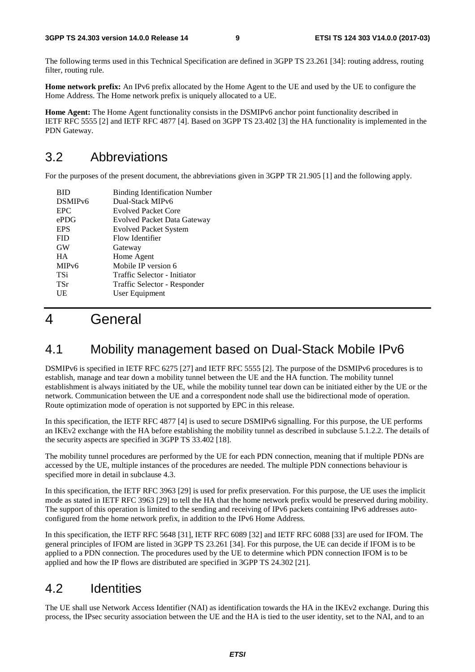The following terms used in this Technical Specification are defined in 3GPP TS 23.261 [34]: routing address, routing filter, routing rule.

**Home network prefix:** An IPv6 prefix allocated by the Home Agent to the UE and used by the UE to configure the Home Address. The Home network prefix is uniquely allocated to a UE.

**Home Agent:** The Home Agent functionality consists in the DSMIPv6 anchor point functionality described in IETF RFC 5555 [2] and IETF RFC 4877 [4]. Based on 3GPP TS 23.402 [3] the HA functionality is implemented in the PDN Gateway.

### 3.2 Abbreviations

For the purposes of the present document, the abbreviations given in 3GPP TR 21.905 [1] and the following apply.

| BID                 | <b>Binding Identification Number</b> |
|---------------------|--------------------------------------|
| DSMIP <sub>v6</sub> | Dual-Stack MIPv6                     |
| <b>EPC</b>          | <b>Evolved Packet Core</b>           |
| ePDG                | <b>Evolved Packet Data Gateway</b>   |
| <b>EPS</b>          | <b>Evolved Packet System</b>         |
| <b>FID</b>          | Flow Identifier                      |
| <b>GW</b>           | Gateway                              |
| <b>HA</b>           | Home Agent                           |
| MIP <sub>v</sub> 6  | Mobile IP version 6                  |
| <b>TSi</b>          | Traffic Selector - Initiator         |
| <b>TSr</b>          | Traffic Selector - Responder         |
| UE                  | User Equipment                       |
|                     |                                      |

# 4 General

### 4.1 Mobility management based on Dual-Stack Mobile IPv6

DSMIPv6 is specified in IETF RFC 6275 [27] and IETF RFC 5555 [2]. The purpose of the DSMIPv6 procedures is to establish, manage and tear down a mobility tunnel between the UE and the HA function. The mobility tunnel establishment is always initiated by the UE, while the mobility tunnel tear down can be initiated either by the UE or the network. Communication between the UE and a correspondent node shall use the bidirectional mode of operation. Route optimization mode of operation is not supported by EPC in this release.

In this specification, the IETF RFC 4877 [4] is used to secure DSMIPv6 signalling. For this purpose, the UE performs an IKEv2 exchange with the HA before establishing the mobility tunnel as described in subclause 5.1.2.2. The details of the security aspects are specified in 3GPP TS 33.402 [18].

The mobility tunnel procedures are performed by the UE for each PDN connection, meaning that if multiple PDNs are accessed by the UE, multiple instances of the procedures are needed. The multiple PDN connections behaviour is specified more in detail in subclause 4.3.

In this specification, the IETF RFC 3963 [29] is used for prefix preservation. For this purpose, the UE uses the implicit mode as stated in IETF RFC 3963 [29] to tell the HA that the home network prefix would be preserved during mobility. The support of this operation is limited to the sending and receiving of IPv6 packets containing IPv6 addresses autoconfigured from the home network prefix, in addition to the IPv6 Home Address.

In this specification, the IETF RFC 5648 [31], IETF RFC 6089 [32] and IETF RFC 6088 [33] are used for IFOM. The general principles of IFOM are listed in 3GPP TS 23.261 [34]. For this purpose, the UE can decide if IFOM is to be applied to a PDN connection. The procedures used by the UE to determine which PDN connection IFOM is to be applied and how the IP flows are distributed are specified in 3GPP TS 24.302 [21].

### 4.2 Identities

The UE shall use Network Access Identifier (NAI) as identification towards the HA in the IKEv2 exchange. During this process, the IPsec security association between the UE and the HA is tied to the user identity, set to the NAI, and to an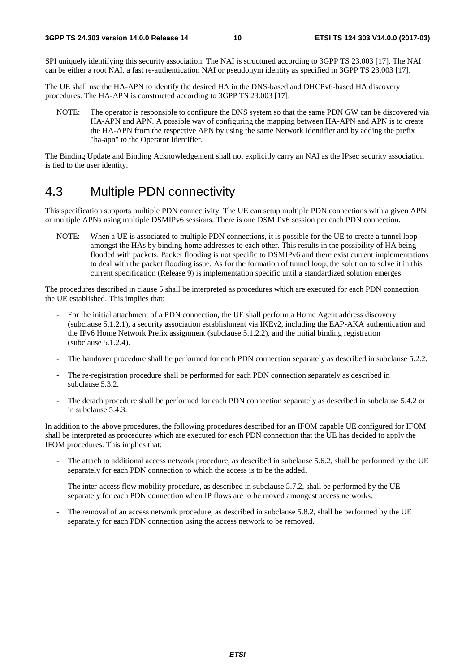SPI uniquely identifying this security association. The NAI is structured according to 3GPP TS 23.003 [17]. The NAI can be either a root NAI, a fast re-authentication NAI or pseudonym identity as specified in 3GPP TS 23.003 [17].

The UE shall use the HA-APN to identify the desired HA in the DNS-based and DHCPv6-based HA discovery procedures. The HA-APN is constructed according to 3GPP TS 23.003 [17].

NOTE: The operator is responsible to configure the DNS system so that the same PDN GW can be discovered via HA-APN and APN. A possible way of configuring the mapping between HA-APN and APN is to create the HA-APN from the respective APN by using the same Network Identifier and by adding the prefix "ha-apn" to the Operator Identifier.

The Binding Update and Binding Acknowledgement shall not explicitly carry an NAI as the IPsec security association is tied to the user identity.

### 4.3 Multiple PDN connectivity

This specification supports multiple PDN connectivity. The UE can setup multiple PDN connections with a given APN or multiple APNs using multiple DSMIPv6 sessions. There is one DSMIPv6 session per each PDN connection.

NOTE: When a UE is associated to multiple PDN connections, it is possible for the UE to create a tunnel loop amongst the HAs by binding home addresses to each other. This results in the possibility of HA being flooded with packets. Packet flooding is not specific to DSMIPv6 and there exist current implementations to deal with the packet flooding issue. As for the formation of tunnel loop, the solution to solve it in this current specification (Release 9) is implementation specific until a standardized solution emerges.

The procedures described in clause 5 shall be interpreted as procedures which are executed for each PDN connection the UE established. This implies that:

- For the initial attachment of a PDN connection, the UE shall perform a Home Agent address discovery (subclause 5.1.2.1), a security association establishment via IKEv2, including the EAP-AKA authentication and the IPv6 Home Network Prefix assignment (subclause 5.1.2.2), and the initial binding registration (subclause 5.1.2.4).
- The handover procedure shall be performed for each PDN connection separately as described in subclause 5.2.2.
- The re-registration procedure shall be performed for each PDN connection separately as described in subclause 5.3.2.
- The detach procedure shall be performed for each PDN connection separately as described in subclause 5.4.2 or in subclause 5.4.3.

In addition to the above procedures, the following procedures described for an IFOM capable UE configured for IFOM shall be interpreted as procedures which are executed for each PDN connection that the UE has decided to apply the IFOM procedures. This implies that:

- The attach to additional access network procedure, as described in subclause 5.6.2, shall be performed by the UE separately for each PDN connection to which the access is to be the added.
- The inter-access flow mobility procedure, as described in subclause 5.7.2, shall be performed by the UE separately for each PDN connection when IP flows are to be moved amongest access networks.
- The removal of an access network procedure, as described in subclause 5.8.2, shall be performed by the UE separately for each PDN connection using the access network to be removed.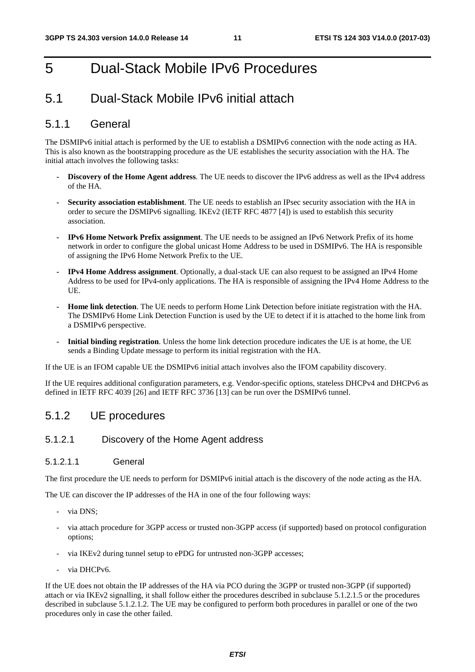# 5 Dual-Stack Mobile IPv6 Procedures

### 5.1 Dual-Stack Mobile IPv6 initial attach

#### 5.1.1 General

The DSMIPv6 initial attach is performed by the UE to establish a DSMIPv6 connection with the node acting as HA. This is also known as the bootstrapping procedure as the UE establishes the security association with the HA. The initial attach involves the following tasks:

- **Discovery of the Home Agent address**. The UE needs to discover the IPv6 address as well as the IPv4 address of the HA.
- **Security association establishment**. The UE needs to establish an IPsec security association with the HA in order to secure the DSMIPv6 signalling. IKEv2 (IETF RFC 4877 [4]) is used to establish this security association.
- **IPv6 Home Network Prefix assignment**. The UE needs to be assigned an IPv6 Network Prefix of its home network in order to configure the global unicast Home Address to be used in DSMIPv6. The HA is responsible of assigning the IPv6 Home Network Prefix to the UE.
- **IPv4 Home Address assignment**. Optionally, a dual-stack UE can also request to be assigned an IPv4 Home Address to be used for IPv4-only applications. The HA is responsible of assigning the IPv4 Home Address to the UE.
- **Home link detection**. The UE needs to perform Home Link Detection before initiate registration with the HA. The DSMIPv6 Home Link Detection Function is used by the UE to detect if it is attached to the home link from a DSMIPv6 perspective.
- **Initial binding registration**. Unless the home link detection procedure indicates the UE is at home, the UE sends a Binding Update message to perform its initial registration with the HA.

If the UE is an IFOM capable UE the DSMIPv6 initial attach involves also the IFOM capability discovery.

If the UE requires additional configuration parameters, e.g. Vendor-specific options, stateless DHCPv4 and DHCPv6 as defined in IETF RFC 4039 [26] and IETF RFC 3736 [13] can be run over the DSMIPv6 tunnel.

#### 5.1.2 UE procedures

#### 5.1.2.1 Discovery of the Home Agent address

#### 5.1.2.1.1 General

The first procedure the UE needs to perform for DSMIPv6 initial attach is the discovery of the node acting as the HA.

The UE can discover the IP addresses of the HA in one of the four following ways:

- via DNS;
- via attach procedure for 3GPP access or trusted non-3GPP access (if supported) based on protocol configuration options;
- via IKEv2 during tunnel setup to ePDG for untrusted non-3GPP accesses;
- via DHCPv6.

If the UE does not obtain the IP addresses of the HA via PCO during the 3GPP or trusted non-3GPP (if supported) attach or via IKEv2 signalling, it shall follow either the procedures described in subclause 5.1.2.1.5 or the procedures described in subclause 5.1.2.1.2. The UE may be configured to perform both procedures in parallel or one of the two procedures only in case the other failed.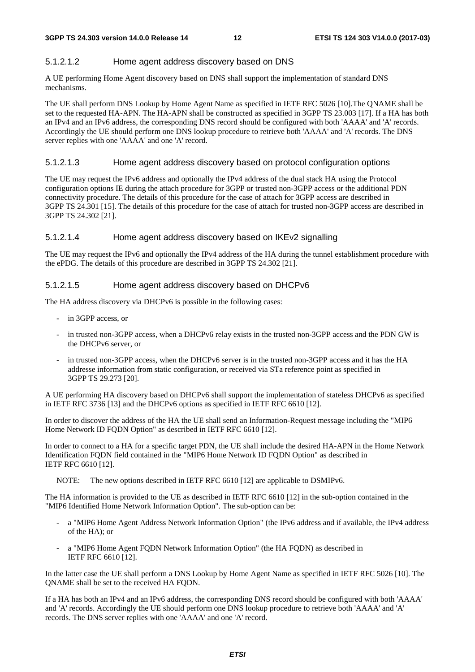#### 5.1.2.1.2 Home agent address discovery based on DNS

A UE performing Home Agent discovery based on DNS shall support the implementation of standard DNS mechanisms.

The UE shall perform DNS Lookup by Home Agent Name as specified in IETF RFC 5026 [10].The QNAME shall be set to the requested HA-APN. The HA-APN shall be constructed as specified in 3GPP TS 23.003 [17]. If a HA has both an IPv4 and an IPv6 address, the corresponding DNS record should be configured with both 'AAAA' and 'A' records. Accordingly the UE should perform one DNS lookup procedure to retrieve both 'AAAA' and 'A' records. The DNS server replies with one 'AAAA' and one 'A' record.

#### 5.1.2.1.3 Home agent address discovery based on protocol configuration options

The UE may request the IPv6 address and optionally the IPv4 address of the dual stack HA using the Protocol configuration options IE during the attach procedure for 3GPP or trusted non-3GPP access or the additional PDN connectivity procedure. The details of this procedure for the case of attach for 3GPP access are described in 3GPP TS 24.301 [15]. The details of this procedure for the case of attach for trusted non-3GPP access are described in 3GPP TS 24.302 [21].

#### 5.1.2.1.4 Home agent address discovery based on IKEv2 signalling

The UE may request the IPv6 and optionally the IPv4 address of the HA during the tunnel establishment procedure with the ePDG. The details of this procedure are described in 3GPP TS 24.302 [21].

#### 5.1.2.1.5 Home agent address discovery based on DHCPv6

The HA address discovery via DHCPv6 is possible in the following cases:

- in 3GPP access, or
- in trusted non-3GPP access, when a DHCPv6 relay exists in the trusted non-3GPP access and the PDN GW is the DHCPv6 server, or
- in trusted non-3GPP access, when the DHCPv6 server is in the trusted non-3GPP access and it has the HA addresse information from static configuration, or received via STa reference point as specified in 3GPP TS 29.273 [20].

A UE performing HA discovery based on DHCPv6 shall support the implementation of stateless DHCPv6 as specified in IETF RFC 3736 [13] and the DHCPv6 options as specified in IETF RFC 6610 [12].

In order to discover the address of the HA the UE shall send an Information-Request message including the "MIP6 Home Network ID FQDN Option" as described in IETF RFC 6610 [12].

In order to connect to a HA for a specific target PDN, the UE shall include the desired HA-APN in the Home Network Identification FQDN field contained in the "MIP6 Home Network ID FQDN Option" as described in IETF RFC 6610 [12].

NOTE: The new options described in IETF RFC 6610 [12] are applicable to DSMIPv6.

The HA information is provided to the UE as described in IETF RFC 6610 [12] in the sub-option contained in the "MIP6 Identified Home Network Information Option". The sub-option can be:

- a "MIP6 Home Agent Address Network Information Option" (the IPv6 address and if available, the IPv4 address of the HA); or
- a "MIP6 Home Agent FQDN Network Information Option" (the HA FQDN) as described in IETF RFC 6610 [12].

In the latter case the UE shall perform a DNS Lookup by Home Agent Name as specified in IETF RFC 5026 [10]. The QNAME shall be set to the received HA FQDN.

If a HA has both an IPv4 and an IPv6 address, the corresponding DNS record should be configured with both 'AAAA' and 'A' records. Accordingly the UE should perform one DNS lookup procedure to retrieve both 'AAAA' and 'A' records. The DNS server replies with one 'AAAA' and one 'A' record.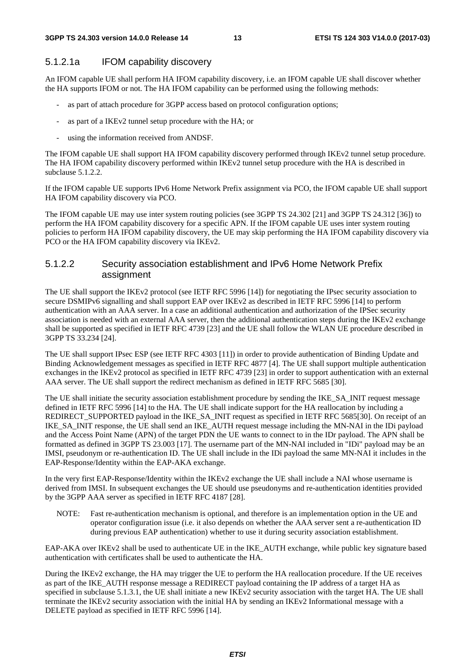#### 5.1.2.1a IFOM capability discovery

An IFOM capable UE shall perform HA IFOM capability discovery, i.e. an IFOM capable UE shall discover whether the HA supports IFOM or not. The HA IFOM capability can be performed using the following methods:

- as part of attach procedure for 3GPP access based on protocol configuration options;
- as part of a IKEv2 tunnel setup procedure with the HA; or
- using the information received from ANDSF.

The IFOM capable UE shall support HA IFOM capability discovery performed through IKEv2 tunnel setup procedure. The HA IFOM capability discovery performed within IKEv2 tunnel setup procedure with the HA is described in subclause 5.1.2.2.

If the IFOM capable UE supports IPv6 Home Network Prefix assignment via PCO, the IFOM capable UE shall support HA IFOM capability discovery via PCO.

The IFOM capable UE may use inter system routing policies (see 3GPP TS 24.302 [21] and 3GPP TS 24.312 [36]) to perform the HA IFOM capability discovery for a specific APN. If the IFOM capable UE uses inter system routing policies to perform HA IFOM capability discovery, the UE may skip performing the HA IFOM capability discovery via PCO or the HA IFOM capability discovery via IKEv2.

#### 5.1.2.2 Security association establishment and IPv6 Home Network Prefix assignment

The UE shall support the IKEv2 protocol (see IETF RFC 5996 [14]) for negotiating the IPsec security association to secure DSMIPv6 signalling and shall support EAP over IKEv2 as described in IETF RFC 5996 [14] to perform authentication with an AAA server. In a case an additional authentication and authorization of the IPSec security association is needed with an external AAA server, then the additional authentication steps during the IKEv2 exchange shall be supported as specified in IETF RFC 4739 [23] and the UE shall follow the WLAN UE procedure described in 3GPP TS 33.234 [24].

The UE shall support IPsec ESP (see IETF RFC 4303 [11]) in order to provide authentication of Binding Update and Binding Acknowledgement messages as specified in IETF RFC 4877 [4]. The UE shall support multiple authentication exchanges in the IKEv2 protocol as specified in IETF RFC 4739 [23] in order to support authentication with an external AAA server. The UE shall support the redirect mechanism as defined in IETF RFC 5685 [30].

The UE shall initiate the security association establishment procedure by sending the IKE\_SA\_INIT request message defined in IETF RFC 5996 [14] to the HA. The UE shall indicate support for the HA reallocation by including a REDIRECT\_SUPPORTED payload in the IKE\_SA\_INIT request as specified in IETF RFC 5685[30]. On receipt of an IKE\_SA\_INIT response, the UE shall send an IKE\_AUTH request message including the MN-NAI in the IDi payload and the Access Point Name (APN) of the target PDN the UE wants to connect to in the IDr payload. The APN shall be formatted as defined in 3GPP TS 23.003 [17]. The username part of the MN-NAI included in "IDi" payload may be an IMSI, pseudonym or re-authentication ID. The UE shall include in the IDi payload the same MN-NAI it includes in the EAP-Response/Identity within the EAP-AKA exchange.

In the very first EAP-Response/Identity within the IKEv2 exchange the UE shall include a NAI whose username is derived from IMSI. In subsequent exchanges the UE should use pseudonyms and re-authentication identities provided by the 3GPP AAA server as specified in IETF RFC 4187 [28].

NOTE: Fast re-authentication mechanism is optional, and therefore is an implementation option in the UE and operator configuration issue (i.e. it also depends on whether the AAA server sent a re-authentication ID during previous EAP authentication) whether to use it during security association establishment.

EAP-AKA over IKEv2 shall be used to authenticate UE in the IKE\_AUTH exchange, while public key signature based authentication with certificates shall be used to authenticate the HA.

During the IKEv2 exchange, the HA may trigger the UE to perform the HA reallocation procedure. If the UE receives as part of the IKE\_AUTH response message a REDIRECT payload containing the IP address of a target HA as specified in subclause 5.1.3.1, the UE shall initiate a new IKEv2 security association with the target HA. The UE shall terminate the IKEv2 security association with the initial HA by sending an IKEv2 Informational message with a DELETE payload as specified in IETF RFC 5996 [14].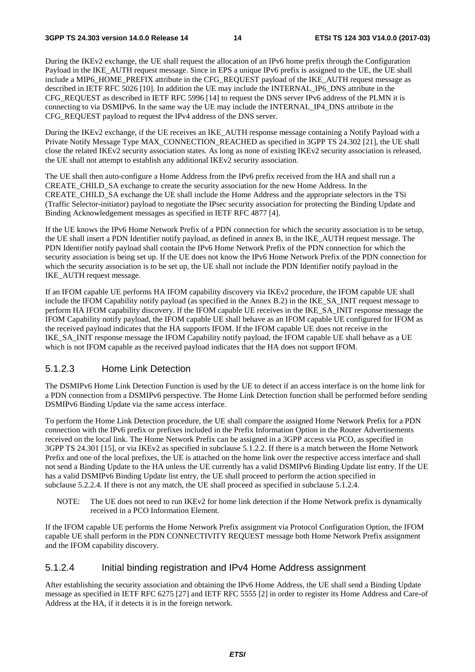During the IKEv2 exchange, the UE shall request the allocation of an IPv6 home prefix through the Configuration Payload in the IKE\_AUTH request message. Since in EPS a unique IPv6 prefix is assigned to the UE, the UE shall include a MIP6\_HOME\_PREFIX attribute in the CFG\_REQUEST payload of the IKE\_AUTH request message as described in IETF RFC 5026 [10]. In addition the UE may include the INTERNAL\_IP6\_DNS attribute in the CFG\_REQUEST as described in IETF RFC 5996 [14] to request the DNS server IPv6 address of the PLMN it is connecting to via DSMIPv6. In the same way the UE may include the INTERNAL IP4 DNS attribute in the CFG\_REQUEST payload to request the IPv4 address of the DNS server.

During the IKEv2 exchange, if the UE receives an IKE\_AUTH response message containing a Notify Payload with a Private Notify Message Type MAX\_CONNECTION\_REACHED as specified in 3GPP TS 24.302 [21], the UE shall close the related IKEv2 security association states. As long as none of existing IKEv2 security association is released, the UE shall not attempt to establish any additional IKEv2 security association.

The UE shall then auto-configure a Home Address from the IPv6 prefix received from the HA and shall run a CREATE\_CHILD\_SA exchange to create the security association for the new Home Address. In the CREATE\_CHILD\_SA exchange the UE shall include the Home Address and the appropriate selectors in the TSi (Traffic Selector-initiator) payload to negotiate the IPsec security association for protecting the Binding Update and Binding Acknowledgement messages as specified in IETF RFC 4877 [4].

If the UE knows the IPv6 Home Network Prefix of a PDN connection for which the security association is to be setup, the UE shall insert a PDN Identifier notify payload, as defined in annex B, in the IKE\_AUTH request message. The PDN Identifier notify payload shall contain the IPv6 Home Network Prefix of the PDN connection for which the security association is being set up. If the UE does not know the IPv6 Home Network Prefix of the PDN connection for which the security association is to be set up, the UE shall not include the PDN Identifier notify payload in the IKE\_AUTH request message.

If an IFOM capable UE performs HA IFOM capability discovery via IKEv2 procedure, the IFOM capable UE shall include the IFOM Capability notify payload (as specified in the Annex B.2) in the IKE\_SA\_INIT request message to perform HA IFOM capability discovery. If the IFOM capable UE receives in the IKE\_SA\_INIT response message the IFOM Capability notify payload, the IFOM capable UE shall behave as an IFOM capable UE configured for IFOM as the received payload indicates that the HA supports IFOM. If the IFOM capable UE does not receive in the IKE\_SA\_INIT response message the IFOM Capability notify payload, the IFOM capable UE shall behave as a UE which is not IFOM capable as the received payload indicates that the HA does not support IFOM.

#### 5.1.2.3 Home Link Detection

The DSMIPv6 Home Link Detection Function is used by the UE to detect if an access interface is on the home link for a PDN connection from a DSMIPv6 perspective. The Home Link Detection function shall be performed before sending DSMIPv6 Binding Update via the same access interface.

To perform the Home Link Detection procedure, the UE shall compare the assigned Home Network Prefix for a PDN connection with the IPv6 prefix or prefixes included in the Prefix Information Option in the Router Advertisements received on the local link. The Home Network Prefix can be assigned in a 3GPP access via PCO, as specified in 3GPP TS 24.301 [15], or via IKEv2 as specified in subclause 5.1.2.2. If there is a match between the Home Network Prefix and one of the local prefixes, the UE is attached on the home link over the respective access interface and shall not send a Binding Update to the HA unless the UE currently has a valid DSMIPv6 Binding Update list entry. If the UE has a valid DSMIPv6 Binding Update list entry, the UE shall proceed to perform the action specified in subclause 5.2.2.4. If there is not any match, the UE shall proceed as specified in subclause 5.1.2.4.

NOTE: The UE does not need to run IKEv2 for home link detection if the Home Network prefix is dynamically received in a PCO Information Element.

If the IFOM capable UE performs the Home Network Prefix assignment via Protocol Configuration Option, the IFOM capable UE shall perform in the PDN CONNECTIVITY REQUEST message both Home Network Prefix assignment and the IFOM capability discovery.

#### 5.1.2.4 Initial binding registration and IPv4 Home Address assignment

After establishing the security association and obtaining the IPv6 Home Address, the UE shall send a Binding Update message as specified in IETF RFC 6275 [27] and IETF RFC 5555 [2] in order to register its Home Address and Care-of Address at the HA, if it detects it is in the foreign network.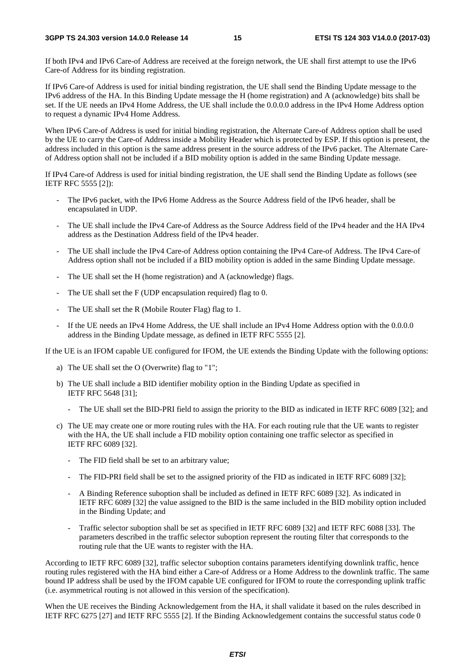If both IPv4 and IPv6 Care-of Address are received at the foreign network, the UE shall first attempt to use the IPv6 Care-of Address for its binding registration.

If IPv6 Care-of Address is used for initial binding registration, the UE shall send the Binding Update message to the IPv6 address of the HA. In this Binding Update message the H (home registration) and A (acknowledge) bits shall be set. If the UE needs an IPv4 Home Address, the UE shall include the 0.0.0.0 address in the IPv4 Home Address option to request a dynamic IPv4 Home Address.

When IPv6 Care-of Address is used for initial binding registration, the Alternate Care-of Address option shall be used by the UE to carry the Care-of Address inside a Mobility Header which is protected by ESP. If this option is present, the address included in this option is the same address present in the source address of the IPv6 packet. The Alternate Careof Address option shall not be included if a BID mobility option is added in the same Binding Update message.

If IPv4 Care-of Address is used for initial binding registration, the UE shall send the Binding Update as follows (see IETF RFC 5555 [2]):

- The IPv6 packet, with the IPv6 Home Address as the Source Address field of the IPv6 header, shall be encapsulated in UDP.
- The UE shall include the IPv4 Care-of Address as the Source Address field of the IPv4 header and the HA IPv4 address as the Destination Address field of the IPv4 header.
- The UE shall include the IPv4 Care-of Address option containing the IPv4 Care-of Address. The IPv4 Care-of Address option shall not be included if a BID mobility option is added in the same Binding Update message.
- The UE shall set the H (home registration) and A (acknowledge) flags.
- The UE shall set the F (UDP encapsulation required) flag to 0.
- The UE shall set the R (Mobile Router Flag) flag to 1.
- If the UE needs an IPv4 Home Address, the UE shall include an IPv4 Home Address option with the 0.0.0.0 address in the Binding Update message, as defined in IETF RFC 5555 [2].

If the UE is an IFOM capable UE configured for IFOM, the UE extends the Binding Update with the following options:

- a) The UE shall set the O (Overwrite) flag to "1";
- b) The UE shall include a BID identifier mobility option in the Binding Update as specified in IETF RFC 5648 [31];
	- The UE shall set the BID-PRI field to assign the priority to the BID as indicated in IETF RFC 6089 [32]; and
- c) The UE may create one or more routing rules with the HA. For each routing rule that the UE wants to register with the HA, the UE shall include a FID mobility option containing one traffic selector as specified in IETF RFC 6089 [32].
	- The FID field shall be set to an arbitrary value;
	- The FID-PRI field shall be set to the assigned priority of the FID as indicated in IETF RFC 6089 [32];
	- A Binding Reference suboption shall be included as defined in IETF RFC 6089 [32]. As indicated in IETF RFC 6089 [32] the value assigned to the BID is the same included in the BID mobility option included in the Binding Update; and
	- Traffic selector suboption shall be set as specified in IETF RFC 6089 [32] and IETF RFC 6088 [33]. The parameters described in the traffic selector suboption represent the routing filter that corresponds to the routing rule that the UE wants to register with the HA.

According to IETF RFC 6089 [32], traffic selector suboption contains parameters identifying downlink traffic, hence routing rules registered with the HA bind either a Care-of Address or a Home Address to the downlink traffic. The same bound IP address shall be used by the IFOM capable UE configured for IFOM to route the corresponding uplink traffic (i.e. asymmetrical routing is not allowed in this version of the specification).

When the UE receives the Binding Acknowledgement from the HA, it shall validate it based on the rules described in IETF RFC 6275 [27] and IETF RFC 5555 [2]. If the Binding Acknowledgement contains the successful status code 0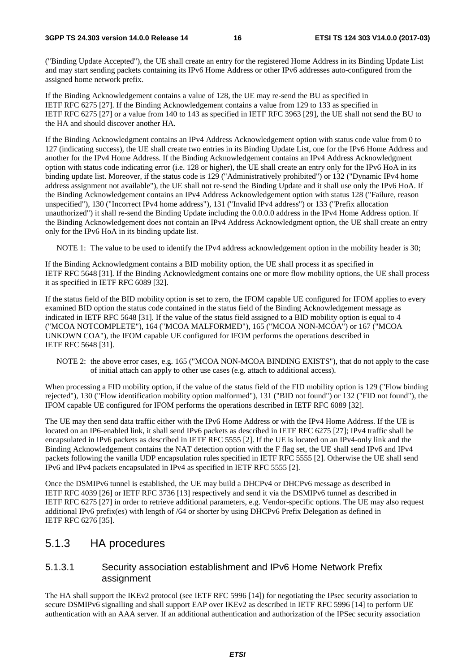("Binding Update Accepted"), the UE shall create an entry for the registered Home Address in its Binding Update List and may start sending packets containing its IPv6 Home Address or other IPv6 addresses auto-configured from the assigned home network prefix.

If the Binding Acknowledgement contains a value of 128, the UE may re-send the BU as specified in IETF RFC 6275 [27]. If the Binding Acknowledgement contains a value from 129 to 133 as specified in IETF RFC 6275 [27] or a value from 140 to 143 as specified in IETF RFC 3963 [29], the UE shall not send the BU to the HA and should discover another HA.

If the Binding Acknowledgment contains an IPv4 Address Acknowledgement option with status code value from 0 to 127 (indicating success), the UE shall create two entries in its Binding Update List, one for the IPv6 Home Address and another for the IPv4 Home Address. If the Binding Acknowledgement contains an IPv4 Address Acknowledgment option with status code indicating error (i.e. 128 or higher), the UE shall create an entry only for the IPv6 HoA in its binding update list. Moreover, if the status code is 129 ("Administratively prohibited") or 132 ("Dynamic IPv4 home address assignment not available"), the UE shall not re-send the Binding Update and it shall use only the IPv6 HoA. If the Binding Acknowledgement contains an IPv4 Address Acknowledgement option with status 128 ("Failure, reason unspecified"), 130 ("Incorrect IPv4 home address"), 131 ("Invalid IPv4 address") or 133 ("Prefix allocation unauthorized") it shall re-send the Binding Update including the 0.0.0.0 address in the IPv4 Home Address option. If the Binding Acknowledgement does not contain an IPv4 Address Acknowledgment option, the UE shall create an entry only for the IPv6 HoA in its binding update list.

NOTE 1: The value to be used to identify the IPv4 address acknowledgement option in the mobility header is 30;

If the Binding Acknowledgment contains a BID mobility option, the UE shall process it as specified in IETF RFC 5648 [31]. If the Binding Acknowledgment contains one or more flow mobility options, the UE shall process it as specified in IETF RFC 6089 [32].

If the status field of the BID mobility option is set to zero, the IFOM capable UE configured for IFOM applies to every examined BID option the status code contained in the status field of the Binding Acknowledgement message as indicated in IETF RFC 5648 [31]. If the value of the status field assigned to a BID mobility option is equal to 4 ("MCOA NOTCOMPLETE"), 164 ("MCOA MALFORMED"), 165 ("MCOA NON-MCOA") or 167 ("MCOA UNKOWN COA"), the IFOM capable UE configured for IFOM performs the operations described in IETF RFC 5648 [31].

NOTE 2: the above error cases, e.g. 165 ("MCOA NON-MCOA BINDING EXISTS"), that do not apply to the case of initial attach can apply to other use cases (e.g. attach to additional access).

When processing a FID mobility option, if the value of the status field of the FID mobility option is 129 ("Flow binding rejected"), 130 ("Flow identification mobility option malformed"), 131 ("BID not found") or 132 ("FID not found"), the IFOM capable UE configured for IFOM performs the operations described in IETF RFC 6089 [32].

The UE may then send data traffic either with the IPv6 Home Address or with the IPv4 Home Address. If the UE is located on an IP6-enabled link, it shall send IPv6 packets as described in IETF RFC 6275 [27]; IPv4 traffic shall be encapsulated in IPv6 packets as described in IETF RFC 5555 [2]. If the UE is located on an IPv4-only link and the Binding Acknowledgement contains the NAT detection option with the F flag set, the UE shall send IPv6 and IPv4 packets following the vanilla UDP encapsulation rules specified in IETF RFC 5555 [2]. Otherwise the UE shall send IPv6 and IPv4 packets encapsulated in IPv4 as specified in IETF RFC 5555 [2].

Once the DSMIPv6 tunnel is established, the UE may build a DHCPv4 or DHCPv6 message as described in IETF RFC 4039 [26] or IETF RFC 3736 [13] respectively and send it via the DSMIPv6 tunnel as described in IETF RFC 6275 [27] in order to retrieve additional parameters, e.g. Vendor-specific options. The UE may also request additional IPv6 prefix(es) with length of /64 or shorter by using DHCPv6 Prefix Delegation as defined in IETF RFC 6276 [35].

#### 5.1.3 HA procedures

#### 5.1.3.1 Security association establishment and IPv6 Home Network Prefix assignment

The HA shall support the IKEv2 protocol (see IETF RFC 5996 [14]) for negotiating the IPsec security association to secure DSMIPv6 signalling and shall support EAP over IKEv2 as described in IETF RFC 5996 [14] to perform UE authentication with an AAA server. If an additional authentication and authorization of the IPSec security association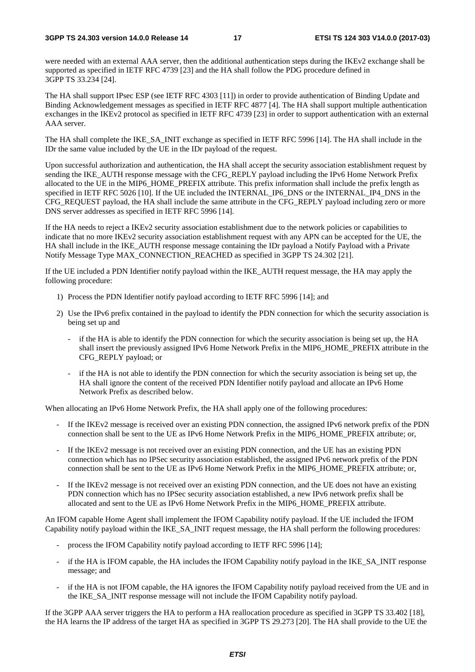were needed with an external AAA server, then the additional authentication steps during the IKEv2 exchange shall be supported as specified in IETF RFC 4739 [23] and the HA shall follow the PDG procedure defined in 3GPP TS 33.234 [24].

The HA shall support IPsec ESP (see IETF RFC 4303 [11]) in order to provide authentication of Binding Update and Binding Acknowledgement messages as specified in IETF RFC 4877 [4]. The HA shall support multiple authentication exchanges in the IKEv2 protocol as specified in IETF RFC 4739 [23] in order to support authentication with an external AAA server.

The HA shall complete the IKE\_SA\_INIT exchange as specified in IETF RFC 5996 [14]. The HA shall include in the IDr the same value included by the UE in the IDr payload of the request.

Upon successful authorization and authentication, the HA shall accept the security association establishment request by sending the IKE\_AUTH response message with the CFG\_REPLY payload including the IPv6 Home Network Prefix allocated to the UE in the MIP6\_HOME\_PREFIX attribute. This prefix information shall include the prefix length as specified in IETF RFC 5026 [10]. If the UE included the INTERNAL IP6 DNS or the INTERNAL IP4 DNS in the CFG\_REQUEST payload, the HA shall include the same attribute in the CFG\_REPLY payload including zero or more DNS server addresses as specified in IETF RFC 5996 [14].

If the HA needs to reject a IKEv2 security association establishment due to the network policies or capabilities to indicate that no more IKEv2 security association establishment request with any APN can be accepted for the UE, the HA shall include in the IKE\_AUTH response message containing the IDr payload a Notify Payload with a Private Notify Message Type MAX\_CONNECTION\_REACHED as specified in 3GPP TS 24.302 [21].

If the UE included a PDN Identifier notify payload within the IKE\_AUTH request message, the HA may apply the following procedure:

- 1) Process the PDN Identifier notify payload according to IETF RFC 5996 [14]; and
- 2) Use the IPv6 prefix contained in the payload to identify the PDN connection for which the security association is being set up and
	- if the HA is able to identify the PDN connection for which the security association is being set up, the HA shall insert the previously assigned IPv6 Home Network Prefix in the MIP6\_HOME\_PREFIX attribute in the CFG\_REPLY payload; or
	- if the HA is not able to identify the PDN connection for which the security association is being set up, the HA shall ignore the content of the received PDN Identifier notify payload and allocate an IPv6 Home Network Prefix as described below.

When allocating an IPv6 Home Network Prefix, the HA shall apply one of the following procedures:

- If the IKEv2 message is received over an existing PDN connection, the assigned IPv6 network prefix of the PDN connection shall be sent to the UE as IPv6 Home Network Prefix in the MIP6\_HOME\_PREFIX attribute; or,
- If the IKEv2 message is not received over an existing PDN connection, and the UE has an existing PDN connection which has no IPSec security association established, the assigned IPv6 network prefix of the PDN connection shall be sent to the UE as IPv6 Home Network Prefix in the MIP6\_HOME\_PREFIX attribute; or,
- If the IKEv2 message is not received over an existing PDN connection, and the UE does not have an existing PDN connection which has no IPSec security association established, a new IPv6 network prefix shall be allocated and sent to the UE as IPv6 Home Network Prefix in the MIP6\_HOME\_PREFIX attribute.

An IFOM capable Home Agent shall implement the IFOM Capability notify payload. If the UE included the IFOM Capability notify payload within the IKE\_SA\_INIT request message, the HA shall perform the following procedures:

- process the IFOM Capability notify payload according to IETF RFC 5996 [14];
- if the HA is IFOM capable, the HA includes the IFOM Capability notify payload in the IKE\_SA\_INIT response message; and
- if the HA is not IFOM capable, the HA ignores the IFOM Capability notify payload received from the UE and in the IKE\_SA\_INIT response message will not include the IFOM Capability notify payload.

If the 3GPP AAA server triggers the HA to perform a HA reallocation procedure as specified in 3GPP TS 33.402 [18], the HA learns the IP address of the target HA as specified in 3GPP TS 29.273 [20]. The HA shall provide to the UE the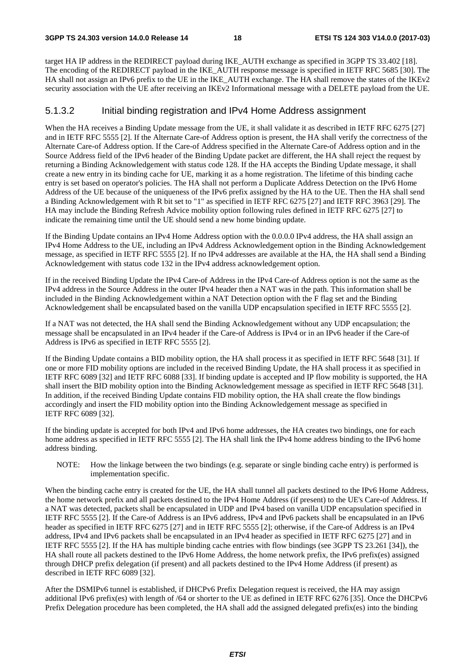target HA IP address in the REDIRECT payload during IKE\_AUTH exchange as specified in 3GPP TS 33.402 [18]. The encoding of the REDIRECT payload in the IKE\_AUTH response message is specified in IETF RFC 5685 [30]. The HA shall not assign an IPv6 prefix to the UE in the IKE\_AUTH exchange. The HA shall remove the states of the IKEv2 security association with the UE after receiving an IKEv2 Informational message with a DELETE payload from the UE.

#### 5.1.3.2 Initial binding registration and IPv4 Home Address assignment

When the HA receives a Binding Update message from the UE, it shall validate it as described in IETF RFC 6275 [27] and in IETF RFC 5555 [2]. If the Alternate Care-of Address option is present, the HA shall verify the correctness of the Alternate Care-of Address option. If the Care-of Address specified in the Alternate Care-of Address option and in the Source Address field of the IPv6 header of the Binding Update packet are different, the HA shall reject the request by returning a Binding Acknowledgement with status code 128. If the HA accepts the Binding Update message, it shall create a new entry in its binding cache for UE, marking it as a home registration. The lifetime of this binding cache entry is set based on operator's policies. The HA shall not perform a Duplicate Address Detection on the IPv6 Home Address of the UE because of the uniqueness of the IPv6 prefix assigned by the HA to the UE. Then the HA shall send a Binding Acknowledgement with R bit set to "1" as specified in IETF RFC 6275 [27] and IETF RFC 3963 [29]. The HA may include the Binding Refresh Advice mobility option following rules defined in IETF RFC 6275 [27] to indicate the remaining time until the UE should send a new home binding update.

If the Binding Update contains an IPv4 Home Address option with the 0.0.0.0 IPv4 address, the HA shall assign an IPv4 Home Address to the UE, including an IPv4 Address Acknowledgement option in the Binding Acknowledgement message, as specified in IETF RFC 5555 [2]. If no IPv4 addresses are available at the HA, the HA shall send a Binding Acknowledgement with status code 132 in the IPv4 address acknowledgement option.

If in the received Binding Update the IPv4 Care-of Address in the IPv4 Care-of Address option is not the same as the IPv4 address in the Source Address in the outer IPv4 header then a NAT was in the path. This information shall be included in the Binding Acknowledgement within a NAT Detection option with the F flag set and the Binding Acknowledgement shall be encapsulated based on the vanilla UDP encapsulation specified in IETF RFC 5555 [2].

If a NAT was not detected, the HA shall send the Binding Acknowledgement without any UDP encapsulation; the message shall be encapsulated in an IPv4 header if the Care-of Address is IPv4 or in an IPv6 header if the Care-of Address is IPv6 as specified in IETF RFC 5555 [2].

If the Binding Update contains a BID mobility option, the HA shall process it as specified in IETF RFC 5648 [31]. If one or more FID mobility options are included in the received Binding Update, the HA shall process it as specified in IETF RFC 6089 [32] and IETF RFC 6088 [33]. If binding update is accepted and IP flow mobility is supported, the HA shall insert the BID mobility option into the Binding Acknowledgement message as specified in IETF RFC 5648 [31]. In addition, if the received Binding Update contains FID mobility option, the HA shall create the flow bindings accordingly and insert the FID mobility option into the Binding Acknowledgement message as specified in IETF RFC 6089 [32].

If the binding update is accepted for both IPv4 and IPv6 home addresses, the HA creates two bindings, one for each home address as specified in IETF RFC 5555 [2]. The HA shall link the IPv4 home address binding to the IPv6 home address binding.

NOTE: How the linkage between the two bindings (e.g. separate or single binding cache entry) is performed is implementation specific.

When the binding cache entry is created for the UE, the HA shall tunnel all packets destined to the IPv6 Home Address, the home network prefix and all packets destined to the IPv4 Home Address (if present) to the UE's Care-of Address. If a NAT was detected, packets shall be encapsulated in UDP and IPv4 based on vanilla UDP encapsulation specified in IETF RFC 5555 [2]. If the Care-of Address is an IPv6 address, IPv4 and IPv6 packets shall be encapsulated in an IPv6 header as specified in IETF RFC 6275 [27] and in IETF RFC 5555 [2]; otherwise, if the Care-of Address is an IPv4 address, IPv4 and IPv6 packets shall be encapsulated in an IPv4 header as specified in IETF RFC 6275 [27] and in IETF RFC 5555 [2]. If the HA has multiple binding cache entries with flow bindings (see 3GPP TS 23.261 [34]), the HA shall route all packets destined to the IPv6 Home Address, the home network prefix, the IPv6 prefix(es) assigned through DHCP prefix delegation (if present) and all packets destined to the IPv4 Home Address (if present) as described in IETF RFC 6089 [32].

After the DSMIPv6 tunnel is established, if DHCPv6 Prefix Delegation request is received, the HA may assign additional IPv6 prefix(es) with length of /64 or shorter to the UE as defined in IETF RFC 6276 [35]. Once the DHCPv6 Prefix Delegation procedure has been completed, the HA shall add the assigned delegated prefix(es) into the binding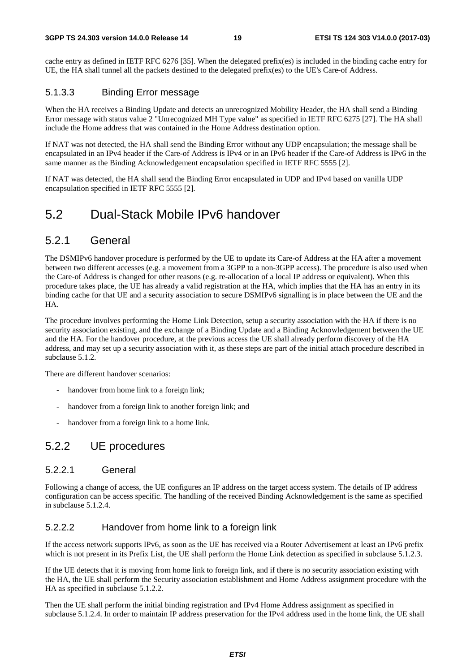cache entry as defined in IETF RFC 6276 [35]. When the delegated prefix(es) is included in the binding cache entry for UE, the HA shall tunnel all the packets destined to the delegated prefix(es) to the UE's Care-of Address.

#### 5.1.3.3 Binding Error message

When the HA receives a Binding Update and detects an unrecognized Mobility Header, the HA shall send a Binding Error message with status value 2 "Unrecognized MH Type value" as specified in IETF RFC 6275 [27]. The HA shall include the Home address that was contained in the Home Address destination option.

If NAT was not detected, the HA shall send the Binding Error without any UDP encapsulation; the message shall be encapsulated in an IPv4 header if the Care-of Address is IPv4 or in an IPv6 header if the Care-of Address is IPv6 in the same manner as the Binding Acknowledgement encapsulation specified in IETF RFC 5555 [2].

If NAT was detected, the HA shall send the Binding Error encapsulated in UDP and IPv4 based on vanilla UDP encapsulation specified in IETF RFC 5555 [2].

### 5.2 Dual-Stack Mobile IPv6 handover

#### 5.2.1 General

The DSMIPv6 handover procedure is performed by the UE to update its Care-of Address at the HA after a movement between two different accesses (e.g. a movement from a 3GPP to a non-3GPP access). The procedure is also used when the Care-of Address is changed for other reasons (e.g. re-allocation of a local IP address or equivalent). When this procedure takes place, the UE has already a valid registration at the HA, which implies that the HA has an entry in its binding cache for that UE and a security association to secure DSMIPv6 signalling is in place between the UE and the HA.

The procedure involves performing the Home Link Detection, setup a security association with the HA if there is no security association existing, and the exchange of a Binding Update and a Binding Acknowledgement between the UE and the HA. For the handover procedure, at the previous access the UE shall already perform discovery of the HA address, and may set up a security association with it, as these steps are part of the initial attach procedure described in subclause 5.1.2.

There are different handover scenarios:

- handover from home link to a foreign link;
- handover from a foreign link to another foreign link; and
- handover from a foreign link to a home link.

#### 5.2.2 UE procedures

#### 5.2.2.1 General

Following a change of access, the UE configures an IP address on the target access system. The details of IP address configuration can be access specific. The handling of the received Binding Acknowledgement is the same as specified in subclause 5.1.2.4.

#### 5.2.2.2 Handover from home link to a foreign link

If the access network supports IPv6, as soon as the UE has received via a Router Advertisement at least an IPv6 prefix which is not present in its Prefix List, the UE shall perform the Home Link detection as specified in subclause 5.1.2.3.

If the UE detects that it is moving from home link to foreign link, and if there is no security association existing with the HA, the UE shall perform the Security association establishment and Home Address assignment procedure with the HA as specified in subclause 5.1.2.2.

Then the UE shall perform the initial binding registration and IPv4 Home Address assignment as specified in subclause 5.1.2.4. In order to maintain IP address preservation for the IPv4 address used in the home link, the UE shall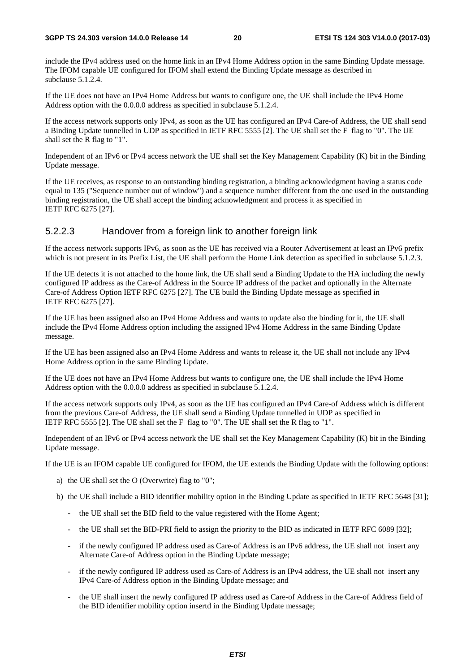include the IPv4 address used on the home link in an IPv4 Home Address option in the same Binding Update message. The IFOM capable UE configured for IFOM shall extend the Binding Update message as described in subclause 5.1.2.4.

If the UE does not have an IPv4 Home Address but wants to configure one, the UE shall include the IPv4 Home Address option with the 0.0.0.0 address as specified in subclause 5.1.2.4.

If the access network supports only IPv4, as soon as the UE has configured an IPv4 Care-of Address, the UE shall send a Binding Update tunnelled in UDP as specified in IETF RFC 5555 [2]. The UE shall set the F flag to "0". The UE shall set the R flag to "1".

Independent of an IPv6 or IPv4 access network the UE shall set the Key Management Capability (K) bit in the Binding Update message.

If the UE receives, as response to an outstanding binding registration, a binding acknowledgment having a status code equal to 135 ("Sequence number out of window") and a sequence number different from the one used in the outstanding binding registration, the UE shall accept the binding acknowledgment and process it as specified in IETF RFC 6275 [27].

#### 5.2.2.3 Handover from a foreign link to another foreign link

If the access network supports IPv6, as soon as the UE has received via a Router Advertisement at least an IPv6 prefix which is not present in its Prefix List, the UE shall perform the Home Link detection as specified in subclause 5.1.2.3.

If the UE detects it is not attached to the home link, the UE shall send a Binding Update to the HA including the newly configured IP address as the Care-of Address in the Source IP address of the packet and optionally in the Alternate Care-of Address Option IETF RFC 6275 [27]. The UE build the Binding Update message as specified in IETF RFC 6275 [27].

If the UE has been assigned also an IPv4 Home Address and wants to update also the binding for it, the UE shall include the IPv4 Home Address option including the assigned IPv4 Home Address in the same Binding Update message.

If the UE has been assigned also an IPv4 Home Address and wants to release it, the UE shall not include any IPv4 Home Address option in the same Binding Update.

If the UE does not have an IPv4 Home Address but wants to configure one, the UE shall include the IPv4 Home Address option with the 0.0.0.0 address as specified in subclause 5.1.2.4.

If the access network supports only IPv4, as soon as the UE has configured an IPv4 Care-of Address which is different from the previous Care-of Address, the UE shall send a Binding Update tunnelled in UDP as specified in IETF RFC 5555 [2]. The UE shall set the F flag to "0". The UE shall set the R flag to "1".

Independent of an IPv6 or IPv4 access network the UE shall set the Key Management Capability (K) bit in the Binding Update message.

If the UE is an IFOM capable UE configured for IFOM, the UE extends the Binding Update with the following options:

- a) the UE shall set the O (Overwrite) flag to "0";
- b) the UE shall include a BID identifier mobility option in the Binding Update as specified in IETF RFC 5648 [31];
	- the UE shall set the BID field to the value registered with the Home Agent;
	- the UE shall set the BID-PRI field to assign the priority to the BID as indicated in IETF RFC 6089 [32];
	- if the newly configured IP address used as Care-of Address is an IPv6 address, the UE shall not insert any Alternate Care-of Address option in the Binding Update message;
	- if the newly configured IP address used as Care-of Address is an IPv4 address, the UE shall not insert any IPv4 Care-of Address option in the Binding Update message; and
	- the UE shall insert the newly configured IP address used as Care-of Address in the Care-of Address field of the BID identifier mobility option insertd in the Binding Update message;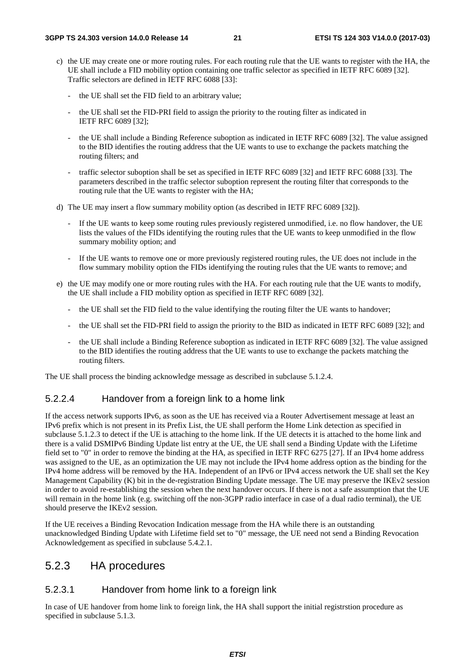- c) the UE may create one or more routing rules. For each routing rule that the UE wants to register with the HA, the UE shall include a FID mobility option containing one traffic selector as specified in IETF RFC 6089 [32]. Traffic selectors are defined in IETF RFC 6088 [33]:
	- the UE shall set the FID field to an arbitrary value;
	- the UE shall set the FID-PRI field to assign the priority to the routing filter as indicated in IETF RFC 6089 [32];
	- the UE shall include a Binding Reference suboption as indicated in IETF RFC 6089 [32]. The value assigned to the BID identifies the routing address that the UE wants to use to exchange the packets matching the routing filters; and
	- traffic selector suboption shall be set as specified in IETF RFC 6089 [32] and IETF RFC 6088 [33]. The parameters described in the traffic selector suboption represent the routing filter that corresponds to the routing rule that the UE wants to register with the HA;
- d) The UE may insert a flow summary mobility option (as described in IETF RFC 6089 [32]).
	- If the UE wants to keep some routing rules previously registered unmodified, i.e. no flow handover, the UE lists the values of the FIDs identifying the routing rules that the UE wants to keep unmodified in the flow summary mobility option; and
	- If the UE wants to remove one or more previously registered routing rules, the UE does not include in the flow summary mobility option the FIDs identifying the routing rules that the UE wants to remove; and
- e) the UE may modify one or more routing rules with the HA. For each routing rule that the UE wants to modify, the UE shall include a FID mobility option as specified in IETF RFC 6089 [32].
	- the UE shall set the FID field to the value identifying the routing filter the UE wants to handover;
	- the UE shall set the FID-PRI field to assign the priority to the BID as indicated in IETF RFC 6089 [32]; and
	- the UE shall include a Binding Reference suboption as indicated in IETF RFC 6089 [32]. The value assigned to the BID identifies the routing address that the UE wants to use to exchange the packets matching the routing filters.

The UE shall process the binding acknowledge message as described in subclause 5.1.2.4.

#### 5.2.2.4 Handover from a foreign link to a home link

If the access network supports IPv6, as soon as the UE has received via a Router Advertisement message at least an IPv6 prefix which is not present in its Prefix List, the UE shall perform the Home Link detection as specified in subclause 5.1.2.3 to detect if the UE is attaching to the home link. If the UE detects it is attached to the home link and there is a valid DSMIPv6 Binding Update list entry at the UE, the UE shall send a Binding Update with the Lifetime field set to "0" in order to remove the binding at the HA, as specified in IETF RFC 6275 [27]. If an IPv4 home address was assigned to the UE, as an optimization the UE may not include the IPv4 home address option as the binding for the IPv4 home address will be removed by the HA. Independent of an IPv6 or IPv4 access network the UE shall set the Key Management Capability (K) bit in the de-registration Binding Update message. The UE may preserve the IKEv2 session in order to avoid re-establishing the session when the next handover occurs. If there is not a safe assumption that the UE will remain in the home link (e.g. switching off the non-3GPP radio interface in case of a dual radio terminal), the UE should preserve the IKEv2 session.

If the UE receives a Binding Revocation Indication message from the HA while there is an outstanding unacknowledged Binding Update with Lifetime field set to "0" message, the UE need not send a Binding Revocation Acknowledgement as specified in subclause 5.4.2.1.

### 5.2.3 HA procedures

#### 5.2.3.1 Handover from home link to a foreign link

In case of UE handover from home link to foreign link, the HA shall support the initial registrstion procedure as specified in subclause 5.1.3.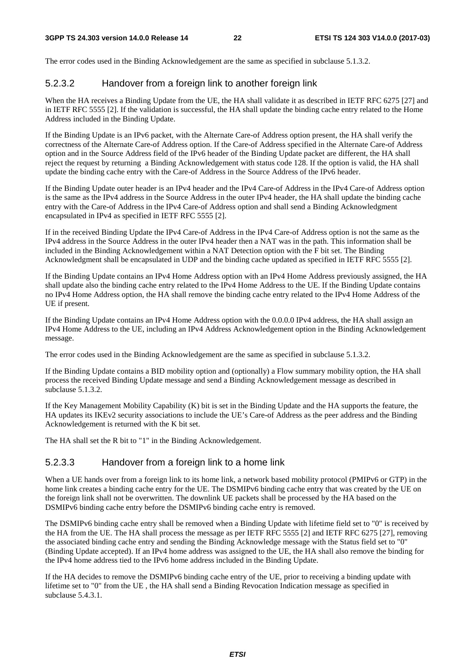The error codes used in the Binding Acknowledgement are the same as specified in subclause 5.1.3.2.

#### 5.2.3.2 Handover from a foreign link to another foreign link

When the HA receives a Binding Update from the UE, the HA shall validate it as described in IETF RFC 6275 [27] and in IETF RFC 5555 [2]. If the validation is successful, the HA shall update the binding cache entry related to the Home Address included in the Binding Update.

If the Binding Update is an IPv6 packet, with the Alternate Care-of Address option present, the HA shall verify the correctness of the Alternate Care-of Address option. If the Care-of Address specified in the Alternate Care-of Address option and in the Source Address field of the IPv6 header of the Binding Update packet are different, the HA shall reject the request by returning a Binding Acknowledgement with status code 128. If the option is valid, the HA shall update the binding cache entry with the Care-of Address in the Source Address of the IPv6 header.

If the Binding Update outer header is an IPv4 header and the IPv4 Care-of Address in the IPv4 Care-of Address option is the same as the IPv4 address in the Source Address in the outer IPv4 header, the HA shall update the binding cache entry with the Care-of Address in the IPv4 Care-of Address option and shall send a Binding Acknowledgment encapsulated in IPv4 as specified in IETF RFC 5555 [2].

If in the received Binding Update the IPv4 Care-of Address in the IPv4 Care-of Address option is not the same as the IPv4 address in the Source Address in the outer IPv4 header then a NAT was in the path. This information shall be included in the Binding Acknowledgement within a NAT Detection option with the F bit set. The Binding Acknowledgment shall be encapsulated in UDP and the binding cache updated as specified in IETF RFC 5555 [2].

If the Binding Update contains an IPv4 Home Address option with an IPv4 Home Address previously assigned, the HA shall update also the binding cache entry related to the IPv4 Home Address to the UE. If the Binding Update contains no IPv4 Home Address option, the HA shall remove the binding cache entry related to the IPv4 Home Address of the UE if present.

If the Binding Update contains an IPv4 Home Address option with the 0.0.0.0 IPv4 address, the HA shall assign an IPv4 Home Address to the UE, including an IPv4 Address Acknowledgement option in the Binding Acknowledgement message.

The error codes used in the Binding Acknowledgement are the same as specified in subclause 5.1.3.2.

If the Binding Update contains a BID mobility option and (optionally) a Flow summary mobility option, the HA shall process the received Binding Update message and send a Binding Acknowledgement message as described in subclause 5.1.3.2.

If the Key Management Mobility Capability (K) bit is set in the Binding Update and the HA supports the feature, the HA updates its IKEv2 security associations to include the UE's Care-of Address as the peer address and the Binding Acknowledgement is returned with the K bit set.

The HA shall set the R bit to "1" in the Binding Acknowledgement.

#### 5.2.3.3 Handover from a foreign link to a home link

When a UE hands over from a foreign link to its home link, a network based mobility protocol (PMIPv6 or GTP) in the home link creates a binding cache entry for the UE. The DSMIPv6 binding cache entry that was created by the UE on the foreign link shall not be overwritten. The downlink UE packets shall be processed by the HA based on the DSMIPv6 binding cache entry before the DSMIPv6 binding cache entry is removed.

The DSMIPv6 binding cache entry shall be removed when a Binding Update with lifetime field set to "0" is received by the HA from the UE. The HA shall process the message as per IETF RFC 5555 [2] and IETF RFC 6275 [27], removing the associated binding cache entry and sending the Binding Acknowledge message with the Status field set to "0" (Binding Update accepted). If an IPv4 home address was assigned to the UE, the HA shall also remove the binding for the IPv4 home address tied to the IPv6 home address included in the Binding Update.

If the HA decides to remove the DSMIPv6 binding cache entry of the UE, prior to receiving a binding update with lifetime set to "0" from the UE , the HA shall send a Binding Revocation Indication message as specified in subclause 5.4.3.1.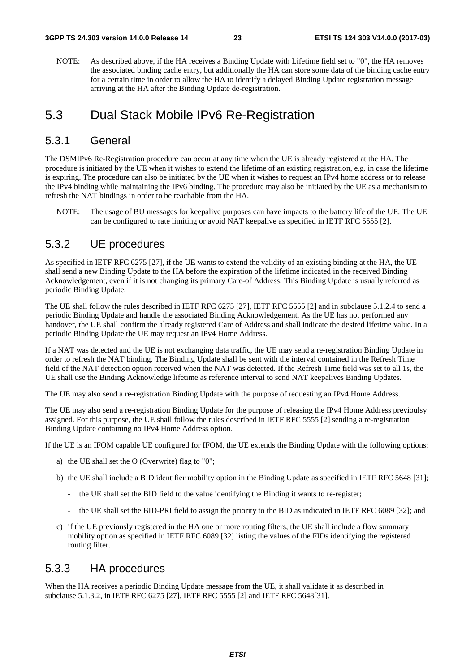NOTE: As described above, if the HA receives a Binding Update with Lifetime field set to "0", the HA removes the associated binding cache entry, but additionally the HA can store some data of the binding cache entry for a certain time in order to allow the HA to identify a delayed Binding Update registration message arriving at the HA after the Binding Update de-registration.

### 5.3 Dual Stack Mobile IPv6 Re-Registration

#### 5.3.1 General

The DSMIPv6 Re-Registration procedure can occur at any time when the UE is already registered at the HA. The procedure is initiated by the UE when it wishes to extend the lifetime of an existing registration, e.g. in case the lifetime is expiring. The procedure can also be initiated by the UE when it wishes to request an IPv4 home address or to release the IPv4 binding while maintaining the IPv6 binding. The procedure may also be initiated by the UE as a mechanism to refresh the NAT bindings in order to be reachable from the HA.

NOTE: The usage of BU messages for keepalive purposes can have impacts to the battery life of the UE. The UE can be configured to rate limiting or avoid NAT keepalive as specified in IETF RFC 5555 [2].

### 5.3.2 UE procedures

As specified in IETF RFC 6275 [27], if the UE wants to extend the validity of an existing binding at the HA, the UE shall send a new Binding Update to the HA before the expiration of the lifetime indicated in the received Binding Acknowledgement, even if it is not changing its primary Care-of Address. This Binding Update is usually referred as periodic Binding Update.

The UE shall follow the rules described in IETF RFC 6275 [27], IETF RFC 5555 [2] and in subclause 5.1.2.4 to send a periodic Binding Update and handle the associated Binding Acknowledgement. As the UE has not performed any handover, the UE shall confirm the already registered Care of Address and shall indicate the desired lifetime value. In a periodic Binding Update the UE may request an IPv4 Home Address.

If a NAT was detected and the UE is not exchanging data traffic, the UE may send a re-registration Binding Update in order to refresh the NAT binding. The Binding Update shall be sent with the interval contained in the Refresh Time field of the NAT detection option received when the NAT was detected. If the Refresh Time field was set to all 1s, the UE shall use the Binding Acknowledge lifetime as reference interval to send NAT keepalives Binding Updates.

The UE may also send a re-registration Binding Update with the purpose of requesting an IPv4 Home Address.

The UE may also send a re-registration Binding Update for the purpose of releasing the IPv4 Home Address previoulsy assigned. For this purpose, the UE shall follow the rules described in IETF RFC 5555 [2] sending a re-registration Binding Update containing no IPv4 Home Address option.

If the UE is an IFOM capable UE configured for IFOM, the UE extends the Binding Update with the following options:

- a) the UE shall set the O (Overwrite) flag to "0";
- b) the UE shall include a BID identifier mobility option in the Binding Update as specified in IETF RFC 5648 [31];
	- the UE shall set the BID field to the value identifying the Binding it wants to re-register;
	- the UE shall set the BID-PRI field to assign the priority to the BID as indicated in IETF RFC 6089 [32]; and
- c) if the UE previously registered in the HA one or more routing filters, the UE shall include a flow summary mobility option as specified in IETF RFC 6089 [32] listing the values of the FIDs identifying the registered routing filter.

### 5.3.3 HA procedures

When the HA receives a periodic Binding Update message from the UE, it shall validate it as described in subclause 5.1.3.2, in IETF RFC 6275 [27], IETF RFC 5555 [2] and IETF RFC 5648[31].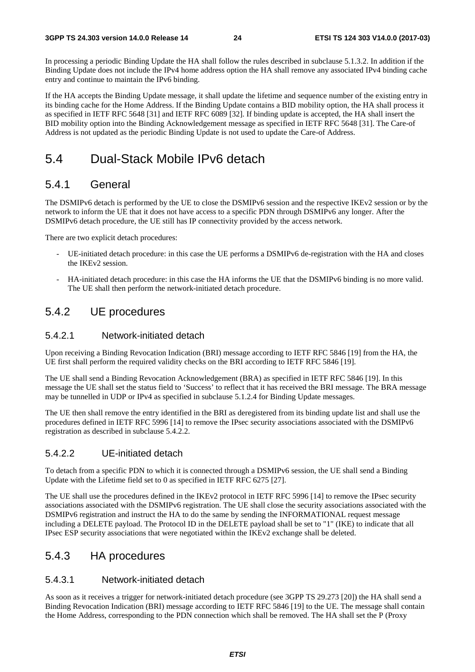In processing a periodic Binding Update the HA shall follow the rules described in subclause 5.1.3.2. In addition if the Binding Update does not include the IPv4 home address option the HA shall remove any associated IPv4 binding cache entry and continue to maintain the IPv6 binding.

If the HA accepts the Binding Update message, it shall update the lifetime and sequence number of the existing entry in its binding cache for the Home Address. If the Binding Update contains a BID mobility option, the HA shall process it as specified in IETF RFC 5648 [31] and IETF RFC 6089 [32]. If binding update is accepted, the HA shall insert the BID mobility option into the Binding Acknowledgement message as specified in IETF RFC 5648 [31]. The Care-of Address is not updated as the periodic Binding Update is not used to update the Care-of Address.

### 5.4 Dual-Stack Mobile IPv6 detach

#### 5.4.1 General

The DSMIPv6 detach is performed by the UE to close the DSMIPv6 session and the respective IKEv2 session or by the network to inform the UE that it does not have access to a specific PDN through DSMIPv6 any longer. After the DSMIPv6 detach procedure, the UE still has IP connectivity provided by the access network.

There are two explicit detach procedures:

- UE-initiated detach procedure: in this case the UE performs a DSMIPv6 de-registration with the HA and closes the IKEv2 session.
- HA-initiated detach procedure: in this case the HA informs the UE that the DSMIPv6 binding is no more valid. The UE shall then perform the network-initiated detach procedure.

### 5.4.2 UE procedures

#### 5.4.2.1 Network-initiated detach

Upon receiving a Binding Revocation Indication (BRI) message according to IETF RFC 5846 [19] from the HA, the UE first shall perform the required validity checks on the BRI according to IETF RFC 5846 [19].

The UE shall send a Binding Revocation Acknowledgement (BRA) as specified in IETF RFC 5846 [19]. In this message the UE shall set the status field to 'Success' to reflect that it has received the BRI message. The BRA message may be tunnelled in UDP or IPv4 as specified in subclause 5.1.2.4 for Binding Update messages.

The UE then shall remove the entry identified in the BRI as deregistered from its binding update list and shall use the procedures defined in IETF RFC 5996 [14] to remove the IPsec security associations associated with the DSMIPv6 registration as described in subclause 5.4.2.2.

#### 5.4.2.2 UE-initiated detach

To detach from a specific PDN to which it is connected through a DSMIPv6 session, the UE shall send a Binding Update with the Lifetime field set to 0 as specified in IETF RFC 6275 [27].

The UE shall use the procedures defined in the IKEv2 protocol in IETF RFC 5996 [14] to remove the IPsec security associations associated with the DSMIPv6 registration. The UE shall close the security associations associated with the DSMIPv6 registration and instruct the HA to do the same by sending the INFORMATIONAL request message including a DELETE payload. The Protocol ID in the DELETE payload shall be set to "1" (IKE) to indicate that all IPsec ESP security associations that were negotiated within the IKEv2 exchange shall be deleted.

#### 5.4.3 HA procedures

#### 5.4.3.1 Network-initiated detach

As soon as it receives a trigger for network-initiated detach procedure (see 3GPP TS 29.273 [20]) the HA shall send a Binding Revocation Indication (BRI) message according to IETF RFC 5846 [19] to the UE. The message shall contain the Home Address, corresponding to the PDN connection which shall be removed. The HA shall set the P (Proxy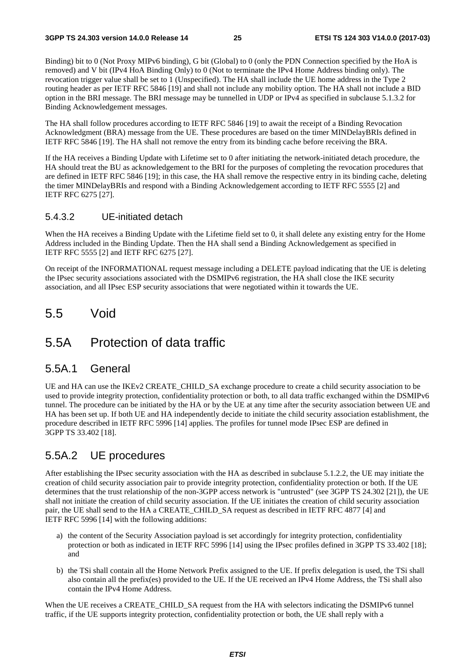Binding) bit to 0 (Not Proxy MIPv6 binding), G bit (Global) to 0 (only the PDN Connection specified by the HoA is removed) and V bit (IPv4 HoA Binding Only) to 0 (Not to terminate the IPv4 Home Address binding only). The revocation trigger value shall be set to 1 (Unspecified). The HA shall include the UE home address in the Type 2 routing header as per IETF RFC 5846 [19] and shall not include any mobility option. The HA shall not include a BID option in the BRI message. The BRI message may be tunnelled in UDP or IPv4 as specified in subclause 5.1.3.2 for Binding Acknowledgement messages.

The HA shall follow procedures according to IETF RFC 5846 [19] to await the receipt of a Binding Revocation Acknowledgment (BRA) message from the UE. These procedures are based on the timer MINDelayBRIs defined in IETF RFC 5846 [19]. The HA shall not remove the entry from its binding cache before receiving the BRA.

If the HA receives a Binding Update with Lifetime set to 0 after initiating the network-initiated detach procedure, the HA should treat the BU as acknowledgement to the BRI for the purposes of completing the revocation procedures that are defined in IETF RFC 5846 [19]; in this case, the HA shall remove the respective entry in its binding cache, deleting the timer MINDelayBRIs and respond with a Binding Acknowledgement according to IETF RFC 5555 [2] and IETF RFC 6275 [27].

#### 5.4.3.2 UE-initiated detach

When the HA receives a Binding Update with the Lifetime field set to 0, it shall delete any existing entry for the Home Address included in the Binding Update. Then the HA shall send a Binding Acknowledgement as specified in IETF RFC 5555 [2] and IETF RFC 6275 [27].

On receipt of the INFORMATIONAL request message including a DELETE payload indicating that the UE is deleting the IPsec security associations associated with the DSMIPv6 registration, the HA shall close the IKE security association, and all IPsec ESP security associations that were negotiated within it towards the UE.

### 5.5 Void

### 5.5A Protection of data traffic

#### 5.5A.1 General

UE and HA can use the IKEv2 CREATE\_CHILD\_SA exchange procedure to create a child security association to be used to provide integrity protection, confidentiality protection or both, to all data traffic exchanged within the DSMIPv6 tunnel. The procedure can be initiated by the HA or by the UE at any time after the security association between UE and HA has been set up. If both UE and HA independently decide to initiate the child security association establishment, the procedure described in IETF RFC 5996 [14] applies. The profiles for tunnel mode IPsec ESP are defined in 3GPP TS 33.402 [18].

### 5.5A.2 UE procedures

After establishing the IPsec security association with the HA as described in subclause 5.1.2.2, the UE may initiate the creation of child security association pair to provide integrity protection, confidentiality protection or both. If the UE determines that the trust relationship of the non-3GPP access network is "untrusted" (see 3GPP TS 24.302 [21]), the UE shall not initiate the creation of child security association. If the UE initiates the creation of child security association pair, the UE shall send to the HA a CREATE\_CHILD\_SA request as described in IETF RFC 4877 [4] and IETF RFC 5996 [14] with the following additions:

- a) the content of the Security Association payload is set accordingly for integrity protection, confidentiality protection or both as indicated in IETF RFC 5996 [14] using the IPsec profiles defined in 3GPP TS 33.402 [18]; and
- b) the TSi shall contain all the Home Network Prefix assigned to the UE. If prefix delegation is used, the TSi shall also contain all the prefix(es) provided to the UE. If the UE received an IPv4 Home Address, the TSi shall also contain the IPv4 Home Address.

When the UE receives a CREATE\_CHILD\_SA request from the HA with selectors indicating the DSMIPv6 tunnel traffic, if the UE supports integrity protection, confidentiality protection or both, the UE shall reply with a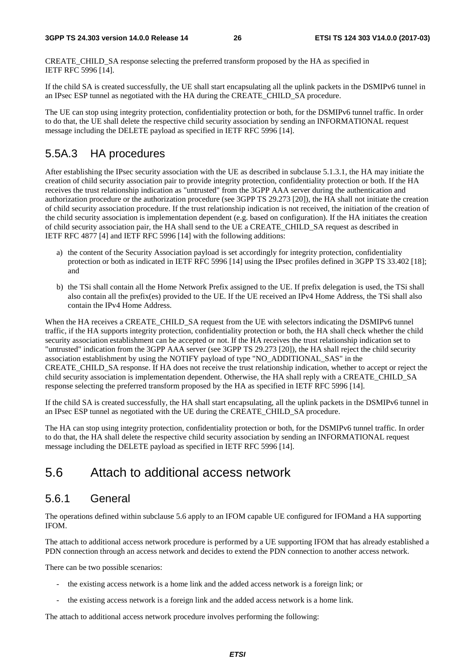CREATE\_CHILD\_SA response selecting the preferred transform proposed by the HA as specified in IETF RFC 5996 [14].

If the child SA is created successfully, the UE shall start encapsulating all the uplink packets in the DSMIPv6 tunnel in an IPsec ESP tunnel as negotiated with the HA during the CREATE\_CHILD\_SA procedure.

The UE can stop using integrity protection, confidentiality protection or both, for the DSMIPv6 tunnel traffic. In order to do that, the UE shall delete the respective child security association by sending an INFORMATIONAL request message including the DELETE payload as specified in IETF RFC 5996 [14].

### 5.5A.3 HA procedures

After establishing the IPsec security association with the UE as described in subclause 5.1.3.1, the HA may initiate the creation of child security association pair to provide integrity protection, confidentiality protection or both. If the HA receives the trust relationship indication as "untrusted" from the 3GPP AAA server during the authentication and authorization procedure or the authorization procedure (see 3GPP TS 29.273 [20]), the HA shall not initiate the creation of child security association procedure. If the trust relationship indication is not received, the initiation of the creation of the child security association is implementation dependent (e.g. based on configuration). If the HA initiates the creation of child security association pair, the HA shall send to the UE a CREATE\_CHILD\_SA request as described in IETF RFC 4877 [4] and IETF RFC 5996 [14] with the following additions:

- a) the content of the Security Association payload is set accordingly for integrity protection, confidentiality protection or both as indicated in IETF RFC 5996 [14] using the IPsec profiles defined in 3GPP TS 33.402 [18]; and
- b) the TSi shall contain all the Home Network Prefix assigned to the UE. If prefix delegation is used, the TSi shall also contain all the prefix(es) provided to the UE. If the UE received an IPv4 Home Address, the TSi shall also contain the IPv4 Home Address.

When the HA receives a CREATE\_CHILD\_SA request from the UE with selectors indicating the DSMIPv6 tunnel traffic, if the HA supports integrity protection, confidentiality protection or both, the HA shall check whether the child security association establishment can be accepted or not. If the HA receives the trust relationship indication set to "untrusted" indication from the 3GPP AAA server (see 3GPP TS 29.273 [20]), the HA shall reject the child security association establishment by using the NOTIFY payload of type "NO\_ADDITIONAL\_SAS" in the CREATE\_CHILD\_SA response. If HA does not receive the trust relationship indication, whether to accept or reject the child security association is implementation dependent. Otherwise, the HA shall reply with a CREATE\_CHILD\_SA response selecting the preferred transform proposed by the HA as specified in IETF RFC 5996 [14].

If the child SA is created successfully, the HA shall start encapsulating, all the uplink packets in the DSMIPv6 tunnel in an IPsec ESP tunnel as negotiated with the UE during the CREATE\_CHILD\_SA procedure.

The HA can stop using integrity protection, confidentiality protection or both, for the DSMIPv6 tunnel traffic. In order to do that, the HA shall delete the respective child security association by sending an INFORMATIONAL request message including the DELETE payload as specified in IETF RFC 5996 [14].

### 5.6 Attach to additional access network

#### 5.6.1 General

The operations defined within subclause 5.6 apply to an IFOM capable UE configured for IFOMand a HA supporting IFOM.

The attach to additional access network procedure is performed by a UE supporting IFOM that has already established a PDN connection through an access network and decides to extend the PDN connection to another access network.

There can be two possible scenarios:

- the existing access network is a home link and the added access network is a foreign link; or
- the existing access network is a foreign link and the added access network is a home link.

The attach to additional access network procedure involves performing the following: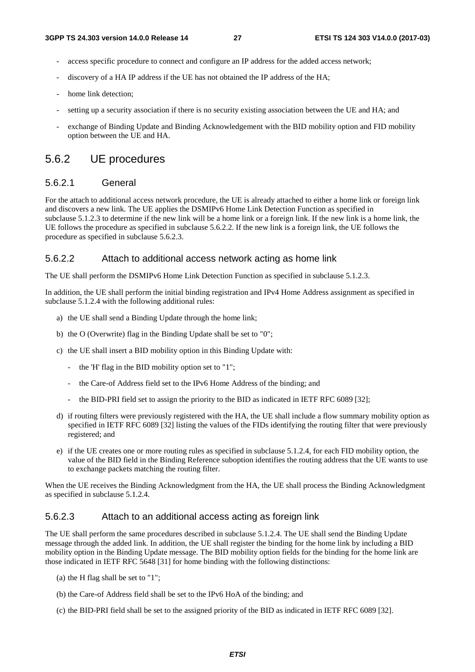- access specific procedure to connect and configure an IP address for the added access network;
- discovery of a HA IP address if the UE has not obtained the IP address of the HA;
- home link detection:
- setting up a security association if there is no security existing association between the UE and HA; and
- exchange of Binding Update and Binding Acknowledgement with the BID mobility option and FID mobility option between the UE and HA.

#### 5.6.2 UE procedures

#### 5.6.2.1 General

For the attach to additional access network procedure, the UE is already attached to either a home link or foreign link and discovers a new link. The UE applies the DSMIPv6 Home Link Detection Function as specified in subclause 5.1.2.3 to determine if the new link will be a home link or a foreign link. If the new link is a home link, the UE follows the procedure as specified in subclause 5.6.2.2. If the new link is a foreign link, the UE follows the procedure as specified in subclause 5.6.2.3.

#### 5.6.2.2 Attach to additional access network acting as home link

The UE shall perform the DSMIPv6 Home Link Detection Function as specified in subclause 5.1.2.3.

In addition, the UE shall perform the initial binding registration and IPv4 Home Address assignment as specified in subclause 5.1.2.4 with the following additional rules:

- a) the UE shall send a Binding Update through the home link;
- b) the O (Overwrite) flag in the Binding Update shall be set to "0";
- c) the UE shall insert a BID mobility option in this Binding Update with:
	- the 'H' flag in the BID mobility option set to "1";
	- the Care-of Address field set to the IPv6 Home Address of the binding; and
	- the BID-PRI field set to assign the priority to the BID as indicated in IETF RFC 6089 [32];
- d) if routing filters were previously registered with the HA, the UE shall include a flow summary mobility option as specified in IETF RFC 6089 [32] listing the values of the FIDs identifying the routing filter that were previously registered; and
- e) if the UE creates one or more routing rules as specified in subclause 5.1.2.4, for each FID mobility option, the value of the BID field in the Binding Reference suboption identifies the routing address that the UE wants to use to exchange packets matching the routing filter.

When the UE receives the Binding Acknowledgment from the HA, the UE shall process the Binding Acknowledgment as specified in subclause 5.1.2.4.

#### 5.6.2.3 Attach to an additional access acting as foreign link

The UE shall perform the same procedures described in subclause 5.1.2.4. The UE shall send the Binding Update message through the added link. In addition, the UE shall register the binding for the home link by including a BID mobility option in the Binding Update message. The BID mobility option fields for the binding for the home link are those indicated in IETF RFC 5648 [31] for home binding with the following distinctions:

- (a) the H flag shall be set to "1";
- (b) the Care-of Address field shall be set to the IPv6 HoA of the binding; and
- (c) the BID-PRI field shall be set to the assigned priority of the BID as indicated in IETF RFC 6089 [32].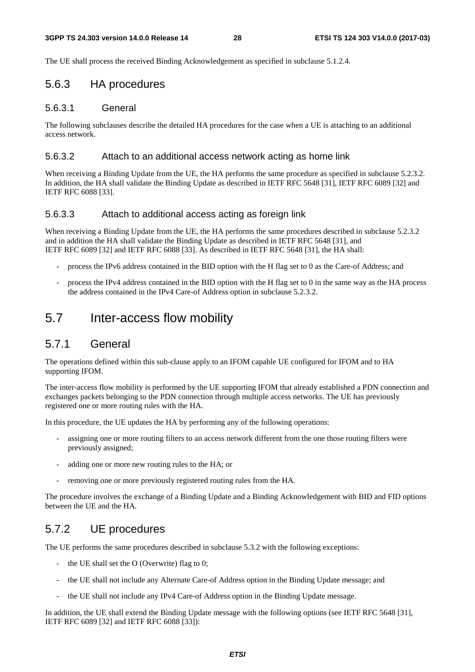The UE shall process the received Binding Acknowledgement as specified in subclause 5.1.2.4.

### 5.6.3 HA procedures

#### 5.6.3.1 General

The following subclauses describe the detailed HA procedures for the case when a UE is attaching to an additional access network.

#### 5.6.3.2 Attach to an additional access network acting as home link

When receiving a Binding Update from the UE, the HA performs the same procedure as specified in subclause 5.2.3.2. In addition, the HA shall validate the Binding Update as described in IETF RFC 5648 [31], IETF RFC 6089 [32] and IETF RFC 6088 [33].

#### 5.6.3.3 Attach to additional access acting as foreign link

When receiving a Binding Update from the UE, the HA performs the same procedures described in subclause 5.2.3.2 and in addition the HA shall validate the Binding Update as described in IETF RFC 5648 [31], and IETF RFC 6089 [32] and IETF RFC 6088 [33]. As described in IETF RFC 5648 [31], the HA shall:

- process the IPv6 address contained in the BID option with the H flag set to 0 as the Care-of Address; and
- process the IPv4 address contained in the BID option with the H flag set to 0 in the same way as the HA process the address contained in the IPv4 Care-of Address option in subclause 5.2.3.2.

### 5.7 Inter-access flow mobility

#### 5.7.1 General

The operations defined within this sub-clause apply to an IFOM capable UE configured for IFOM and to HA supporting IFOM.

The inter-access flow mobility is performed by the UE supporting IFOM that already established a PDN connection and exchanges packets belonging to the PDN connection through multiple access networks. The UE has previously registered one or more routing rules with the HA.

In this procedure, the UE updates the HA by performing any of the following operations:

- assigning one or more routing filters to an access network different from the one those routing filters were previously assigned;
- adding one or more new routing rules to the HA; or
- removing one or more previously registered routing rules from the HA.

The procedure involves the exchange of a Binding Update and a Binding Acknowledgement with BID and FID options between the UE and the HA.

### 5.7.2 UE procedures

The UE performs the same procedures described in subclause 5.3.2 with the following exceptions:

- the UE shall set the  $O$  (Overwrite) flag to 0;
- the UE shall not include any Alternate Care-of Address option in the Binding Update message; and
- the UE shall not include any IPv4 Care-of Address option in the Binding Update message.

In addition, the UE shall extend the Binding Update message with the following options (see IETF RFC 5648 [31], IETF RFC 6089 [32] and IETF RFC 6088 [33]):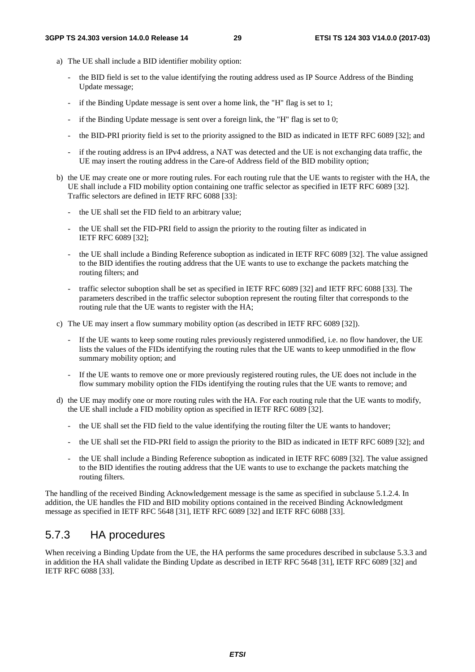- a) The UE shall include a BID identifier mobility option:
	- the BID field is set to the value identifying the routing address used as IP Source Address of the Binding Update message;
	- if the Binding Update message is sent over a home link, the "H" flag is set to 1;
	- if the Binding Update message is sent over a foreign link, the "H" flag is set to  $0$ ;
	- the BID-PRI priority field is set to the priority assigned to the BID as indicated in IETF RFC 6089 [32]; and
	- if the routing address is an IPv4 address, a NAT was detected and the UE is not exchanging data traffic, the UE may insert the routing address in the Care-of Address field of the BID mobility option;
- b) the UE may create one or more routing rules. For each routing rule that the UE wants to register with the HA, the UE shall include a FID mobility option containing one traffic selector as specified in IETF RFC 6089 [32]. Traffic selectors are defined in IETF RFC 6088 [33]:
	- the UE shall set the FID field to an arbitrary value;
	- the UE shall set the FID-PRI field to assign the priority to the routing filter as indicated in IETF RFC 6089 [32];
	- the UE shall include a Binding Reference suboption as indicated in IETF RFC 6089 [32]. The value assigned to the BID identifies the routing address that the UE wants to use to exchange the packets matching the routing filters; and
	- traffic selector suboption shall be set as specified in IETF RFC 6089 [32] and IETF RFC 6088 [33]. The parameters described in the traffic selector suboption represent the routing filter that corresponds to the routing rule that the UE wants to register with the HA;
- c) The UE may insert a flow summary mobility option (as described in IETF RFC 6089 [32]).
	- If the UE wants to keep some routing rules previously registered unmodified, i.e. no flow handover, the UE lists the values of the FIDs identifying the routing rules that the UE wants to keep unmodified in the flow summary mobility option; and
	- If the UE wants to remove one or more previously registered routing rules, the UE does not include in the flow summary mobility option the FIDs identifying the routing rules that the UE wants to remove; and
- d) the UE may modify one or more routing rules with the HA. For each routing rule that the UE wants to modify, the UE shall include a FID mobility option as specified in IETF RFC 6089 [32].
	- the UE shall set the FID field to the value identifying the routing filter the UE wants to handover;
	- the UE shall set the FID-PRI field to assign the priority to the BID as indicated in IETF RFC 6089 [32]; and
	- the UE shall include a Binding Reference suboption as indicated in IETF RFC 6089 [32]. The value assigned to the BID identifies the routing address that the UE wants to use to exchange the packets matching the routing filters.

The handling of the received Binding Acknowledgement message is the same as specified in subclause 5.1.2.4. In addition, the UE handles the FID and BID mobility options contained in the received Binding Acknowledgment message as specified in IETF RFC 5648 [31], IETF RFC 6089 [32] and IETF RFC 6088 [33].

### 5.7.3 HA procedures

When receiving a Binding Update from the UE, the HA performs the same procedures described in subclause 5.3.3 and in addition the HA shall validate the Binding Update as described in IETF RFC 5648 [31], IETF RFC 6089 [32] and IETF RFC 6088 [33].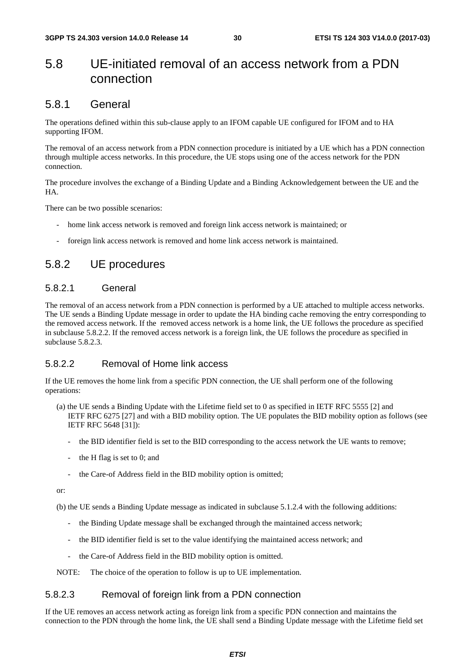### 5.8 UE-initiated removal of an access network from a PDN connection

#### 5.8.1 General

The operations defined within this sub-clause apply to an IFOM capable UE configured for IFOM and to HA supporting IFOM.

The removal of an access network from a PDN connection procedure is initiated by a UE which has a PDN connection through multiple access networks. In this procedure, the UE stops using one of the access network for the PDN connection.

The procedure involves the exchange of a Binding Update and a Binding Acknowledgement between the UE and the HA.

There can be two possible scenarios:

- home link access network is removed and foreign link access network is maintained; or
- foreign link access network is removed and home link access network is maintained.

### 5.8.2 UE procedures

#### 5.8.2.1 General

The removal of an access network from a PDN connection is performed by a UE attached to multiple access networks. The UE sends a Binding Update message in order to update the HA binding cache removing the entry corresponding to the removed access network. If the removed access network is a home link, the UE follows the procedure as specified in subclause 5.8.2.2. If the removed access network is a foreign link, the UE follows the procedure as specified in subclause 5.8.2.3.

#### 5.8.2.2 Removal of Home link access

If the UE removes the home link from a specific PDN connection, the UE shall perform one of the following operations:

- (a) the UE sends a Binding Update with the Lifetime field set to 0 as specified in IETF RFC 5555 [2] and IETF RFC 6275 [27] and with a BID mobility option. The UE populates the BID mobility option as follows (see IETF RFC 5648 [31]):
	- the BID identifier field is set to the BID corresponding to the access network the UE wants to remove;
	- the H flag is set to 0; and
	- the Care-of Address field in the BID mobility option is omitted;

or:

(b) the UE sends a Binding Update message as indicated in subclause 5.1.2.4 with the following additions:

- the Binding Update message shall be exchanged through the maintained access network;
- the BID identifier field is set to the value identifying the maintained access network; and
- the Care-of Address field in the BID mobility option is omitted.

NOTE: The choice of the operation to follow is up to UE implementation.

#### 5.8.2.3 Removal of foreign link from a PDN connection

If the UE removes an access network acting as foreign link from a specific PDN connection and maintains the connection to the PDN through the home link, the UE shall send a Binding Update message with the Lifetime field set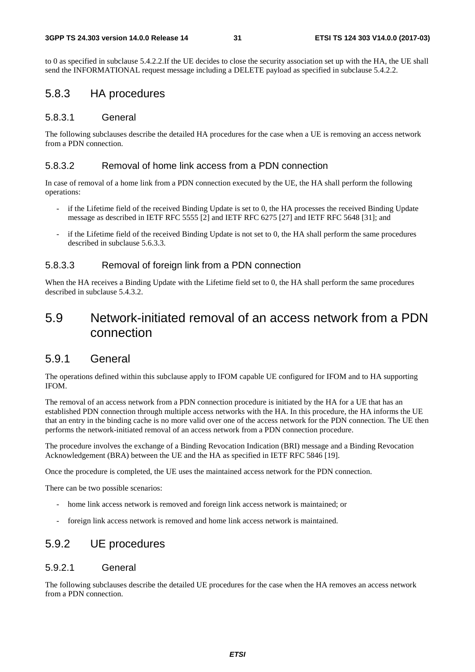to 0 as specified in subclause 5.4.2.2.If the UE decides to close the security association set up with the HA, the UE shall send the INFORMATIONAL request message including a DELETE payload as specified in subclause 5.4.2.2.

#### 5.8.3 HA procedures

#### 5.8.3.1 General

The following subclauses describe the detailed HA procedures for the case when a UE is removing an access network from a PDN connection.

#### 5.8.3.2 Removal of home link access from a PDN connection

In case of removal of a home link from a PDN connection executed by the UE, the HA shall perform the following operations:

- if the Lifetime field of the received Binding Update is set to 0, the HA processes the received Binding Update message as described in IETF RFC 5555 [2] and IETF RFC 6275 [27] and IETF RFC 5648 [31]; and
- if the Lifetime field of the received Binding Update is not set to 0, the HA shall perform the same procedures described in subclause 5.6.3.3.

#### 5.8.3.3 Removal of foreign link from a PDN connection

When the HA receives a Binding Update with the Lifetime field set to 0, the HA shall perform the same procedures described in subclause 5.4.3.2.

### 5.9 Network-initiated removal of an access network from a PDN connection

### 5.9.1 General

The operations defined within this subclause apply to IFOM capable UE configured for IFOM and to HA supporting IFOM.

The removal of an access network from a PDN connection procedure is initiated by the HA for a UE that has an established PDN connection through multiple access networks with the HA. In this procedure, the HA informs the UE that an entry in the binding cache is no more valid over one of the access network for the PDN connection. The UE then performs the network-initiated removal of an access network from a PDN connection procedure.

The procedure involves the exchange of a Binding Revocation Indication (BRI) message and a Binding Revocation Acknowledgement (BRA) between the UE and the HA as specified in IETF RFC 5846 [19].

Once the procedure is completed, the UE uses the maintained access network for the PDN connection.

There can be two possible scenarios:

- home link access network is removed and foreign link access network is maintained; or
- foreign link access network is removed and home link access network is maintained.

### 5.9.2 UE procedures

#### 5.9.2.1 General

The following subclauses describe the detailed UE procedures for the case when the HA removes an access network from a PDN connection.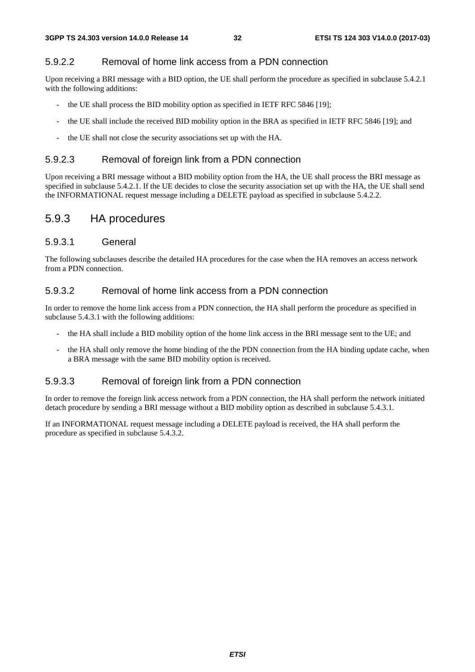#### 5.9.2.2 Removal of home link access from a PDN connection

Upon receiving a BRI message with a BID option, the UE shall perform the procedure as specified in subclause 5.4.2.1 with the following additions:

- the UE shall process the BID mobility option as specified in IETF RFC 5846 [19];
- the UE shall include the received BID mobility option in the BRA as specified in IETF RFC 5846 [19]; and
- the UE shall not close the security associations set up with the HA.

#### 5.9.2.3 Removal of foreign link from a PDN connection

Upon receiving a BRI message without a BID mobility option from the HA, the UE shall process the BRI message as specified in subclause 5.4.2.1. If the UE decides to close the security association set up with the HA, the UE shall send the INFORMATIONAL request message including a DELETE payload as specified in subclause 5.4.2.2.

#### 5.9.3 HA procedures

#### 5.9.3.1 General

The following subclauses describe the detailed HA procedures for the case when the HA removes an access network from a PDN connection.

#### 5.9.3.2 Removal of home link access from a PDN connection

In order to remove the home link access from a PDN connection, the HA shall perform the procedure as specified in subclause 5.4.3.1 with the following additions:

- the HA shall include a BID mobility option of the home link access in the BRI message sent to the UE; and
- the HA shall only remove the home binding of the the PDN connection from the HA binding update cache, when a BRA message with the same BID mobility option is received.

#### 5.9.3.3 Removal of foreign link from a PDN connection

In order to remove the foreign link access network from a PDN connection, the HA shall perform the network initiated detach procedure by sending a BRI message without a BID mobility option as described in subclause 5.4.3.1.

If an INFORMATIONAL request message including a DELETE payload is received, the HA shall perform the procedure as specified in subclause 5.4.3.2.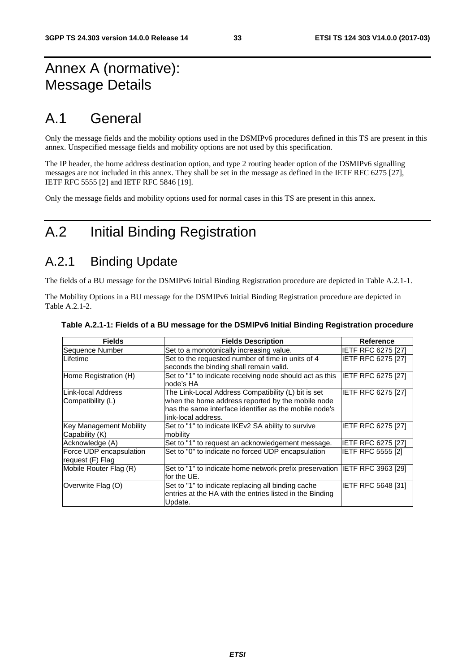# Annex A (normative): Message Details

# A.1 General

Only the message fields and the mobility options used in the DSMIPv6 procedures defined in this TS are present in this annex. Unspecified message fields and mobility options are not used by this specification.

The IP header, the home address destination option, and type 2 routing header option of the DSMIPv6 signalling messages are not included in this annex. They shall be set in the message as defined in the IETF RFC 6275 [27], IETF RFC 5555 [2] and IETF RFC 5846 [19].

Only the message fields and mobility options used for normal cases in this TS are present in this annex.

# A.2 Initial Binding Registration

### A.2.1 Binding Update

The fields of a BU message for the DSMIPv6 Initial Binding Registration procedure are depicted in Table A.2.1-1.

The Mobility Options in a BU message for the DSMIPv6 Initial Binding Registration procedure are depicted in Table A.2.1-2.

| <b>Fields</b>                  | <b>Fields Description</b>                                                    | <b>Reference</b>          |
|--------------------------------|------------------------------------------------------------------------------|---------------------------|
| Sequence Number                | Set to a monotonically increasing value.                                     | <b>IETF RFC 6275 [27]</b> |
| <b>Lifetime</b>                | Set to the requested number of time in units of 4                            | IETF RFC 6275 [27]        |
|                                | seconds the binding shall remain valid.                                      |                           |
| Home Registration (H)          | Set to "1" to indicate receiving node should act as this  IETF RFC 6275 [27] |                           |
|                                | node's HA                                                                    |                           |
| ILink-local Address            | The Link-Local Address Compatibility (L) bit is set                          | IETF RFC 6275 [27]        |
| Compatibility (L)              | when the home address reported by the mobile node                            |                           |
|                                | has the same interface identifier as the mobile node's                       |                           |
|                                | link-local address.                                                          |                           |
| <b>Key Management Mobility</b> | Set to "1" to indicate IKEv2 SA ability to survive                           | <b>IETF RFC 6275 [27]</b> |
| Capability (K)                 | mobility                                                                     |                           |
| Acknowledge (A)                | Set to "1" to request an acknowledgement message.                            | IETF RFC 6275 [27]        |
| Force UDP encapsulation        | Set to "0" to indicate no forced UDP encapsulation                           | IETF RFC 5555 [2]         |
| request (F) Flag               |                                                                              |                           |
| Mobile Router Flag (R)         | Set to "1" to indicate home network prefix preservation IETF RFC 3963 [29]   |                           |
|                                | for the UE.                                                                  |                           |
| Overwrite Flag (O)             | Set to "1" to indicate replacing all binding cache                           | IETF RFC 5648 [31]        |
|                                | entries at the HA with the entries listed in the Binding                     |                           |
|                                | Update.                                                                      |                           |

#### **Table A.2.1-1: Fields of a BU message for the DSMIPv6 Initial Binding Registration procedure**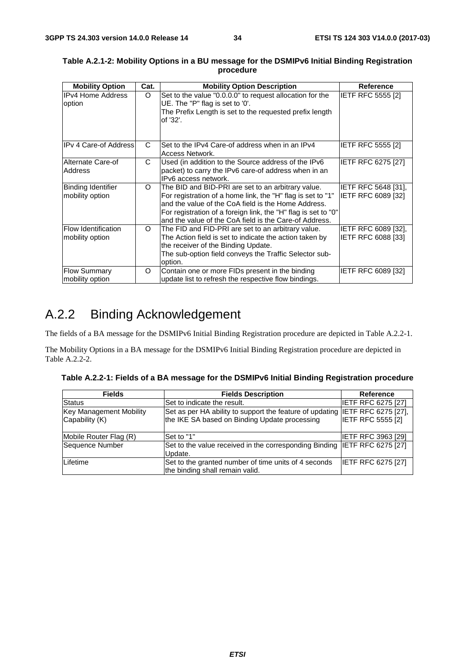| <b>Mobility Option</b>                        | Cat. | <b>Mobility Option Description</b>                                                                                                                                                                                                                                                                    | <b>Reference</b>                                        |
|-----------------------------------------------|------|-------------------------------------------------------------------------------------------------------------------------------------------------------------------------------------------------------------------------------------------------------------------------------------------------------|---------------------------------------------------------|
| <b>IPv4 Home Address</b><br>option            | O    | Set to the value "0.0.0.0" to request allocation for the<br>UE. The "P" flag is set to '0'.<br>The Prefix Length is set to the requested prefix length<br>of '32'.                                                                                                                                    | <b>IETF RFC 5555 [2]</b>                                |
| <b>IPv 4 Care-of Address</b>                  | C    | Set to the IPv4 Care-of address when in an IPv4<br>Access Network.                                                                                                                                                                                                                                    | <b>IETF RFC 5555 [2]</b>                                |
| Alternate Care-of<br><b>Address</b>           | C    | Used (in addition to the Source address of the IPv6<br>packet) to carry the IPv6 care-of address when in an<br>IPv6 access network.                                                                                                                                                                   | <b>IETF RFC 6275 [27]</b>                               |
| Binding Identifier<br>mobility option         | O    | The BID and BID-PRI are set to an arbitrary value.<br>For registration of a home link, the "H" flag is set to "1"<br>and the value of the CoA field is the Home Address.<br>For registration of a foreign link, the "H" flag is set to "0"<br>land the value of the CoA field is the Care-of Address. | <b>IETF RFC 5648 [31].</b><br> IETF RFC 6089 [32]       |
| <b>Flow Identification</b><br>mobility option | O    | The FID and FID-PRI are set to an arbitrary value.<br>The Action field is set to indicate the action taken by<br>the receiver of the Binding Update.<br>The sub-option field conveys the Traffic Selector sub-<br>option.                                                                             | <b>IETF RFC 6089 [32].</b><br><b>IETF RFC 6088 [33]</b> |
| <b>Flow Summary</b><br>mobility option        | O    | Contain one or more FIDs present in the binding<br>update list to refresh the respective flow bindings.                                                                                                                                                                                               | <b>IETF RFC 6089 [32]</b>                               |

#### **Table A.2.1-2: Mobility Options in a BU message for the DSMIPv6 Initial Binding Registration procedure**

# A.2.2 Binding Acknowledgement

The fields of a BA message for the DSMIPv6 Initial Binding Registration procedure are depicted in Table A.2.2-1.

The Mobility Options in a BA message for the DSMIPv6 Initial Binding Registration procedure are depicted in Table A.2.2-2.

|  | Table A.2.2-1: Fields of a BA message for the DSMIPv6 Initial Binding Registration procedure |  |
|--|----------------------------------------------------------------------------------------------|--|
|  |                                                                                              |  |

| <b>Fields</b>                                    | <b>Fields Description</b>                                                                                                     | Reference                 |
|--------------------------------------------------|-------------------------------------------------------------------------------------------------------------------------------|---------------------------|
| <b>Status</b>                                    | Set to indicate the result.                                                                                                   | <b>IETF RFC 6275 [27]</b> |
| <b>Key Management Mobility</b><br>Capability (K) | Set as per HA ability to support the feature of updating IETF RFC 6275 [27],<br>the IKE SA based on Binding Update processing | <b>IETF RFC 5555 [2]</b>  |
| Mobile Router Flag (R)                           | Set to "1"                                                                                                                    | <b>IETF RFC 3963 [29]</b> |
| Sequence Number                                  | Set to the value received in the corresponding Binding IETF RFC 6275 [27]<br>Update.                                          |                           |
| Lifetime                                         | Set to the granted number of time units of 4 seconds<br>the binding shall remain valid.                                       | <b>IETF RFC 6275 [27]</b> |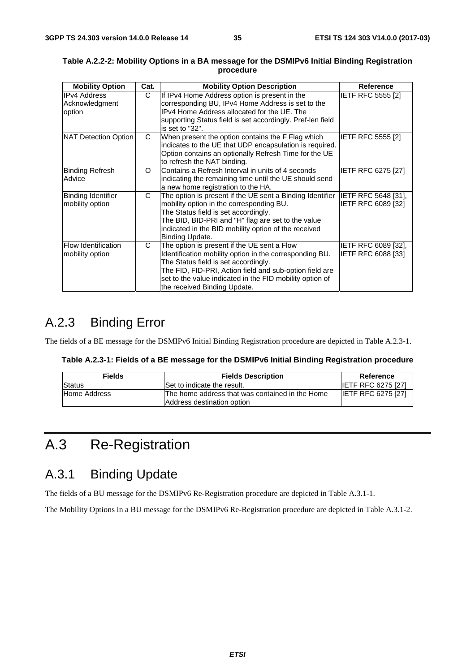| <b>Mobility Option</b>                          | Cat. | <b>Mobility Option Description</b>                                                                                                                                                                                                                                                                    | Reference                                 |
|-------------------------------------------------|------|-------------------------------------------------------------------------------------------------------------------------------------------------------------------------------------------------------------------------------------------------------------------------------------------------------|-------------------------------------------|
| <b>IPv4 Address</b><br>Acknowledgment<br>option | C    | If IPv4 Home Address option is present in the<br>corresponding BU, IPv4 Home Address is set to the<br>IPv4 Home Address allocated for the UE. The<br>supporting Status field is set accordingly. Pref-len field<br>is set to "32".                                                                    | <b>IETF RFC 5555 [2]</b>                  |
| NAT Detection Option                            | C    | When present the option contains the F Flag which<br>indicates to the UE that UDP encapsulation is required.<br>Option contains an optionally Refresh Time for the UE<br>to refresh the NAT binding.                                                                                                  | <b>IETF RFC 5555 [2]</b>                  |
| <b>Binding Refresh</b><br>Advice                | O    | Contains a Refresh Interval in units of 4 seconds<br>indicating the remaining time until the UE should send<br>a new home registration to the HA.                                                                                                                                                     | IETF RFC 6275 [27]                        |
| <b>Binding Identifier</b><br>mobility option    | C    | The option is present if the UE sent a Binding Identifier<br>mobility option in the corresponding BU.<br>The Status field is set accordingly.<br>The BID, BID-PRI and "H" flag are set to the value<br>indicated in the BID mobility option of the received<br>Binding Update.                        | IETF RFC 5648 [31],<br>IETF RFC 6089 [32] |
| <b>Flow Identification</b><br>mobility option   | C    | The option is present if the UE sent a Flow<br>Identification mobility option in the corresponding BU.<br>The Status field is set accordingly.<br>The FID, FID-PRI, Action field and sub-option field are<br>set to the value indicated in the FID mobility option of<br>the received Binding Update. | IETF RFC 6089 [32],<br>IETF RFC 6088 [33] |

#### **Table A.2.2-2: Mobility Options in a BA message for the DSMIPv6 Initial Binding Registration procedure**

# A.2.3 Binding Error

The fields of a BE message for the DSMIPv6 Initial Binding Registration procedure are depicted in Table A.2.3-1.

| Table A.2.3-1: Fields of a BE message for the DSMIPv6 Initial Binding Registration procedure |  |  |
|----------------------------------------------------------------------------------------------|--|--|
|----------------------------------------------------------------------------------------------|--|--|

| <b>Fields</b> | <b>Fields Description</b>                                                      | Reference                 |
|---------------|--------------------------------------------------------------------------------|---------------------------|
| <b>Status</b> | Set to indicate the result.                                                    | <b>IETF RFC 6275 [27]</b> |
| Home Address  | IThe home address that was contained in the Home<br>Address destination option | <b>IETF RFC 6275 [27]</b> |

# A.3 Re-Registration

### A.3.1 Binding Update

The fields of a BU message for the DSMIPv6 Re-Registration procedure are depicted in Table A.3.1-1.

The Mobility Options in a BU message for the DSMIPv6 Re-Registration procedure are depicted in Table A.3.1-2.

*ETSI*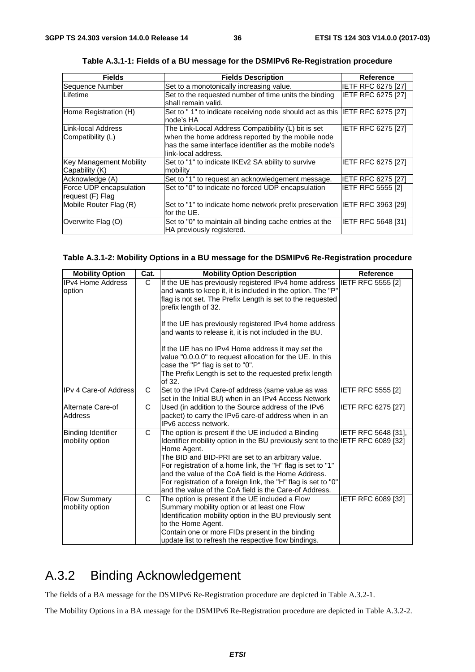| <b>Fields</b>           | <b>Fields Description</b>                                                   | Reference                 |
|-------------------------|-----------------------------------------------------------------------------|---------------------------|
| Sequence Number         | Set to a monotonically increasing value.                                    | <b>IETF RFC 6275 [27]</b> |
| Lifetime                | Set to the requested number of time units the binding                       | IETF RFC 6275 [27]        |
|                         | shall remain valid.                                                         |                           |
| Home Registration (H)   | Set to "1" to indicate receiving node should act as this IETF RFC 6275 [27] |                           |
|                         | node's HA                                                                   |                           |
| Link-local Address      | The Link-Local Address Compatibility (L) bit is set                         | IETF RFC 6275 [27]        |
| Compatibility (L)       | when the home address reported by the mobile node                           |                           |
|                         | has the same interface identifier as the mobile node's                      |                           |
|                         | link-local address.                                                         |                           |
| Key Management Mobility | Set to "1" to indicate IKEv2 SA ability to survive                          | IETF RFC 6275 [27]        |
| Capability (K)          | mobility                                                                    |                           |
| Acknowledge (A)         | Set to "1" to request an acknowledgement message.                           | IETF RFC 6275 [27]        |
| Force UDP encapsulation | Set to "0" to indicate no forced UDP encapsulation                          | <b>IETF RFC 5555 [2]</b>  |
| request (F) Flag        |                                                                             |                           |
| Mobile Router Flag (R)  | Set to "1" to indicate home network prefix preservation IETF RFC 3963 [29]  |                           |
|                         | for the UE.                                                                 |                           |
| Overwrite Flag (O)      | Set to "0" to maintain all binding cache entries at the                     | IETF RFC 5648 [31]        |
|                         | HA previously registered.                                                   |                           |

**Table A.3.1-1: Fields of a BU message for the DSMIPv6 Re-Registration procedure** 

#### **Table A.3.1-2: Mobility Options in a BU message for the DSMIPv6 Re-Registration procedure**

| <b>Mobility Option</b>                       | Cat.         | <b>Mobility Option Description</b>                                                                                                                                                                                                                                                                                                                                                                                                                          | <b>Reference</b>           |
|----------------------------------------------|--------------|-------------------------------------------------------------------------------------------------------------------------------------------------------------------------------------------------------------------------------------------------------------------------------------------------------------------------------------------------------------------------------------------------------------------------------------------------------------|----------------------------|
| <b>IPv4 Home Address</b><br>option           | $\mathsf{C}$ | If the UE has previously registered IPv4 home address<br>and wants to keep it, it is included in the option. The "P"<br>flag is not set. The Prefix Length is set to the requested<br>prefix length of 32.<br>If the UE has previously registered IPv4 home address                                                                                                                                                                                         | <b>IETF RFC 5555 [2]</b>   |
|                                              |              | and wants to release it, it is not included in the BU.<br>If the UE has no IPv4 Home address it may set the<br>value "0.0.0.0" to request allocation for the UE. In this<br>case the "P" flag is set to "0".<br>The Prefix Length is set to the requested prefix length<br>of 32.                                                                                                                                                                           |                            |
| <b>IPv 4 Care-of Address</b>                 | C            | Set to the IPv4 Care-of address (same value as was<br>set in the Initial BU) when in an IPv4 Access Network                                                                                                                                                                                                                                                                                                                                                 | IETF RFC 5555 [2]          |
| Alternate Care-of<br>Address                 | $\mathsf{C}$ | Used (in addition to the Source address of the IPv6<br>packet) to carry the IPv6 care-of address when in an<br>IPv6 access network.                                                                                                                                                                                                                                                                                                                         | IETF RFC 6275 [27]         |
| <b>Binding Identifier</b><br>mobility option | C            | The option is present if the UE included a Binding<br>Identifier mobility option in the BU previously sent to the IETF RFC 6089 [32]<br>Home Agent.<br>The BID and BID-PRI are set to an arbitrary value.<br>For registration of a home link, the "H" flag is set to "1"<br>and the value of the CoA field is the Home Address.<br>For registration of a foreign link, the "H" flag is set to "0"<br>and the value of the CoA field is the Care-of Address. | <b>IETF RFC 5648 [31].</b> |
| <b>Flow Summary</b><br>mobility option       | C            | The option is present if the UE included a Flow<br>Summary mobility option or at least one Flow<br>Identification mobility option in the BU previously sent<br>to the Home Agent.<br>Contain one or more FIDs present in the binding<br>update list to refresh the respective flow bindings.                                                                                                                                                                | IETF RFC 6089 [32]         |

# A.3.2 Binding Acknowledgement

The fields of a BA message for the DSMIPv6 Re-Registration procedure are depicted in Table A.3.2-1.

The Mobility Options in a BA message for the DSMIPv6 Re-Registration procedure are depicted in Table A.3.2-2.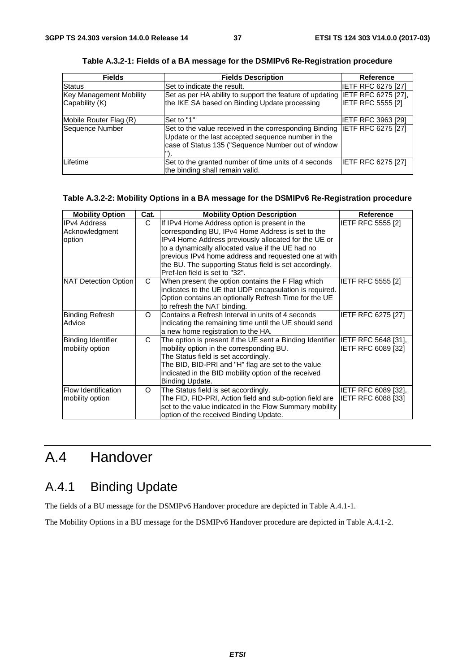| <b>Fields</b>           | <b>Fields Description</b>                                                                                                                                          | <b>Reference</b>          |
|-------------------------|--------------------------------------------------------------------------------------------------------------------------------------------------------------------|---------------------------|
| Status                  | Set to indicate the result.                                                                                                                                        | <b>IETF RFC 6275 [27]</b> |
| Key Management Mobility | Set as per HA ability to support the feature of updating IETF RFC 6275 [27],                                                                                       |                           |
| Capability (K)          | the IKE SA based on Binding Update processing                                                                                                                      | <b>IETF RFC 5555 [2]</b>  |
| Mobile Router Flag (R)  | Set to "1"                                                                                                                                                         | IETF RFC 3963 [29]        |
| Sequence Number         | Set to the value received in the corresponding Binding<br>Update or the last accepted sequence number in the<br>case of Status 135 ("Sequence Number out of window | <b>IETF RFC 6275 [27]</b> |
| Lifetime                | Set to the granted number of time units of 4 seconds<br>the binding shall remain valid.                                                                            | <b>IETF RFC 6275 [27]</b> |

**Table A.3.2-1: Fields of a BA message for the DSMIPv6 Re-Registration procedure** 

#### **Table A.3.2-2: Mobility Options in a BA message for the DSMIPv6 Re-Registration procedure**

| <b>Mobility Option</b>                          | Cat.     | <b>Mobility Option Description</b>                                                                                                                                                                                                                                                                                                                                   | <b>Reference</b>                                 |
|-------------------------------------------------|----------|----------------------------------------------------------------------------------------------------------------------------------------------------------------------------------------------------------------------------------------------------------------------------------------------------------------------------------------------------------------------|--------------------------------------------------|
| <b>IPv4 Address</b><br>Acknowledgment<br>option | C        | If IPv4 Home Address option is present in the<br>corresponding BU, IPv4 Home Address is set to the<br>IPv4 Home Address previously allocated for the UE or<br>to a dynamically allocated value if the UE had no<br>previous IPv4 home address and requested one at with<br>the BU. The supporting Status field is set accordingly.<br>Pref-len field is set to "32". | <b>IETF RFC 5555 [2]</b>                         |
| NAT Detection Option                            | C        | When present the option contains the F Flag which<br>indicates to the UE that UDP encapsulation is required.<br>Option contains an optionally Refresh Time for the UE<br>to refresh the NAT binding.                                                                                                                                                                 | <b>IETF RFC 5555 [2]</b>                         |
| <b>Binding Refresh</b><br>Advice                | $\Omega$ | Contains a Refresh Interval in units of 4 seconds<br>indicating the remaining time until the UE should send<br>a new home registration to the HA.                                                                                                                                                                                                                    | IETF RFC 6275 [27]                               |
| <b>Binding Identifier</b><br>mobility option    | C        | The option is present if the UE sent a Binding Identifier  IETF RFC 5648 [31],<br>mobility option in the corresponding BU.<br>The Status field is set accordingly.<br>The BID, BID-PRI and "H" flag are set to the value<br>indicated in the BID mobility option of the received<br>Binding Update.                                                                  | IETF RFC 6089 [32]                               |
| Flow Identification<br>mobility option          | O        | The Status field is set accordingly.<br>The FID, FID-PRI, Action field and sub-option field are<br>set to the value indicated in the Flow Summary mobility<br>option of the received Binding Update.                                                                                                                                                                 | IETF RFC 6089 [32],<br><b>IETF RFC 6088 [33]</b> |

# A.4 Handover

# A.4.1 Binding Update

The fields of a BU message for the DSMIPv6 Handover procedure are depicted in Table A.4.1-1.

The Mobility Options in a BU message for the DSMIPv6 Handover procedure are depicted in Table A.4.1-2.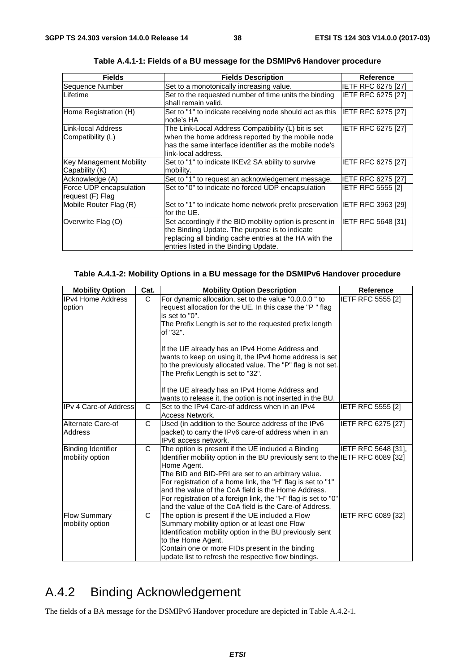| <b>Fields</b>                                    | <b>Fields Description</b>                                                                                                                                                                                     | Reference                 |
|--------------------------------------------------|---------------------------------------------------------------------------------------------------------------------------------------------------------------------------------------------------------------|---------------------------|
| Sequence Number                                  | Set to a monotonically increasing value.                                                                                                                                                                      | <b>IETF RFC 6275 [27]</b> |
| ILifetime                                        | Set to the requested number of time units the binding<br>shall remain valid.                                                                                                                                  | <b>IETF RFC 6275 [27]</b> |
| Home Registration (H)                            | Set to "1" to indicate receiving node should act as this<br>node's HA                                                                                                                                         | <b>IETF RFC 6275 [27]</b> |
| ILink-local Address<br>Compatibility (L)         | The Link-Local Address Compatibility (L) bit is set<br>when the home address reported by the mobile node<br>has the same interface identifier as the mobile node's<br>link-local address.                     | IETF RFC 6275 [27]        |
| <b>Key Management Mobility</b><br>Capability (K) | Set to "1" to indicate IKEv2 SA ability to survive<br>mobility.                                                                                                                                               | <b>IETF RFC 6275 [27]</b> |
| Acknowledge (A)                                  | Set to "1" to request an acknowledgement message.                                                                                                                                                             | <b>IETF RFC 6275 [27]</b> |
| Force UDP encapsulation<br>request (F) Flag      | Set to "0" to indicate no forced UDP encapsulation                                                                                                                                                            | <b>IETF RFC 5555 [2]</b>  |
| Mobile Router Flag (R)                           | Set to "1" to indicate home network prefix preservation IETF RFC 3963 [29]<br>for the UE.                                                                                                                     |                           |
| Overwrite Flag (O)                               | Set accordingly if the BID mobility option is present in<br>the Binding Update. The purpose is to indicate<br>replacing all binding cache entries at the HA with the<br>entries listed in the Binding Update. | <b>IETF RFC 5648 [31]</b> |

**Table A.4.1-1: Fields of a BU message for the DSMIPv6 Handover procedure** 

#### **Table A.4.1-2: Mobility Options in a BU message for the DSMIPv6 Handover procedure**

| <b>Mobility Option</b>                       | Cat. | <b>Mobility Option Description</b>                                                                                                                                                                                                                                                                                                                                                                                                                          | <b>Reference</b>          |
|----------------------------------------------|------|-------------------------------------------------------------------------------------------------------------------------------------------------------------------------------------------------------------------------------------------------------------------------------------------------------------------------------------------------------------------------------------------------------------------------------------------------------------|---------------------------|
| <b>IPv4 Home Address</b><br>option           | C    | For dynamic allocation, set to the value "0.0.0.0" to<br>request allocation for the UE. In this case the "P" flag<br>is set to "0".<br>The Prefix Length is set to the requested prefix length<br>of "32".<br>If the UE already has an IPv4 Home Address and<br>wants to keep on using it, the IPv4 home address is set<br>to the previously allocated value. The "P" flag is not set.<br>The Prefix Length is set to "32".                                 | IETF RFC 5555 [2]         |
|                                              |      | If the UE already has an IPv4 Home Address and<br>wants to release it, the option is not inserted in the BU,                                                                                                                                                                                                                                                                                                                                                |                           |
| IIPv 4 Care-of Address                       | C    | Set to the IPv4 Care-of address when in an IPv4<br>Access Network.                                                                                                                                                                                                                                                                                                                                                                                          | <b>IETF RFC 5555 [2]</b>  |
| Alternate Care-of<br>Address                 | C    | Used (in addition to the Source address of the IPv6<br>packet) to carry the IPv6 care-of address when in an<br>IPv6 access network.                                                                                                                                                                                                                                                                                                                         | <b>IETF RFC 6275 [27]</b> |
| <b>Binding Identifier</b><br>mobility option | C    | The option is present if the UE included a Binding<br>Identifier mobility option in the BU previously sent to the IETF RFC 6089 [32]<br>Home Agent.<br>The BID and BID-PRI are set to an arbitrary value.<br>For registration of a home link, the "H" flag is set to "1"<br>and the value of the CoA field is the Home Address.<br>For registration of a foreign link, the "H" flag is set to "0"<br>and the value of the CoA field is the Care-of Address. | IETF RFC 5648 [31],       |
| <b>Flow Summary</b><br>mobility option       | C    | The option is present if the UE included a Flow<br>Summary mobility option or at least one Flow<br>Identification mobility option in the BU previously sent<br>to the Home Agent.<br>Contain one or more FIDs present in the binding<br>update list to refresh the respective flow bindings.                                                                                                                                                                | IETF RFC 6089 [32]        |

# A.4.2 Binding Acknowledgement

The fields of a BA message for the DSMIPv6 Handover procedure are depicted in Table A.4.2-1.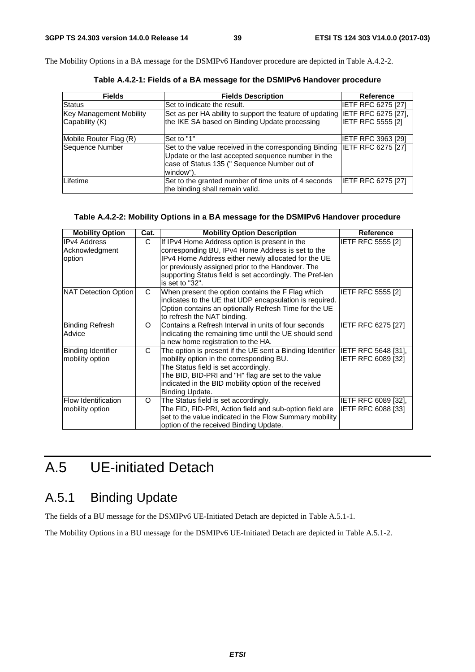The Mobility Options in a BA message for the DSMIPv6 Handover procedure are depicted in Table A.4.2-2.

| <b>Fields</b>                  | <b>Fields Description</b>                                                                                                                                                 | Reference                  |
|--------------------------------|---------------------------------------------------------------------------------------------------------------------------------------------------------------------------|----------------------------|
| <b>Status</b>                  | Set to indicate the result.                                                                                                                                               | <b>IETF RFC 6275 [27]</b>  |
| <b>Key Management Mobility</b> | Set as per HA ability to support the feature of updating                                                                                                                  | <b>IETF RFC 6275 [27],</b> |
| Capability (K)                 | the IKE SA based on Binding Update processing                                                                                                                             | <b>IETF RFC 5555 [2]</b>   |
| Mobile Router Flag (R)         | Set to "1"                                                                                                                                                                | <b>IETF RFC 3963 [29]</b>  |
| Sequence Number                | Set to the value received in the corresponding Binding<br>Update or the last accepted sequence number in the<br>case of Status 135 (" Sequence Number out of<br>window"). | <b>IETF RFC 6275 [27]</b>  |
| Lifetime                       | Set to the granted number of time units of 4 seconds<br>the binding shall remain valid.                                                                                   | IETF RFC 6275 [27]         |

**Table A.4.2-1: Fields of a BA message for the DSMIPv6 Handover procedure** 

#### **Table A.4.2-2: Mobility Options in a BA message for the DSMIPv6 Handover procedure**

| <b>Mobility Option</b>     | Cat.     | <b>Mobility Option Description</b>                        | Reference                  |
|----------------------------|----------|-----------------------------------------------------------|----------------------------|
| IIPv4 Address              | C        | If IPv4 Home Address option is present in the             | <b>IETF RFC 5555 [2]</b>   |
| Acknowledgment             |          | corresponding BU, IPv4 Home Address is set to the         |                            |
| option                     |          | IPv4 Home Address either newly allocated for the UE       |                            |
|                            |          | or previously assigned prior to the Handover. The         |                            |
|                            |          | supporting Status field is set accordingly. The Pref-len  |                            |
|                            |          | is set to "32".                                           |                            |
| NAT Detection Option       | C        | When present the option contains the F Flag which         | IETF RFC 5555 [2]          |
|                            |          | indicates to the UE that UDP encapsulation is required.   |                            |
|                            |          | Option contains an optionally Refresh Time for the UE     |                            |
|                            |          | to refresh the NAT binding.                               |                            |
| Binding Refresh            | $\Omega$ | Contains a Refresh Interval in units of four seconds      | <b>IETF RFC 6275 [27]</b>  |
| Advice                     |          | indicating the remaining time until the UE should send    |                            |
|                            |          | a new home registration to the HA.                        |                            |
| Binding Identifier         | C.       | The option is present if the UE sent a Binding Identifier | IETF RFC 5648 [31],        |
| mobility option            |          | mobility option in the corresponding BU.                  | IETF RFC 6089 [32]         |
|                            |          | The Status field is set accordingly.                      |                            |
|                            |          | The BID, BID-PRI and "H" flag are set to the value        |                            |
|                            |          | indicated in the BID mobility option of the received      |                            |
|                            |          | Binding Update.                                           |                            |
| <b>Flow Identification</b> | $\circ$  | The Status field is set accordingly.                      | <b>IETF RFC 6089 [32].</b> |
| mobility option            |          | The FID, FID-PRI, Action field and sub-option field are   | IETF RFC 6088 [33]         |
|                            |          | set to the value indicated in the Flow Summary mobility   |                            |
|                            |          | option of the received Binding Update.                    |                            |

# A.5 UE-initiated Detach

# A.5.1 Binding Update

The fields of a BU message for the DSMIPv6 UE-Initiated Detach are depicted in Table A.5.1-1.

The Mobility Options in a BU message for the DSMIPv6 UE-Initiated Detach are depicted in Table A.5.1-2.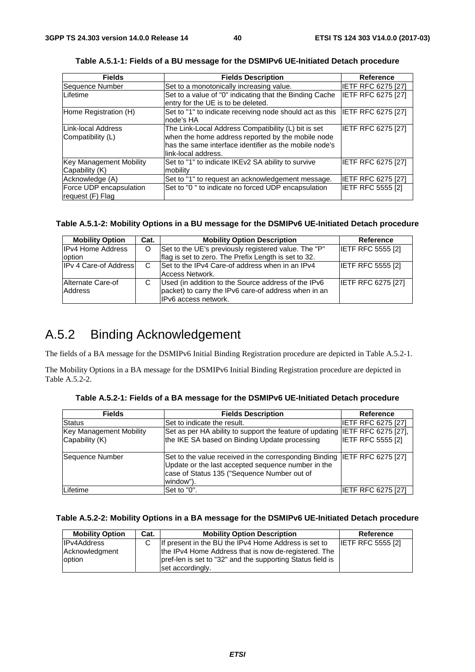| <b>Fields</b>                               | <b>Fields Description</b>                                                                                                                                                                 | Reference                 |
|---------------------------------------------|-------------------------------------------------------------------------------------------------------------------------------------------------------------------------------------------|---------------------------|
| Sequence Number                             | Set to a monotonically increasing value.                                                                                                                                                  | <b>IETF RFC 6275 [27]</b> |
| Lifetime                                    | Set to a value of "0" indicating that the Binding Cache<br>entry for the UE is to be deleted.                                                                                             | IETF RFC 6275 [27]        |
| Home Registration (H)                       | Set to "1" to indicate receiving node should act as this<br>node's HA                                                                                                                     | <b>IETF RFC 6275 [27]</b> |
| Link-local Address<br>Compatibility (L)     | The Link-Local Address Compatibility (L) bit is set<br>when the home address reported by the mobile node<br>has the same interface identifier as the mobile node's<br>link-local address. | IETF RFC 6275 [27]        |
| Key Management Mobility<br>Capability (K)   | Set to "1" to indicate IKEv2 SA ability to survive<br>mobility                                                                                                                            | <b>IETF RFC 6275 [27]</b> |
| Acknowledge (A)                             | Set to "1" to request an acknowledgement message.                                                                                                                                         | <b>IETF RFC 6275 [27]</b> |
| Force UDP encapsulation<br>request (F) Flag | Set to "0" to indicate no forced UDP encapsulation                                                                                                                                        | IETF RFC 5555 [2]         |

**Table A.5.1-1: Fields of a BU message for the DSMIPv6 UE-Initiated Detach procedure** 

#### **Table A.5.1-2: Mobility Options in a BU message for the DSMIPv6 UE-Initiated Detach procedure**

| <b>Mobility Option</b>       | Cat. | <b>Mobility Option Description</b>                                                                                                  | Reference                 |
|------------------------------|------|-------------------------------------------------------------------------------------------------------------------------------------|---------------------------|
| <b>IPv4 Home Address</b>     | O    | Set to the UE's previously registered value. The "P"                                                                                | <b>IETF RFC 5555 [2]</b>  |
| option                       |      | flag is set to zero. The Prefix Length is set to 32.                                                                                |                           |
| <b>IPv 4 Care-of Address</b> | C    | Set to the IPv4 Care-of address when in an IPv4<br>Access Network.                                                                  | <b>IETF RFC 5555 [2]</b>  |
| Alternate Care-of<br>Address | C    | Used (in addition to the Source address of the IPv6<br>packet) to carry the IPv6 care-of address when in an<br>IPv6 access network. | <b>IETF RFC 6275 [27]</b> |

### A.5.2 Binding Acknowledgement

The fields of a BA message for the DSMIPv6 Initial Binding Registration procedure are depicted in Table A.5.2-1.

The Mobility Options in a BA message for the DSMIPv6 Initial Binding Registration procedure are depicted in Table A.5.2-2.

| <b>Fields</b>                  | <b>Fields Description</b>                                                                                                       | <b>Reference</b>          |
|--------------------------------|---------------------------------------------------------------------------------------------------------------------------------|---------------------------|
| Status                         | Set to indicate the result.                                                                                                     | <b>IETF RFC 6275 [27]</b> |
| <b>Key Management Mobility</b> | Set as per HA ability to support the feature of updating IETF RFC 6275 [27],                                                    |                           |
| Capability (K)                 | the IKE SA based on Binding Update processing                                                                                   | <b>IETF RFC 5555 [2]</b>  |
|                                |                                                                                                                                 |                           |
| Sequence Number                | Set to the value received in the corresponding Binding IETF RFC 6275 [27]<br>Update or the last accepted sequence number in the |                           |
|                                | case of Status 135 ("Sequence Number out of                                                                                     |                           |
|                                | window").                                                                                                                       |                           |
| Lifetime                       | Set to "0".                                                                                                                     | <b>IETF RFC 6275 [27]</b> |

**Table A.5.2-1: Fields of a BA message for the DSMIPv6 UE-Initiated Detach procedure** 

#### **Table A.5.2-2: Mobility Options in a BA message for the DSMIPv6 UE-Initiated Detach procedure**

| <b>Mobility Option</b> | Cat. | <b>Mobility Option Description</b>                         | Reference                |
|------------------------|------|------------------------------------------------------------|--------------------------|
| <b>IPv4Address</b>     | C.   | If present in the BU the IPv4 Home Address is set to       | <b>IETF RFC 5555 [2]</b> |
| Acknowledgment         |      | the IPv4 Home Address that is now de-registered. The       |                          |
| option                 |      | pref-len is set to "32" and the supporting Status field is |                          |
|                        |      | set accordingly.                                           |                          |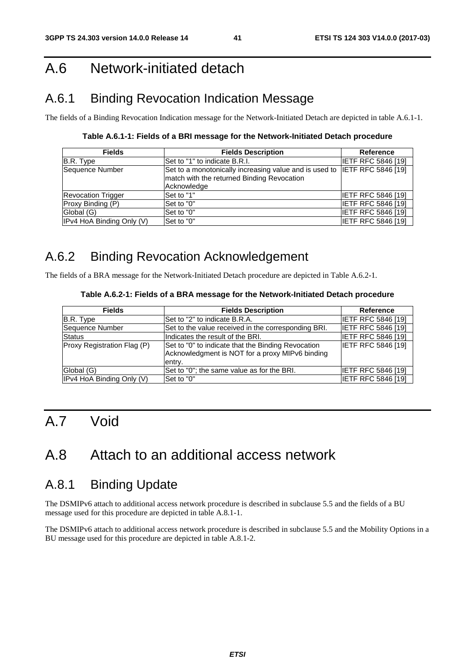# A.6 Network-initiated detach

# A.6.1 Binding Revocation Indication Message

The fields of a Binding Revocation Indication message for the Network-Initiated Detach are depicted in table A.6.1-1.

**Table A.6.1-1: Fields of a BRI message for the Network-Initiated Detach procedure** 

| <b>Fields</b>             | <b>Fields Description</b>                                                 | Reference                 |
|---------------------------|---------------------------------------------------------------------------|---------------------------|
| B.R. Type                 | Set to "1" to indicate B.R.I.                                             | <b>IETF RFC 5846 [19]</b> |
| Sequence Number           | Set to a monotonically increasing value and is used to IETF RFC 5846 [19] |                           |
|                           | match with the returned Binding Revocation<br>Acknowledge                 |                           |
| <b>Revocation Trigger</b> | Set to "1"                                                                | <b>IETF RFC 5846 [19]</b> |
| Proxy Binding (P)         | Set to "0"                                                                | <b>IETF RFC 5846 [19]</b> |
| Global (G)                | Set to "0"                                                                | <b>IETF RFC 5846 [19]</b> |
| IPv4 HoA Binding Only (V) | Set to "0"                                                                | <b>IETF RFC 5846 [19]</b> |

# A.6.2 Binding Revocation Acknowledgement

The fields of a BRA message for the Network-Initiated Detach procedure are depicted in Table A.6.2-1.

#### **Table A.6.2-1: Fields of a BRA message for the Network-Initiated Detach procedure**

| <b>Fields</b>               | <b>Fields Description</b>                                                                                       | <b>Reference</b>          |
|-----------------------------|-----------------------------------------------------------------------------------------------------------------|---------------------------|
| B.R. Type                   | Set to "2" to indicate B.R.A.                                                                                   | IIETF RFC 5846 [19]       |
| <b>Sequence Number</b>      | Set to the value received in the corresponding BRI.                                                             | <b>IETF RFC 5846 [19]</b> |
| <b>Status</b>               | Indicates the result of the BRI.                                                                                | <b>IETF RFC 5846 [19]</b> |
| Proxy Registration Flag (P) | Set to "0" to indicate that the Binding Revocation<br>Acknowledgment is NOT for a proxy MIPv6 binding<br>entry. | <b>IETF RFC 5846 [19]</b> |
| Global (G)                  | Set to "0"; the same value as for the BRI.                                                                      | IETF RFC 5846 [19]        |
| IPv4 HoA Binding Only (V)   | Set to "0"                                                                                                      | <b>IETF RFC 5846 [19]</b> |

# A.7 Void

# A.8 Attach to an additional access network

### A.8.1 Binding Update

The DSMIPv6 attach to additional access network procedure is described in subclause 5.5 and the fields of a BU message used for this procedure are depicted in table A.8.1-1.

The DSMIPv6 attach to additional access network procedure is described in subclause 5.5 and the Mobility Options in a BU message used for this procedure are depicted in table A.8.1-2.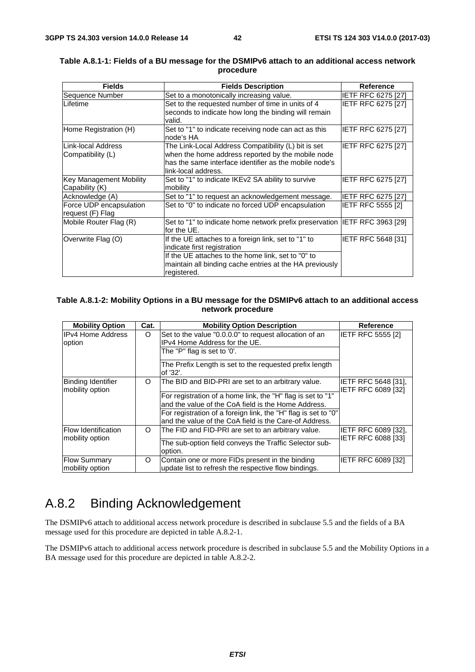| <b>Fields</b>                  | <b>Fields Description</b>                                                   | <b>Reference</b>          |
|--------------------------------|-----------------------------------------------------------------------------|---------------------------|
| Sequence Number                | Set to a monotonically increasing value.                                    | IETF RFC 6275 [27]        |
| Lifetime                       | Set to the requested number of time in units of 4                           | <b>IETF RFC 6275 [27]</b> |
|                                | seconds to indicate how long the binding will remain                        |                           |
|                                | valid.                                                                      |                           |
| Home Registration (H)          | Set to "1" to indicate receiving node can act as this                       | IETF RFC 6275 [27]        |
|                                | node's HA                                                                   |                           |
| Link-local Address             | The Link-Local Address Compatibility (L) bit is set                         | <b>IETF RFC 6275 [27]</b> |
| Compatibility (L)              | when the home address reported by the mobile node                           |                           |
|                                | has the same interface identifier as the mobile node's                      |                           |
|                                | link-local address.                                                         |                           |
| <b>Key Management Mobility</b> | Set to "1" to indicate IKEv2 SA ability to survive                          | <b>IETF RFC 6275 [27]</b> |
| Capability (K)                 | mobility                                                                    |                           |
| Acknowledge (A)                | Set to "1" to request an acknowledgement message.                           | <b>IETF RFC 6275 [27]</b> |
| Force UDP encapsulation        | Set to "0" to indicate no forced UDP encapsulation                          | IETF RFC 5555 [2]         |
| request (F) Flag               |                                                                             |                           |
| Mobile Router Flag (R)         | Set to "1" to indicate home network prefix preservation IIETF RFC 3963 [29] |                           |
|                                | for the UE.                                                                 |                           |
| Overwrite Flag (O)             | If the UE attaches to a foreign link, set to "1" to                         | <b>IETF RFC 5648 [31]</b> |
|                                | indicate first registration                                                 |                           |
|                                | If the UE attaches to the home link, set to "0" to                          |                           |
|                                | maintain all binding cache entries at the HA previously                     |                           |
|                                | registered.                                                                 |                           |

#### **Table A.8.1-1: Fields of a BU message for the DSMIPv6 attach to an additional access network procedure**

#### **Table A.8.1-2: Mobility Options in a BU message for the DSMIPv6 attach to an additional access network procedure**

| <b>Mobility Option</b>                        | Cat.     | <b>Mobility Option Description</b>                                                                                       | Reference                                               |
|-----------------------------------------------|----------|--------------------------------------------------------------------------------------------------------------------------|---------------------------------------------------------|
| <b>IPv4 Home Address</b><br>option            | O        | Set to the value "0.0.0.0" to request allocation of an<br>IPv4 Home Address for the UE.                                  | <b>IETF RFC 5555 [2]</b>                                |
|                                               |          | The "P" flag is set to '0'.                                                                                              |                                                         |
|                                               |          | The Prefix Length is set to the requested prefix length<br>of '32'.                                                      |                                                         |
| Binding Identifier<br>mobility option         | O        | The BID and BID-PRI are set to an arbitrary value.                                                                       | <b>IETF RFC 5648 [31],</b><br><b>IETF RFC 6089 [32]</b> |
|                                               |          | For registration of a home link, the "H" flag is set to "1"                                                              |                                                         |
|                                               |          | and the value of the CoA field is the Home Address.                                                                      |                                                         |
|                                               |          | For registration of a foreign link, the "H" flag is set to "0"<br>and the value of the CoA field is the Care-of Address. |                                                         |
| <b>Flow Identification</b><br>mobility option | $\Omega$ | The FID and FID-PRI are set to an arbitrary value.                                                                       | IETF RFC 6089 [32],<br>IETF RFC 6088 [33]               |
|                                               |          | The sub-option field conveys the Traffic Selector sub-<br>option.                                                        |                                                         |
| <b>Flow Summary</b><br>mobility option        | O        | Contain one or more FIDs present in the binding<br>update list to refresh the respective flow bindings.                  | <b>IETF RFC 6089 [32]</b>                               |

# A.8.2 Binding Acknowledgement

The DSMIPv6 attach to additional access network procedure is described in subclause 5.5 and the fields of a BA message used for this procedure are depicted in table A.8.2-1.

The DSMIPv6 attach to additional access network procedure is described in subclause 5.5 and the Mobility Options in a BA message used for this procedure are depicted in table A.8.2-2.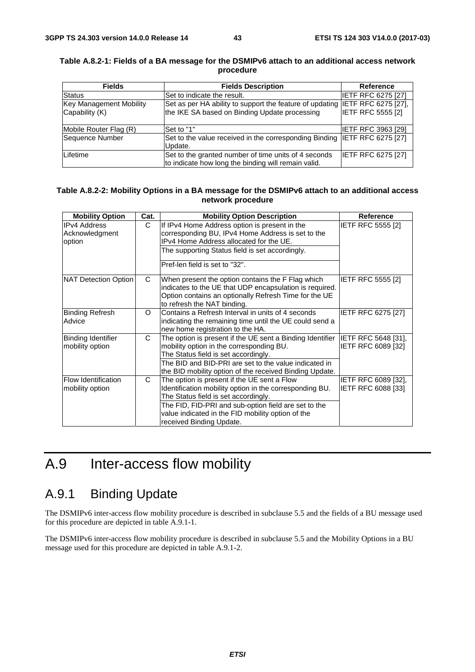| <b>Fields</b>                  | <b>Fields Description</b>                                                    | <b>Reference</b>          |
|--------------------------------|------------------------------------------------------------------------------|---------------------------|
| <b>Status</b>                  | Set to indicate the result.                                                  | <b>IETF RFC 6275 [27]</b> |
| <b>Key Management Mobility</b> | Set as per HA ability to support the feature of updating IETF RFC 6275 [27], |                           |
| Capability (K)                 | the IKE SA based on Binding Update processing                                | <b>IETF RFC 5555 [2]</b>  |
|                                |                                                                              |                           |
| Mobile Router Flag (R)         | Set to "1"                                                                   | <b>IETF RFC 3963 [29]</b> |
| Sequence Number                | Set to the value received in the corresponding Binding IETF RFC 6275 [27]    |                           |
|                                | Update.                                                                      |                           |
| Lifetime                       | Set to the granted number of time units of 4 seconds                         | <b>IETF RFC 6275 [27]</b> |
|                                | to indicate how long the binding will remain valid.                          |                           |

#### **Table A.8.2-1: Fields of a BA message for the DSMIPv6 attach to an additional access network procedure**

#### **Table A.8.2-2: Mobility Options in a BA message for the DSMIPv6 attach to an additional access network procedure**

| <b>Mobility Option</b>                          | Cat.     | <b>Mobility Option Description</b>                                                                                                                                                                                                                                                      | Reference                                        |
|-------------------------------------------------|----------|-----------------------------------------------------------------------------------------------------------------------------------------------------------------------------------------------------------------------------------------------------------------------------------------|--------------------------------------------------|
| <b>IPv4 Address</b><br>Acknowledgment<br>option | C.       | If IPv4 Home Address option is present in the<br>corresponding BU, IPv4 Home Address is set to the<br>IPv4 Home Address allocated for the UE.<br>The supporting Status field is set accordingly.<br>Pref-len field is set to "32".                                                      | <b>IETF RFC 5555 [2]</b>                         |
| NAT Detection Option                            | C        | When present the option contains the F Flag which<br>indicates to the UE that UDP encapsulation is required.<br>Option contains an optionally Refresh Time for the UE<br>to refresh the NAT binding.                                                                                    | <b>IETF RFC 5555 [2]</b>                         |
| <b>Binding Refresh</b><br>Advice                | $\Omega$ | Contains a Refresh Interval in units of 4 seconds<br>indicating the remaining time until the UE could send a<br>new home registration to the HA.                                                                                                                                        | IETF RFC 6275 [27]                               |
| Binding Identifier<br>mobility option           | C        | The option is present if the UE sent a Binding Identifier<br>mobility option in the corresponding BU.<br>The Status field is set accordingly.<br>The BID and BID-PRI are set to the value indicated in<br>the BID mobility option of the received Binding Update.                       | <b>IETF RFC 5648 [31].</b><br>IETF RFC 6089 [32] |
| <b>Flow Identification</b><br>mobility option   | C        | The option is present if the UE sent a Flow<br>Identification mobility option in the corresponding BU.<br>The Status field is set accordingly.<br>The FID, FID-PRI and sub-option field are set to the<br>value indicated in the FID mobility option of the<br>received Binding Update. | IETF RFC 6089 [32],<br>IETF RFC 6088 [33]        |

# A.9 Inter-access flow mobility

# A.9.1 Binding Update

The DSMIPv6 inter-access flow mobility procedure is described in subclause 5.5 and the fields of a BU message used for this procedure are depicted in table A.9.1-1.

The DSMIPv6 inter-access flow mobility procedure is described in subclause 5.5 and the Mobility Options in a BU message used for this procedure are depicted in table A.9.1-2.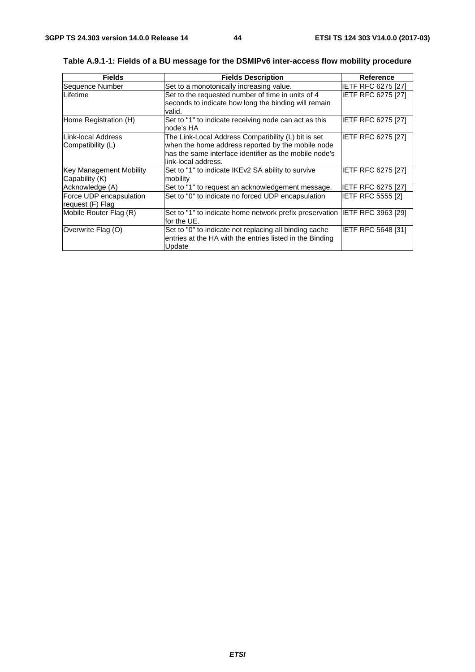| <b>Fields</b>                                    | <b>Fields Description</b>                                                                                                                                                                 | <b>Reference</b>          |
|--------------------------------------------------|-------------------------------------------------------------------------------------------------------------------------------------------------------------------------------------------|---------------------------|
| Sequence Number                                  | Set to a monotonically increasing value.                                                                                                                                                  | <b>IETF RFC 6275 [27]</b> |
| Lifetime                                         | Set to the requested number of time in units of 4<br>seconds to indicate how long the binding will remain<br>valid.                                                                       | <b>IETF RFC 6275 [27]</b> |
| Home Registration (H)                            | Set to "1" to indicate receiving node can act as this<br>node's HA                                                                                                                        | <b>IETF RFC 6275 [27]</b> |
| Link-local Address<br>Compatibility (L)          | The Link-Local Address Compatibility (L) bit is set<br>when the home address reported by the mobile node<br>has the same interface identifier as the mobile node's<br>link-local address. | IETF RFC 6275 [27]        |
| <b>Key Management Mobility</b><br>Capability (K) | Set to "1" to indicate IKEv2 SA ability to survive<br>mobility                                                                                                                            | <b>IETF RFC 6275 [27]</b> |
| Acknowledge (A)                                  | Set to "1" to request an acknowledgement message.                                                                                                                                         | <b>IETF RFC 6275 [27]</b> |
| Force UDP encapsulation<br>request (F) Flag      | Set to "0" to indicate no forced UDP encapsulation                                                                                                                                        | <b>IETF RFC 5555 [2]</b>  |
| Mobile Router Flag (R)                           | Set to "1" to indicate home network prefix preservation IETF RFC 3963 [29]<br>for the UE.                                                                                                 |                           |
| Overwrite Flag (O)                               | Set to "0" to indicate not replacing all binding cache<br>entries at the HA with the entries listed in the Binding<br>Update                                                              | <b>IETF RFC 5648 [31]</b> |

**Table A.9.1-1: Fields of a BU message for the DSMIPv6 inter-access flow mobility procedure**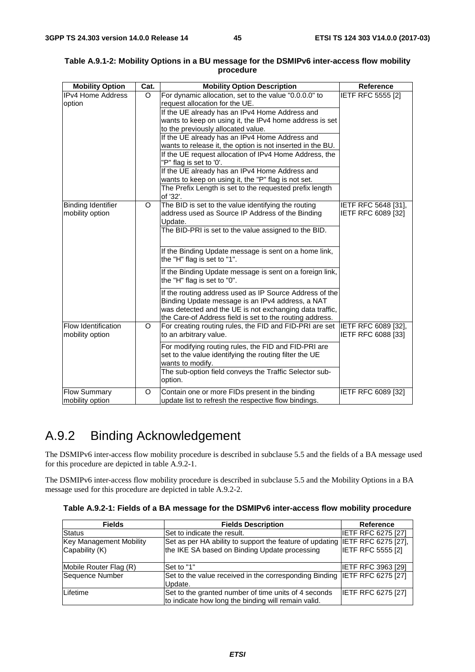| <b>Mobility Option</b>                       | Cat.    | <b>Mobility Option Description</b>                                                                                                                                                                                                                                                                                                                                                                                                                                                                                                                                                                                              | Reference                                        |
|----------------------------------------------|---------|---------------------------------------------------------------------------------------------------------------------------------------------------------------------------------------------------------------------------------------------------------------------------------------------------------------------------------------------------------------------------------------------------------------------------------------------------------------------------------------------------------------------------------------------------------------------------------------------------------------------------------|--------------------------------------------------|
| <b>IPv4 Home Address</b><br>option           | O       | For dynamic allocation, set to the value "0.0.0.0" to<br>request allocation for the UE.<br>If the UE already has an IPv4 Home Address and<br>wants to keep on using it, the IPv4 home address is set<br>to the previously allocated value.<br>If the UE already has an IPv4 Home Address and<br>wants to release it, the option is not inserted in the BU.<br>If the UE request allocation of IPv4 Home Address, the<br>"P" flag is set to '0'.<br>If the UE already has an IPv4 Home Address and<br>wants to keep on using it, the "P" flag is not set.<br>The Prefix Length is set to the requested prefix length<br>of '32'. | IETF RFC 5555 [2]                                |
| <b>Binding Identifier</b><br>mobility option | O       | The BID is set to the value identifying the routing<br>address used as Source IP Address of the Binding<br>Update.<br>The BID-PRI is set to the value assigned to the BID.<br>If the Binding Update message is sent on a home link,<br>the "H" flag is set to "1".<br>If the Binding Update message is sent on a foreign link,<br>the "H" flag is set to "0".<br>If the routing address used as IP Source Address of the<br>Binding Update message is an IPv4 address, a NAT<br>was detected and the UE is not exchanging data traffic,<br>the Care-of Address field is set to the routing address.                             | IETF RFC 5648 [31],<br>IETF RFC 6089 [32]        |
| Flow Identification<br>mobility option       | $\circ$ | For creating routing rules, the FID and FID-PRI are set<br>to an arbitrary value.<br>For modifying routing rules, the FID and FID-PRI are<br>set to the value identifying the routing filter the UE<br>wants to modify.<br>The sub-option field conveys the Traffic Selector sub-<br>option.                                                                                                                                                                                                                                                                                                                                    | <b>IETF RFC 6089 [32],</b><br>IETF RFC 6088 [33] |
| <b>Flow Summary</b><br>mobility option       | O       | Contain one or more FIDs present in the binding<br>update list to refresh the respective flow bindings.                                                                                                                                                                                                                                                                                                                                                                                                                                                                                                                         | IETF RFC 6089 [32]                               |

#### **Table A.9.1-2: Mobility Options in a BU message for the DSMIPv6 inter-access flow mobility procedure**

# A.9.2 Binding Acknowledgement

The DSMIPv6 inter-access flow mobility procedure is described in subclause 5.5 and the fields of a BA message used for this procedure are depicted in table A.9.2-1.

The DSMIPv6 inter-access flow mobility procedure is described in subclause 5.5 and the Mobility Options in a BA message used for this procedure are depicted in table A.9.2-2.

| Table A.9.2-1: Fields of a BA message for the DSMIPv6 inter-access flow mobility procedure |  |  |  |  |
|--------------------------------------------------------------------------------------------|--|--|--|--|
|--------------------------------------------------------------------------------------------|--|--|--|--|

| <b>Fields</b>           | <b>Fields Description</b>                                                    | <b>Reference</b>          |
|-------------------------|------------------------------------------------------------------------------|---------------------------|
| <b>Status</b>           | Set to indicate the result.                                                  | <b>IETF RFC 6275 [27]</b> |
| Key Management Mobility | Set as per HA ability to support the feature of updating IETF RFC 6275 [27], |                           |
| Capability (K)          | the IKE SA based on Binding Update processing                                | <b>IETF RFC 5555 [2]</b>  |
|                         |                                                                              |                           |
| Mobile Router Flag (R)  | Set to "1"                                                                   | <b>IETF RFC 3963 [29]</b> |
| Sequence Number         | Set to the value received in the corresponding Binding IETF RFC 6275 [27]    |                           |
|                         | Update.                                                                      |                           |
| Lifetime                | Set to the granted number of time units of 4 seconds                         | <b>IETF RFC 6275 [27]</b> |
|                         | to indicate how long the binding will remain valid.                          |                           |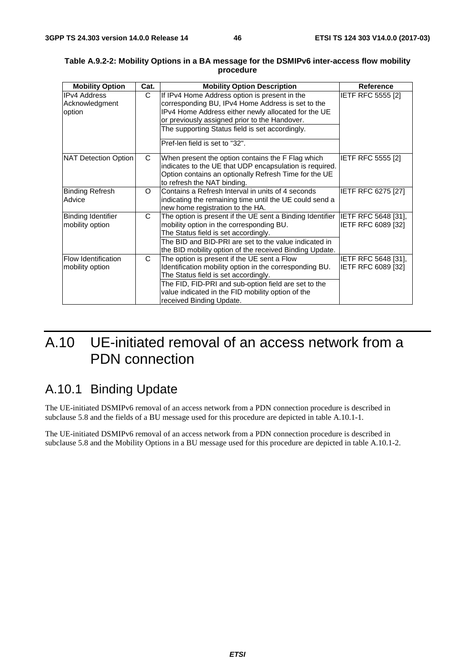| <b>Mobility Option</b> | Cat. | <b>Mobility Option Description</b>                                            | <b>Reference</b>          |
|------------------------|------|-------------------------------------------------------------------------------|---------------------------|
| <b>IPv4 Address</b>    | C    | If IPv4 Home Address option is present in the                                 | <b>IETF RFC 5555 [2]</b>  |
| Acknowledgment         |      | corresponding BU, IPv4 Home Address is set to the                             |                           |
| option                 |      | IPv4 Home Address either newly allocated for the UE                           |                           |
|                        |      | or previously assigned prior to the Handover.                                 |                           |
|                        |      | The supporting Status field is set accordingly.                               |                           |
|                        |      | Pref-len field is set to "32".                                                |                           |
| NAT Detection Option   | C    | When present the option contains the F Flag which                             | <b>IETF RFC 5555 [2]</b>  |
|                        |      | indicates to the UE that UDP encapsulation is required.                       |                           |
|                        |      | Option contains an optionally Refresh Time for the UE                         |                           |
|                        |      | to refresh the NAT binding.                                                   |                           |
| <b>Binding Refresh</b> | O    | Contains a Refresh Interval in units of 4 seconds                             | <b>IETF RFC 6275 [27]</b> |
| Advice                 |      | indicating the remaining time until the UE could send a                       |                           |
|                        |      | new home registration to the HA.                                              |                           |
| Binding Identifier     | C    | The option is present if the UE sent a Binding Identifier IETF RFC 5648 [31], |                           |
| mobility option        |      | mobility option in the corresponding BU.                                      | IETF RFC 6089 [32]        |
|                        |      | The Status field is set accordingly.                                          |                           |
|                        |      | The BID and BID-PRI are set to the value indicated in                         |                           |
|                        |      | the BID mobility option of the received Binding Update.                       |                           |
| Flow Identification    | C    | The option is present if the UE sent a Flow                                   | IETF RFC 5648 [31],       |
| mobility option        |      | Identification mobility option in the corresponding BU.                       | IETF RFC 6089 [32]        |
|                        |      | The Status field is set accordingly.                                          |                           |
|                        |      | The FID, FID-PRI and sub-option field are set to the                          |                           |
|                        |      | value indicated in the FID mobility option of the                             |                           |
|                        |      | received Binding Update.                                                      |                           |

#### **Table A.9.2-2: Mobility Options in a BA message for the DSMIPv6 inter-access flow mobility procedure**

# A.10 UE-initiated removal of an access network from a PDN connection

### A.10.1 Binding Update

The UE-initiated DSMIPv6 removal of an access network from a PDN connection procedure is described in subclause 5.8 and the fields of a BU message used for this procedure are depicted in table A.10.1-1.

The UE-initiated DSMIPv6 removal of an access network from a PDN connection procedure is described in subclause 5.8 and the Mobility Options in a BU message used for this procedure are depicted in table A.10.1-2.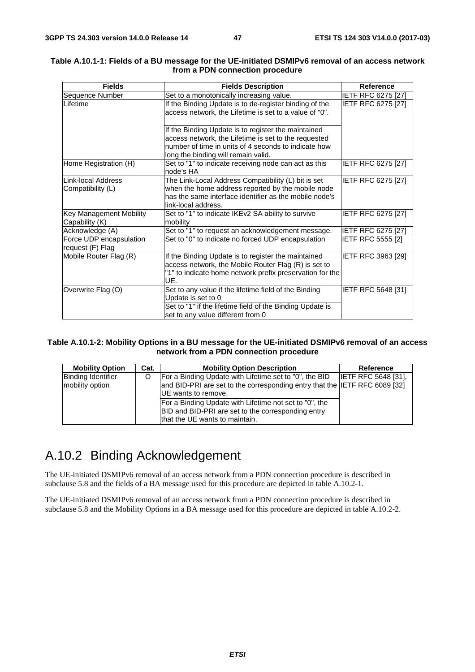| <b>Fields</b>                               | <b>Fields Description</b>                                                                                                                                                                                  | <b>Reference</b>          |
|---------------------------------------------|------------------------------------------------------------------------------------------------------------------------------------------------------------------------------------------------------------|---------------------------|
| Sequence Number                             | Set to a monotonically increasing value.                                                                                                                                                                   | IETF RFC 6275 [27]        |
| Lifetime                                    | If the Binding Update is to de-register binding of the<br>access network, the Lifetime is set to a value of "0".                                                                                           | IETF RFC 6275 [27]        |
|                                             | If the Binding Update is to register the maintained<br>access network, the Lifetime is set to the requested<br>number of time in units of 4 seconds to indicate how<br>long the binding will remain valid. |                           |
| Home Registration (H)                       | Set to "1" to indicate receiving node can act as this<br>node's HA                                                                                                                                         | IETF RFC 6275 [27]        |
| Link-local Address<br>Compatibility (L)     | The Link-Local Address Compatibility (L) bit is set<br>when the home address reported by the mobile node<br>has the same interface identifier as the mobile node's<br>link-local address.                  | IETF RFC 6275 [27]        |
| Key Management Mobility<br>Capability (K)   | Set to "1" to indicate IKEv2 SA ability to survive<br>mobility                                                                                                                                             | IETF RFC 6275 [27]        |
| Acknowledge (A)                             | Set to "1" to request an acknowledgement message.                                                                                                                                                          | <b>IETF RFC 6275 [27]</b> |
| Force UDP encapsulation<br>request (F) Flag | Set to "0" to indicate no forced UDP encapsulation                                                                                                                                                         | IETF RFC 5555 [2]         |
| Mobile Router Flag (R)                      | If the Binding Update is to register the maintained<br>access network, the Mobile Router Flag (R) is set to<br>"1" to indicate home network prefix preservation for the<br>UE.                             | <b>IETF RFC 3963 [29]</b> |
| Overwrite Flag (O)                          | Set to any value if the lifetime field of the Binding<br>Update is set to 0<br>Set to "1" if the lifetime field of the Binding Update is<br>set to any value different from 0                              | <b>IETF RFC 5648 [31]</b> |

#### **Table A.10.1-1: Fields of a BU message for the UE-initiated DSMIPv6 removal of an access network from a PDN connection procedure**

#### **Table A.10.1-2: Mobility Options in a BU message for the UE-initiated DSMIPv6 removal of an access network from a PDN connection procedure**

| <b>Mobility Option</b>    | Cat. | <b>Mobility Option Description</b>                                         | Reference                  |
|---------------------------|------|----------------------------------------------------------------------------|----------------------------|
| <b>Binding Identifier</b> |      | For a Binding Update with Lifetime set to "0", the BID                     | <b>IETF RFC 5648 [31].</b> |
| mobility option           |      | and BID-PRI are set to the corresponding entry that the IETF RFC 6089 [32] |                            |
|                           |      | <b>IUE</b> wants to remove.                                                |                            |
|                           |      | For a Binding Update with Lifetime not set to "0", the                     |                            |
|                           |      | BID and BID-PRI are set to the corresponding entry                         |                            |
|                           |      | that the UE wants to maintain.                                             |                            |

# A.10.2 Binding Acknowledgement

The UE-initiated DSMIPv6 removal of an access network from a PDN connection procedure is described in subclause 5.8 and the fields of a BA message used for this procedure are depicted in table A.10.2-1.

The UE-initiated DSMIPv6 removal of an access network from a PDN connection procedure is described in subclause 5.8 and the Mobility Options in a BA message used for this procedure are depicted in table A.10.2-2.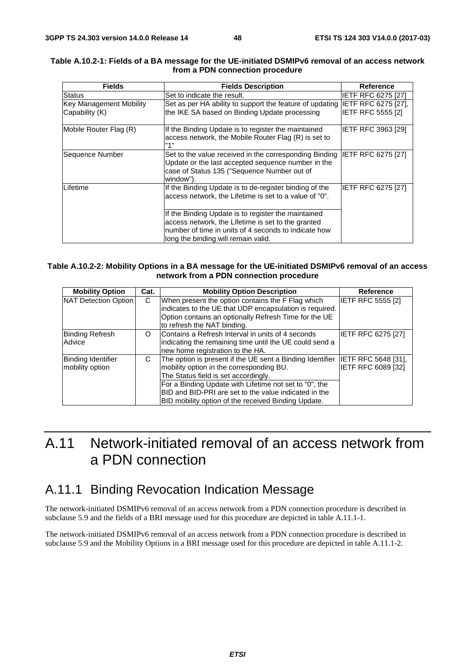| <b>Fields</b>                                    | <b>Fields Description</b>                                                                                                                                                                                | Reference                 |
|--------------------------------------------------|----------------------------------------------------------------------------------------------------------------------------------------------------------------------------------------------------------|---------------------------|
| <b>Status</b>                                    | Set to indicate the result.                                                                                                                                                                              | IETF RFC 6275 [27]        |
| <b>Key Management Mobility</b><br>Capability (K) | Set as per HA ability to support the feature of updating IETF RFC 6275 [27],<br>the IKE SA based on Binding Update processing                                                                            | <b>IETF RFC 5555 [2]</b>  |
| Mobile Router Flag (R)                           | If the Binding Update is to register the maintained<br>access network, the Mobile Router Flag (R) is set to<br>"1"                                                                                       | <b>IETF RFC 3963 [29]</b> |
| Sequence Number                                  | Set to the value received in the corresponding Binding IETF RFC 6275 [27]<br>Update or the last accepted sequence number in the<br>case of Status 135 ("Sequence Number out of<br>window").              |                           |
| Lifetime                                         | If the Binding Update is to de-register binding of the<br>access network, the Lifetime is set to a value of "0".                                                                                         | IETF RFC 6275 [27]        |
|                                                  | If the Binding Update is to register the maintained<br>access network, the Lifetime is set to the granted<br>number of time in units of 4 seconds to indicate how<br>long the binding will remain valid. |                           |

#### **Table A.10.2-1: Fields of a BA message for the UE-initiated DSMIPv6 removal of an access network from a PDN connection procedure**

#### **Table A.10.2-2: Mobility Options in a BA message for the UE-initiated DSMIPv6 removal of an access network from a PDN connection procedure**

| <b>Mobility Option</b>                       | Cat. | <b>Mobility Option Description</b>                                                                                                                                                                                                                                                                                             | <b>Reference</b>                          |
|----------------------------------------------|------|--------------------------------------------------------------------------------------------------------------------------------------------------------------------------------------------------------------------------------------------------------------------------------------------------------------------------------|-------------------------------------------|
| NAT Detection Option                         | C    | When present the option contains the F Flag which<br>indicates to the UE that UDP encapsulation is required.<br>Option contains an optionally Refresh Time for the UE<br>to refresh the NAT binding.                                                                                                                           | <b>IETF RFC 5555 [2]</b>                  |
| <b>Binding Refresh</b><br>Advice             | O    | Contains a Refresh Interval in units of 4 seconds<br>indicating the remaining time until the UE could send a<br>new home registration to the HA.                                                                                                                                                                               | <b>IETF RFC 6275 [27]</b>                 |
| <b>Binding Identifier</b><br>mobility option | C    | The option is present if the UE sent a Binding Identifier<br>mobility option in the corresponding BU.<br>The Status field is set accordingly.<br>For a Binding Update with Lifetime not set to "0", the<br><b>BID and BID-PRI are set to the value indicated in the</b><br>BID mobility option of the received Binding Update. | IETF RFC 5648 [31],<br>IETF RFC 6089 [32] |

# A.11 Network-initiated removal of an access network from a PDN connection

### A.11.1 Binding Revocation Indication Message

The network-initiated DSMIPv6 removal of an access network from a PDN connection procedure is described in subclause 5.9 and the fields of a BRI message used for this procedure are depicted in table A.11.1-1.

The network-initiated DSMIPv6 removal of an access network from a PDN connection procedure is described in subclause 5.9 and the Mobility Options in a BRI message used for this procedure are depicted in table A.11.1-2.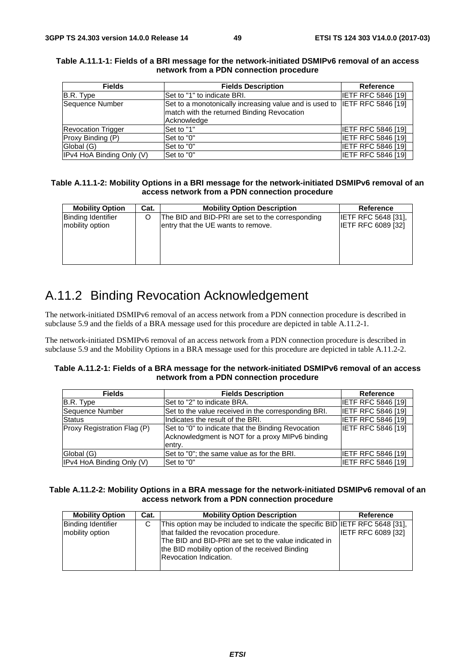| <b>Fields</b>             | <b>Fields Description</b>                                                 | <b>Reference</b>          |
|---------------------------|---------------------------------------------------------------------------|---------------------------|
| B.R. Type                 | ISet to "1" to indicate BRI.                                              | <b>IETF RFC 5846 [19]</b> |
| Sequence Number           | Set to a monotonically increasing value and is used to IETF RFC 5846 [19] |                           |
|                           | match with the returned Binding Revocation                                |                           |
|                           | Acknowledge                                                               |                           |
| <b>Revocation Trigger</b> | Set to "1"                                                                | <b>IETF RFC 5846 [19]</b> |
| Proxy Binding (P)         | Set to "0"                                                                | <b>IETF RFC 5846 [19]</b> |
| Global (G)                | Set to "0"                                                                | <b>IETF RFC 5846 [19]</b> |
| IPv4 HoA Binding Only (V) | Set to "0"                                                                | <b>IETF RFC 5846 [19]</b> |

#### **Table A.11.1-1: Fields of a BRI message for the network-initiated DSMIPv6 removal of an access network from a PDN connection procedure**

#### **Table A.11.1-2: Mobility Options in a BRI message for the network-initiated DSMIPv6 removal of an access network from a PDN connection procedure**

| <b>Mobility Option</b>    | Cat. | <b>Mobility Option Description</b>               | Reference                  |
|---------------------------|------|--------------------------------------------------|----------------------------|
| <b>Binding Identifier</b> |      | The BID and BID-PRI are set to the corresponding | <b>IETF RFC 5648 [31].</b> |
| mobility option           |      | entry that the UE wants to remove.               | <b>IETF RFC 6089 [32]</b>  |
|                           |      |                                                  |                            |
|                           |      |                                                  |                            |
|                           |      |                                                  |                            |
|                           |      |                                                  |                            |

# A.11.2 Binding Revocation Acknowledgement

The network-initiated DSMIPv6 removal of an access network from a PDN connection procedure is described in subclause 5.9 and the fields of a BRA message used for this procedure are depicted in table A.11.2-1.

The network-initiated DSMIPv6 removal of an access network from a PDN connection procedure is described in subclause 5.9 and the Mobility Options in a BRA message used for this procedure are depicted in table A.11.2-2.

#### **Table A.11.2-1: Fields of a BRA message for the network-initiated DSMIPv6 removal of an access network from a PDN connection procedure**

| <b>Fields</b>               | <b>Fields Description</b>                                                                                       | <b>Reference</b>          |
|-----------------------------|-----------------------------------------------------------------------------------------------------------------|---------------------------|
| B.R. Type                   | Set to "2" to indicate BRA.                                                                                     | <b>IETF RFC 5846 [19]</b> |
| Sequence Number             | Set to the value received in the corresponding BRI.                                                             | <b>IETF RFC 5846 [19]</b> |
| <b>Status</b>               | Indicates the result of the BRI.                                                                                | <b>IETF RFC 5846 [19]</b> |
| Proxy Registration Flag (P) | Set to "0" to indicate that the Binding Revocation<br>Acknowledgment is NOT for a proxy MIPv6 binding<br>entry. | <b>IETF RFC 5846 [19]</b> |
| Global (G)                  | Set to "0"; the same value as for the BRI.                                                                      | <b>IETF RFC 5846 [19]</b> |
| IPv4 HoA Binding Only (V)   | Set to "0"                                                                                                      | <b>IETF RFC 5846 [19]</b> |

#### **Table A.11.2-2: Mobility Options in a BRA message for the network-initiated DSMIPv6 removal of an access network from a PDN connection procedure**

| <b>Mobility Option</b>                       | Cat. | <b>Mobility Option Description</b>                                                                                                                                                                                                                                  | Reference                 |
|----------------------------------------------|------|---------------------------------------------------------------------------------------------------------------------------------------------------------------------------------------------------------------------------------------------------------------------|---------------------------|
| <b>Binding Identifier</b><br>mobility option | C    | This option may be included to indicate the specific BID IETF RFC 5648 [31],<br>that failded the revocation procedure.<br>The BID and BID-PRI are set to the value indicated in<br>the BID mobility option of the received Binding<br><b>Revocation Indication.</b> | <b>IETF RFC 6089 [32]</b> |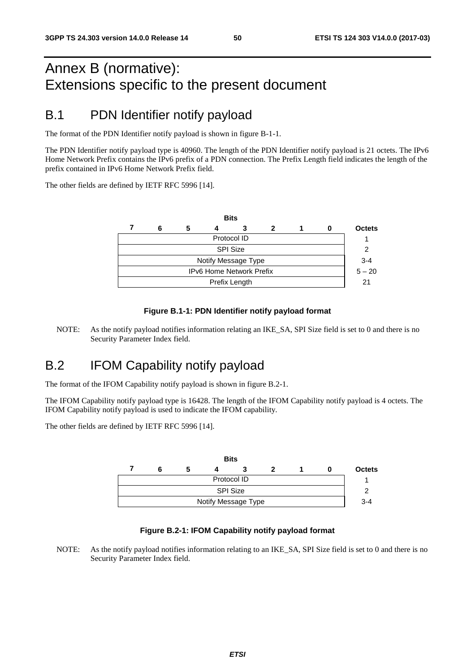# Annex B (normative): Extensions specific to the present document

### B.1 PDN Identifier notify payload

The format of the PDN Identifier notify payload is shown in figure B-1-1.

The PDN Identifier notify payload type is 40960. The length of the PDN Identifier notify payload is 21 octets. The IPv6 Home Network Prefix contains the IPv6 prefix of a PDN connection. The Prefix Length field indicates the length of the prefix contained in IPv6 Home Network Prefix field.

The other fields are defined by IETF RFC 5996 [14].

|                                 |   |   |  | <b>Bits</b> |   |  |          |               |
|---------------------------------|---|---|--|-------------|---|--|----------|---------------|
|                                 | 6 | 5 |  | 3           | 2 |  | 0        | <b>Octets</b> |
| Protocol ID                     |   |   |  |             |   |  |          |               |
| <b>SPI Size</b>                 |   |   |  |             |   |  |          |               |
| Notify Message Type             |   |   |  |             |   |  |          | $3 - 4$       |
| <b>IPv6 Home Network Prefix</b> |   |   |  |             |   |  | $5 - 20$ |               |
| Prefix Length                   |   |   |  |             |   |  |          | 21            |
|                                 |   |   |  |             |   |  |          |               |

#### **Figure B.1-1: PDN Identifier notify payload format**

NOTE: As the notify payload notifies information relating an IKE\_SA, SPI Size field is set to 0 and there is no Security Parameter Index field.

### B.2 IFOM Capability notify payload

The format of the IFOM Capability notify payload is shown in figure B.2-1.

The IFOM Capability notify payload type is 16428. The length of the IFOM Capability notify payload is 4 octets. The IFOM Capability notify payload is used to indicate the IFOM capability.

The other fields are defined by IETF RFC 5996 [14].



#### **Figure B.2-1: IFOM Capability notify payload format**

NOTE: As the notify payload notifies information relating to an IKE\_SA, SPI Size field is set to 0 and there is no Security Parameter Index field.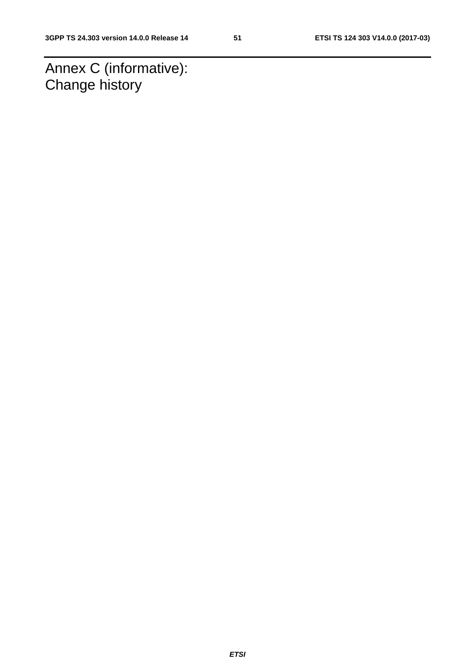Annex C (informative): Change history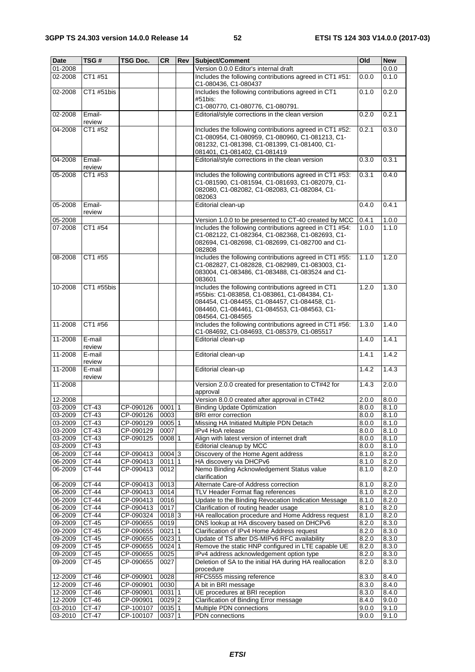| <b>Date</b>            | TSG#                       | TSG Doc.       | <b>CR</b> | <b>Rev Subject/Comment</b>                                                                                                                                                                                              | Old   | <b>New</b> |
|------------------------|----------------------------|----------------|-----------|-------------------------------------------------------------------------------------------------------------------------------------------------------------------------------------------------------------------------|-------|------------|
| 01-2008                |                            |                |           | Version 0.0.0 Editor's internal draft                                                                                                                                                                                   |       | 0.0.0      |
| 02-2008                | CT1 #51                    |                |           | Includes the following contributions agreed in CT1 #51:<br>C1-080436, C1-080437                                                                                                                                         | 0.0.0 | 0.1.0      |
| 02-2008                | CT1 #51bis                 |                |           | Includes the following contributions agreed in CT1<br>#51bis:                                                                                                                                                           | 0.1.0 | 0.2.0      |
|                        |                            |                |           | C1-080770, C1-080776, C1-080791.                                                                                                                                                                                        |       |            |
| 02-2008                | Email-                     |                |           | Editorial/style corrections in the clean version                                                                                                                                                                        | 0.2.0 | 0.2.1      |
|                        | review                     |                |           |                                                                                                                                                                                                                         |       |            |
| 04-2008                | CT1 #52                    |                |           | Includes the following contributions agreed in CT1 #52:<br>C1-080954, C1-080959, C1-080960, C1-081213, C1-<br>081232, C1-081398, C1-081399, C1-081400, C1-<br>081401, C1-081402, C1-081419                              | 0.2.1 | 0.3.0      |
| 04-2008                | Email-<br>review           |                |           | Editorial/style corrections in the clean version                                                                                                                                                                        | 0.3.0 | 0.3.1      |
| 05-2008                | CT1 #53                    |                |           | Includes the following contributions agreed in CT1 #53:                                                                                                                                                                 | 0.3.1 | 0.4.0      |
|                        |                            |                |           | C1-081590, C1-081594, C1-081693, C1-082079, C1-<br>082080, C1-082082, C1-082083, C1-082084, C1-<br>082063                                                                                                               |       |            |
| 05-2008                | Email-<br>review           |                |           | Editorial clean-up                                                                                                                                                                                                      | 0.4.0 | 0.4.1      |
| 05-2008                |                            |                |           | Version 1.0.0 to be presented to CT-40 created by MCC                                                                                                                                                                   | 0.4.1 | 1.0.0      |
| 07-2008                | CT1 #54                    |                |           | Includes the following contributions agreed in CT1 #54:<br>C1-082122, C1-082364, C1-082368, C1-082693, C1-<br>082694, C1-082698, C1-082699, C1-082700 and C1-<br>082808                                                 | 1.0.0 | 1.1.0      |
| 08-2008                | CT1 #55                    |                |           | Includes the following contributions agreed in CT1 #55:<br>C1-082827, C1-082828, C1-082989, C1-083003, C1-<br>083004, C1-083486, C1-083488, C1-083524 and C1-<br>083601                                                 | 1.1.0 | 1.2.0      |
| 10-2008                | CT1 #55bis                 |                |           | Includes the following contributions agreed in CT1<br>#55bis: C1-083858, C1-083861, C1-084384, C1-<br>084454, C1-084455, C1-084457, C1-084458, C1-<br>084460, C1-084461, C1-084553, C1-084563, C1-<br>084564, C1-084565 | 1.2.0 | 1.3.0      |
| 11-2008                | CT1 #56                    |                |           | Includes the following contributions agreed in CT1 #56:<br>C1-084692, C1-084693, C1-085379, C1-085517                                                                                                                   | 1.3.0 | 1.4.0      |
| 11-2008                | E-mail                     |                |           | Editorial clean-up                                                                                                                                                                                                      | 1.4.0 | 1.4.1      |
| 11-2008                | review<br>E-mail<br>review |                |           | Editorial clean-up                                                                                                                                                                                                      | 1.4.1 | 1.4.2      |
| 11-2008                | E-mail<br>review           |                |           | Editorial clean-up                                                                                                                                                                                                      | 1.4.2 | 1.4.3      |
| 11-2008                |                            |                |           | Version 2.0.0 created for presentation to CT#42 for<br>approval                                                                                                                                                         | 1.4.3 | 2.0.0      |
| 12-2008                |                            |                |           | Version 8.0.0 created after approval in CT#42                                                                                                                                                                           | 2.0.0 | 8.0.0      |
| $\overline{03} - 2009$ | CT-43                      | CP-090126      | $0001$ 1  | <b>Binding Update Optimization</b>                                                                                                                                                                                      | 8.0.0 | 8.1.0      |
| 03-2009                | $CT-43$                    | CP-090126 0003 |           | <b>BRI</b> error correction                                                                                                                                                                                             | 8.0.0 | 8.1.0      |
| 03-2009                | CT-43                      | CP-090129      | 0005 1    | Missing HA Initiated Multiple PDN Detach                                                                                                                                                                                | 8.0.0 | 8.1.0      |
| 03-2009                | CT-43                      | CP-090129      | 0007      | IPv4 HoA release                                                                                                                                                                                                        | 8.0.0 | 8.1.0      |
| 03-2009                | CT-43                      | CP-090125      | 0008 1    | Align with latest version of internet draft                                                                                                                                                                             | 8.0.0 | 8.1.0      |
| 03-2009                | CT-43                      |                |           | Editorial cleanup by MCC                                                                                                                                                                                                | 8.0.0 | 8.1.0      |
| 06-2009                | CT-44                      | CP-090413      | 0004 3    | Discovery of the Home Agent address                                                                                                                                                                                     | 8.1.0 | 8.2.0      |
| 06-2009                | CT-44                      | CP-090413      | 00111     | HA discovery via DHCPv6                                                                                                                                                                                                 | 8.1.0 | 8.2.0      |
| 06-2009                | CT-44                      | CP-090413      | 0012      | Nemo Binding Acknowledgement Status value<br>clarification                                                                                                                                                              | 8.1.0 | 8.2.0      |
| 06-2009                | CT-44                      | CP-090413      | 0013      | Alternate Care-of Address correction                                                                                                                                                                                    | 8.1.0 | 8.2.0      |
| 06-2009                | CT-44                      | CP-090413      | 0014      | TLV Header Format flag references                                                                                                                                                                                       | 8.1.0 | 8.2.0      |
| 06-2009                | CT-44                      | CP-090413      | 0016      | Update to the Binding Revocation Indication Message                                                                                                                                                                     | 8.1.0 | 8.2.0      |
| 06-2009                | CT-44                      | CP-090413      | 0017      | Clarification of routing header usage                                                                                                                                                                                   | 8.1.0 | 8.2.0      |
| 06-2009                | CT-44                      | CP-090324      | 00183     | HA reallocation procedure and Home Address request                                                                                                                                                                      | 8.1.0 | 8.2.0      |
| 09-2009                | CT-45                      | CP-090655      | 0019      | DNS lookup at HA discovery based on DHCPv6                                                                                                                                                                              | 8.2.0 | 8.3.0      |
| 09-2009                | CT-45                      | CP-090655      | 0021 1    | Clarification of IPv4 Home Address request                                                                                                                                                                              | 8.2.0 | 8.3.0      |
| 09-2009                | $CT-45$                    | CP-090655      | 0023 1    | Update of TS after DS-MIPv6 RFC availability                                                                                                                                                                            | 8.2.0 | 8.3.0      |
| 09-2009                | CT-45                      | CP-090655      | 0024 1    | Remove the static HNP configured in LTE capable UE                                                                                                                                                                      | 8.2.0 | 8.3.0      |
| 09-2009                | CT-45                      | CP-090655      | 0025      | IPv4 address acknowledgement option type                                                                                                                                                                                | 8.2.0 | 8.3.0      |
| 09-2009                | CT-45                      | CP-090655      | 0027      | Deletion of SA to the initial HA during HA reallocation<br>procedure                                                                                                                                                    | 8.2.0 | 8.3.0      |
| 12-2009                | CT-46                      | CP-090901      | 0028      | RFC5555 missing reference                                                                                                                                                                                               | 8.3.0 | 8.4.0      |
| 12-2009                | CT-46                      | CP-090901      | 0030      | A bit in BRI message                                                                                                                                                                                                    | 8.3.0 | 8.4.0      |
| 12-2009                | $CT-46$                    | CP-090901      | 0031 1    | UE procedures at BRI reception                                                                                                                                                                                          | 8.3.0 | 8.4.0      |
| 12-2009                | CT-46                      | CP-090901      | $0029$  2 | Clarification of Binding Error message                                                                                                                                                                                  | 8.4.0 | 9.0.0      |
| 03-2010                | CT-47                      | CP-100107      | 0035 1    | Multiple PDN connections                                                                                                                                                                                                | 9.0.0 | 9.1.0      |
| 03-2010                | CT-47                      | CP-100107      | 0037 1    | PDN connections                                                                                                                                                                                                         | 9.0.0 | 9.1.0      |
|                        |                            |                |           |                                                                                                                                                                                                                         |       |            |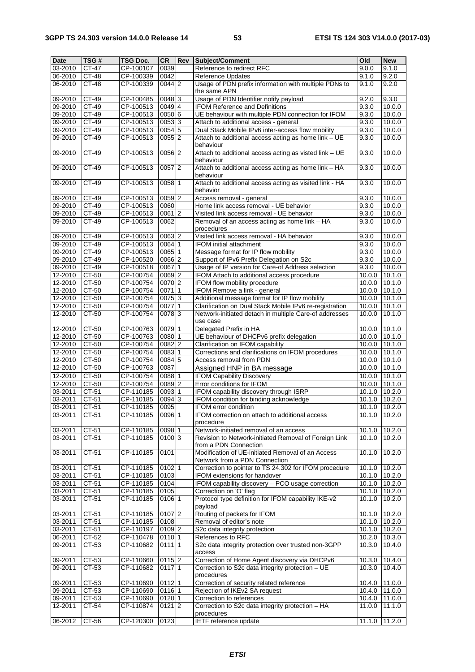| Date    | TSG#    | TSG Doc.  | <b>CR</b>           | Rev | Subject/Comment                                         | Old               | <b>New</b>      |
|---------|---------|-----------|---------------------|-----|---------------------------------------------------------|-------------------|-----------------|
| 03-2010 | CT-47   | CP-100107 | 0039                |     | Reference to redirect RFC                               | 9.0.0             | 9.1.0           |
| 06-2010 | CT-48   | CP-100339 | 0042                |     | Reference Updates                                       | 9.1.0             | 9.2.0           |
| 06-2010 | CT-48   | CP-100339 | $0044$ 2            |     | Usage of PDN prefix information with multiple PDNs to   | 9.1.0             | 9.2.0           |
|         |         |           |                     |     | the same APN                                            |                   |                 |
|         |         |           |                     |     |                                                         |                   |                 |
| 09-2010 | CT-49   | CP-100485 | 0048 3              |     | Usage of PDN Identifier notify payload                  | 9.2.0             | 9.3.0           |
| 09-2010 | CT-49   | CP-100513 | 0049 4              |     | <b>IFOM Reference and Definitions</b>                   | 9.3.0             | 10.0.0          |
| 09-2010 | CT-49   | CP-100513 | 0050 6              |     | UE behaviour with multiple PDN connection for IFOM      | 9.3.0             | 10.0.0          |
| 09-2010 | CT-49   | CP-100513 | 00533               |     | Attach to additional access - general                   | 9.3.0             | 10.0.0          |
| 09-2010 | CT-49   | CP-100513 | 0054 5              |     | Dual Stack Mobile IPv6 inter-access flow mobility       | 9.3.0             | 10.0.0          |
| 09-2010 | CT-49   | CP-100513 | $0055$  2           |     | Attach to additional access acting as home link - UE    | 9.3.0             | 10.0.0          |
|         |         |           |                     |     | behaviour                                               |                   |                 |
| 09-2010 | CT-49   | CP-100513 | 0056 2              |     | Attach to additional access acting as visted link - UE  | 9.3.0             | 10.0.0          |
|         |         |           |                     |     | behaviour                                               |                   |                 |
|         |         |           |                     |     |                                                         |                   |                 |
| 09-2010 | CT-49   | CP-100513 | $0057$  2           |     | Attach to additional access acting as home link - HA    | 9.3.0             | 10.0.0          |
|         |         |           |                     |     | behaviour                                               |                   |                 |
| 09-2010 | $CT-49$ | CP-100513 | 0058 1              |     | Attach to additional access acting as visited link - HA | 9.3.0             | 10.0.0          |
|         |         |           |                     |     | behavior                                                |                   |                 |
| 09-2010 | CT-49   | CP-100513 | $0059$ <sub>2</sub> |     | Access removal - general                                | 9.3.0             | 10.0.0          |
| 09-2010 | CT-49   | CP-100513 | 0060                |     | Home link access removal - UE behavior                  | 9.3.0             | 10.0.0          |
| 09-2010 | CT-49   | CP-100513 | 0061 2              |     | Visited link access removal - UE behavior               | 9.3.0             | 10.0.0          |
| 09-2010 | CT-49   | CP-100513 | 0062                |     | Removal of an access acting as home link - HA           | 9.3.0             | 10.0.0          |
|         |         |           |                     |     |                                                         |                   |                 |
|         |         |           |                     |     | procedures                                              |                   |                 |
| 09-2010 | CT-49   | CP-100513 | 0063 2              |     | Visited link access removal - HA behavior               | 9.3.0             | 10.0.0          |
| 09-2010 | CT-49   | CP-100513 | 0064 1              |     | <b>IFOM</b> initial attachment                          | 9.3.0             | 10.0.0          |
| 09-2010 | CT-49   | CP-100513 | 0065 1              |     | Message format for IP flow mobility                     | 9.3.0             | 10.0.0          |
| 09-2010 | CT-49   | CP-100520 | 0066 2              |     | Support of IPv6 Prefix Delegation on S2c                | 9.3.0             | 10.0.0          |
| 09-2010 | CT-49   | CP-100518 | 006711              |     | Usage of IP version for Care-of Address selection       | 9.3.0             | 10.0.0          |
| 12-2010 | CT-50   | CP-100754 | 0069 2              |     | IFOM Attach to additional access procedure              | 10.0.0            | 10.1.0          |
| 12-2010 | CT-50   | CP-100754 | 0070 2              |     | IFOM flow mobility procedure                            |                   | 10.1.0          |
|         |         |           |                     |     |                                                         | 10.0.0            |                 |
| 12-2010 | CT-50   | CP-100754 | 00711               |     | IFOM Remove a link - general                            | 10.0.0            | 10.1.0          |
| 12-2010 | CT-50   | CP-100754 | 00753               |     | Additional message format for IP flow mobility          | 10.0.0            | 10.1.0          |
| 12-2010 | CT-50   | CP-100754 | 0077 1              |     | Clarification on Dual Stack Mobile IPv6 re-registration | 10.0.0            | 10.1.0          |
| 12-2010 | CT-50   | CP-100754 | 00783               |     | Network-initiated detach in multiple Care-of addresses  | 10.0.0            | 10.1.0          |
|         |         |           |                     |     | use case                                                |                   |                 |
| 12-2010 | CT-50   | CP-100763 | 0079 1              |     | Delegated Prefix in HA                                  | 10.0.0            | 10.1.0          |
| 12-2010 | CT-50   | CP-100763 | 0080 1              |     | UE behaviour of DHCPv6 prefix delegation                | 10.0.0            | 10.1.0          |
|         |         |           |                     |     |                                                         |                   |                 |
| 12-2010 | CT-50   | CP-100754 | $0082$ <sup>2</sup> |     | Clarification on IFOM capability                        | 10.0.0            | 10.1.0          |
| 12-2010 | CT-50   | CP-100754 | 0083 1              |     | Corrections and clarifications on IFOM procedures       | 10.0.0            | 10.1.0          |
| 12-2010 | CT-50   | CP-100754 | 0084 5              |     | Access removal from PDN                                 | 10.0.0            | 10.1.0          |
| 12-2010 | $CT-50$ | CP-100763 | 0087                |     | Assigned HNP in BA message                              | 10.0.0            | 10.1.0          |
| 12-2010 | CT-50   | CP-100754 | 0088 1              |     | <b>IFOM Capability Discovery</b>                        | 10.0.0            | 10.1.0          |
| 12-2010 | CT-50   | CP-100754 | 0089 2              |     | Error conditions for IFOM                               | 10.0.0            | 10.1.0          |
| 03-2011 | $CT-51$ | CP-110185 | 0093 1              |     | IFOM capability discovery through ISRP                  | 10.1.0            | 10.2.0          |
|         |         |           |                     |     |                                                         |                   |                 |
| 03-2011 | CT-51   | CP-110185 | 0094 3              |     | IFOM condition for binding acknowledge                  | 10.1.0            | 10.2.0          |
| 03-2011 | CT-51   | CP-110185 | 0095                |     | <b>IFOM error condition</b>                             | 10.1.0 10.2.0     |                 |
| 03-2011 | $CT-51$ | CP-110185 | 0096 1              |     | IFOM correction on attach to additional access          | $10.1.0$ $10.2.0$ |                 |
|         |         |           |                     |     | procedure                                               |                   |                 |
| 03-2011 | CT-51   | CP-110185 | 0098 1              |     | Network-initiated removal of an access                  | 10.1.0            | 10.2.0          |
| 03-2011 | CT-51   | CP-110185 | 0100 3              |     | Revision to Network-initiated Removal of Foreign Link   | 10.1.0            | 10.2.0          |
|         |         |           |                     |     | from a PDN Connection                                   |                   |                 |
| 03-2011 | CT-51   | CP-110185 | 0101                |     | Modification of UE-initiated Removal of an Access       | 10.1.0            | 10.2.0          |
|         |         |           |                     |     | Network from a PDN Connection                           |                   |                 |
| 03-2011 |         |           |                     |     | Correction to pointer to TS 24.302 for IFOM procedure   |                   |                 |
|         | CT-51   | CP-110185 | $0102$  1           |     |                                                         | 10.1.0            | 10.2.0          |
| 03-2011 | CT-51   | CP-110185 | 0103                |     | IFOM extensions for handover                            | 10.1.0            | 10.2.0          |
| 03-2011 | CT-51   | CP-110185 | 0104                |     | IFOM capability discovery - PCO usage correction        | 10.1.0            | 10.2.0          |
| 03-2011 | $CT-51$ | CP-110185 | 0105                |     | Correction on 'O' flag                                  | 10.1.0            | 10.2.0          |
| 03-2011 | CT-51   | CP-110185 | 0106 1              |     | Protocol type definition for IFOM capability IKE-v2     | 10.1.0            | 10.2.0          |
|         |         |           |                     |     | payload                                                 |                   |                 |
| 03-2011 | CT-51   | CP-110185 | 0107 2              |     | Routing of packets for IFOM                             | 10.1.0            | 10.2.0          |
| 03-2011 | CT-51   | CP-110185 | 0108                |     | Removal of editor's note                                | 10.1.0            | 10.2.0          |
|         |         |           |                     |     |                                                         |                   |                 |
| 03-2011 | $CT-51$ | CP-110197 | 0109 2              |     | S2c data integrity protection                           | 10.1.0            | 10.2.0          |
| 06-2011 | CT-52   | CP-110478 | 0110 1              |     | References to RFC                                       | 10.2.0            | 10.3.0          |
| 09-2011 | CT-53   | CP-110682 | 0111 1              |     | S2c data integrity protection over trusted non-3GPP     | 10.3.0            | 10.4.0          |
|         |         |           |                     |     | access                                                  |                   |                 |
| 09-2011 | CT-53   | CP-110660 | $0115$ <sup>2</sup> |     | Correction of Home Agent discovery via DHCPv6           | 10.3.0            | 10.4.0          |
| 09-2011 | CT-53   | CP-110682 | 01171               |     | Correction to S2c data integrity protection - UE        | 10.3.0            | 10.4.0          |
|         |         |           |                     |     | procedures                                              |                   |                 |
| 09-2011 | CT-53   | CP-110690 | $0112$  1           |     | Correction of security related reference                | 10.4.0            | 11.0.0          |
| 09-2011 | $CT-53$ |           |                     |     |                                                         |                   |                 |
|         |         | CP-110690 | 0116 1              |     | Rejection of IKEv2 SA request                           | 10.4.0 11.0.0     |                 |
| 09-2011 | CT-53   | CP-110690 | 0120 1              |     | Correction to references                                | 10.4.0 11.0.0     |                 |
| 12-2011 | CT-54   | CP-110874 | $0121$ 2            |     | Correction to S2c data integrity protection - HA        | 11.0.0            | 11.1.0          |
|         |         |           |                     |     | procedures                                              |                   |                 |
| 06-2012 | CT-56   | CP-120300 | 0123                |     | <b>IETF</b> reference update                            | 11.1.0            | $\sqrt{11.2.0}$ |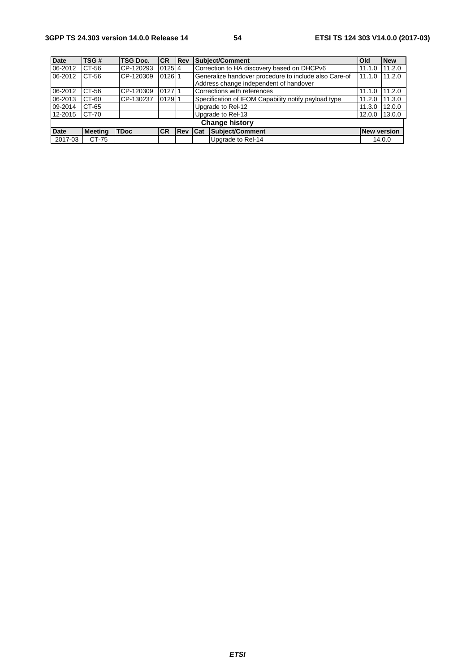| <b>Date</b> | TSG #                 | <b>TSG Doc.</b> | <b>ICR</b> | <b>Rev</b> | <b>Subject/Comment</b><br><b>Old</b>                            |                                                      |                    | <b>New</b> |
|-------------|-----------------------|-----------------|------------|------------|-----------------------------------------------------------------|------------------------------------------------------|--------------------|------------|
| 06-2012     | CT-56                 | CP-120293       | $0125$ 4   |            | Correction to HA discovery based on DHCPv6                      | 11.1.0                                               | 11.2.0             |            |
| 06-2012     | CT-56                 | CP-120309       | $0126$ 1   |            | Generalize handover procedure to include also Care-of<br>11.1.0 |                                                      |                    | 11.2.0     |
|             |                       |                 |            |            |                                                                 | Address change independent of handover               |                    |            |
| 06-2012     | CT-56                 | CP-120309       | 012711     |            | Corrections with references                                     | 11.1.0                                               | 11.2.0             |            |
| 06-2013     | CT-60                 | CP-130237       | $0129$  1  |            |                                                                 | Specification of IFOM Capability notify payload type | 11.2.0             | 11.3.0     |
| 09-2014     | CT-65                 |                 |            |            | Upgrade to Rel-12<br>11.3.0                                     |                                                      |                    |            |
| 12-2015     | CT-70                 |                 |            |            | Upgrade to Rel-13<br>12.0.0                                     |                                                      |                    | 13.0.0     |
|             | <b>Change history</b> |                 |            |            |                                                                 |                                                      |                    |            |
| <b>Date</b> | <b>Meeting</b>        | <b>TDoc</b>     | <b>CR</b>  | <b>Rev</b> | Cat                                                             | Subject/Comment                                      | <b>New version</b> |            |
| 2017-03     | CT-75                 |                 |            |            |                                                                 | Upgrade to Rel-14                                    |                    | 14.0.0     |